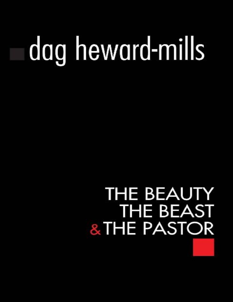# dag heward-mills

## **THE BEAUTY THE BEAST** & THE PASTOR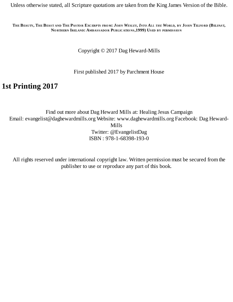Unless otherwise stated, all Scripture quotations are taken from the King James Version of the Bible.

THE BEAUTY, THE BEAST AND THE PASTOR EXCERPTS FROM: JOHN WESLEY, INTO ALL THE WORLD, BY JOHN TELFORD (BELFAST, **N<sup>O</sup> RTHERN IRELAND: AMBASSADO <sup>R</sup> PUBLICATIO NS,1999) USED BY PERMISSIO <sup>N</sup>**

Copyright © 2017 Dag Heward-Mills

First published 2017 by Parchment House

#### **1st Printing 2017**

Find out more about Dag Heward Mills at: Healing Jesus Campaign Email: evangelist@daghewardmills.org Website: www.daghewardmills.org Facebook: Dag Heward-Mills Twitter: @EvangelistDag ISBN : 978-1-68398-193-0

All rights reserved under international copyright law. Written permission must be secured from the publisher to use or reproduce any part of this book.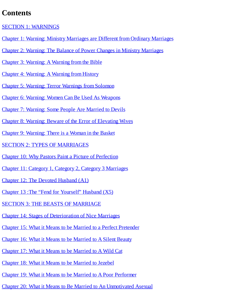#### **Contents**

SECTION 1: [WARNINGS](#page-5-0)

- Chapter 1: Warning: Ministry [Marriages](#page-6-0) are Different from Ordinary Marriages
- Chapter 2: Warning: The Balance of Power Changes in Ministry [Marriages](#page-12-0)
- Chapter 3: [Warning:](#page-15-0) A Warning from the Bible
- Chapter 4: [Warning:](#page-20-0) A Warning from History
- Chapter 5: Warning: Terror [Warnings](#page-26-0) from Solomon
- Chapter 6: Warning: Women Can Be Used As [Weapons](#page-29-0)
- Chapter 7: [Warning:](#page-32-0) Some People Are Married to Devils
- Chapter 8: Warning: Beware of the Error of [Elevating](#page-36-0) Wives
- Chapter 9: [Warning:](#page-38-0) There is a Woman in the Basket
- SECTION 2: TYPES OF [MARRIAGES](#page-41-0)
- Chapter 10: Why Pastors Paint a Picture of [Perfection](#page-42-0)
- Chapter 11: Category 1, Category 2, Category 3 [Marriages](#page-46-0)
- Chapter 12: The Devoted [Husband](#page-52-0) (A1)
- Chapter 13 :The "Fend for [Yourself"](#page-55-0) Husband (X5)
- SECTION 3: THE BEASTS OF [MARRIAGE](#page-57-0)
- Chapter 14: Stages of [Deterioration](#page-58-0) of Nice Marriages
- Chapter 15: What it Means to be Married to a Perfect [Pretender](#page-62-0)
- Chapter 16: What it Means to be [Married](#page-65-0) to A Silent Beauty
- Chapter 17: What it Means to be [Married](#page-67-0) to A Wild Cat
- Chapter 18: What it Means to be [Married](#page-71-0) to Jezebel
- Chapter 19: What it Means to be Married to A Poor [Performer](#page-78-0)
- Chapter 20: What it Means to Be Married to An [Unmotivated](#page-83-0) Asexual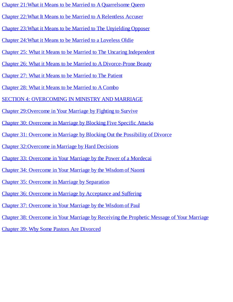- Chapter 21:What it Means to be Married to A [Quarrelsome](#page-88-0) Queen
- Chapter 22:What It Means to be Married to A [Relentless](#page-92-0) Accuser
- Chapter 23:What it Means to be Married to The [Unyielding](#page-100-0) Opposer
- Chapter 24:What it Means to be Married to a [Loveless](#page-103-0) Oldie
- Chapter 25: What it Means to be Married to The Uncaring [Independent](#page-105-0)
- Chapter 26: What it Means to be Married to A [Divorce-Prone](#page-108-0) Beauty
- Chapter 27: What it Means to be [Married](#page-111-0) to The Patient
- Chapter 28: What it Means to be [Married](#page-117-0) to A Combo
- SECTION 4: [OVERCOMING](#page-119-0) IN MINISTRY AND MARRIAGE
- Chapter [29:Overcome](#page-120-0) in Your Marriage by Fighting to Survive
- Chapter 30: [Overcome](#page-122-0) in Marriage by Blocking Five Specific Attacks
- Chapter 31: Overcome in Marriage by Blocking Out the [Possibility](#page-124-0) of Divorce
- Chapter [32:Overcome](#page-125-0) in Marriage by Hard Decisions
- Chapter 33: [Overcome](#page-127-0) in Your Marriage by the Power of a Mordecai
- Chapter 34: [Overcome](#page-129-0) in Your Marriage by the Wisdom of Naomi
- Chapter 35: Overcome in Marriage by [Separation](#page-132-0)
- Chapter 36: Overcome in Marriage by [Acceptance](#page-136-0) and Suffering
- Chapter 37: [Overcome](#page-138-0) in Your Marriage by the Wisdom of Paul
- Chapter 38: [Overcome](#page-141-0) in Your Marriage by Receiving the Prophetic Message of Your Marriage
- Chapter 39: Why Some Pastors Are [Divorced](#page-145-0)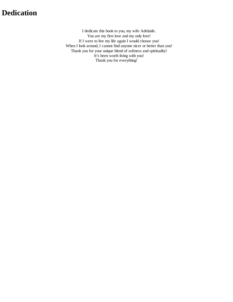#### **Dedication**

I dedicate this book to you, my wife Adelaide. You are my first love and my only love! If I were to live my life again I would choose you! When I look around, I cannot find anyone nicer or better than you! Thank you for your unique blend of softness and spirituality! It's been worth living with you! Thank you for everything!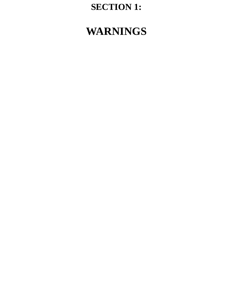### **SECTION 1:**

## <span id="page-5-0"></span>**WARNINGS**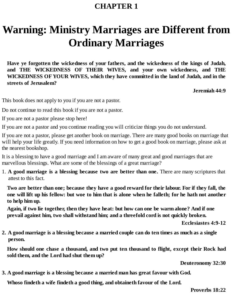## <span id="page-6-0"></span>**Warning: Ministry Marriages are Different from Ordinary Marriages**

**Have ye forgotten the wickedness of your fathers, and the wickedness of the kings of Judah, and THE WICKEDNESS OF THEIR WIVES, and your own wickedness, and THE WICKEDNESS OF YOUR WIVES, which they have committed in the land of Judah, and in the streets of Jerusalem?**

**Jeremiah 44:9**

This book does not apply to you if you are not a pastor.

Do not continue to read this book if you are not a pastor.

If you are not a pastor please stop here!

If you are not a pastor and you continue reading you will criticize things you do not understand.

If you are not a pastor, please get another book on marriage. There are many good books on marriage that will help your life greatly. If you need information on how to get a good book on marriage, please ask at the nearest bookshop.

It is a blessing to have a good marriage and I am aware of many great and good marriages that are marvellous blessings. What are some of the blessings of a great marriage?

1. **A good marriage is a blessing because two are better than one.** There are many scriptures that attest to this fact.

Two are better than one; because they have a good reward for their labour. For if they fall, the one will lift up his fellow: but woe to him that is alone when he falleth; for he hath not another **to help him up.**

**Again, if two lie together, then they have heat: but how can one be warm alone? And if one prevail against him, two shall withstand him; and a threefold cord is not quickly broken.**

**Ecclesiastes 4:9-12**

2. A good marriage is a blessing because a married couple can do ten times as much as a single **person.**

**How should one chase a thousand, and two put ten thousand to flight, except their Rock had sold them, and the Lord had shut them up?**

**Deuteronomy 32:30**

**3. A good marriage is a blessing because a married man has great favour with God.**

**Whoso findeth a wife findeth a good thing, and obtaineth favour of the Lord.**

**Proverbs 18:22**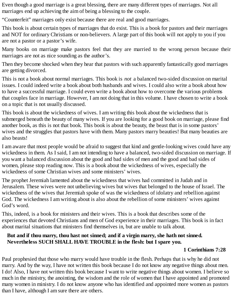Even though a good marriage is a great blessing, there are many different types of marriages. Not all marriages end up achieving the aim of being a blessing to the couple.

"Counterfeit" marriages only exist because there are real and good marriages.

This book is about certain types of marriages that do exist. This is a book for pastors and their marriages and NOT for ordinary Christians or non-believers. A large part of this book will not apply to you if you are not a pastor or a pastor's wife.

Many books on marriage make pastors feel that they are married to the wrong person because their marriages are not as nice sounding as the author's.

Then they become shocked when they hear that pastors with such apparently fantastically good marriages are getting divorced.

This is not a book about normal marriages. This book is *not* a balanced two-sided discussion on marital issues. I could indeed write a book about both husbands and wives. I could also write a book about how to have a successful marriage. I could even write a book about how to overcome the various problems that couples face in marriage. However, I am not doing that in this volume. I have chosen to write a book on a topic that is not usually discussed.

This book is about the wickedness of wives. I am writing this book about the wickedness that is submerged beneath the beauty of many wives. If you are looking for a good book on marriage, please find another book, as this is not that book. This book is about the beauty, the beast that is in some pastors' wives and the struggles that pastors have with them. Many pastors marry beauties! But many beauties are also beasts!

I am aware that most people would be afraid to suggest that kind and gentle-looking wives could have any wickedness in them. As I said, I am not intending to have a balanced, two-sided discussion on marriage. If you want a balanced discussion about the good and bad sides of men and the good and bad sides of women, please stop reading now. This is a book about the wickedness of wives, especially the wickedness of some Christian wives and some ministers' wives.

The prophet Jeremiah lamented about the wickedness that wives had committed in Judah and in Jerusalem. These wives were not unbelieving wives but wives that belonged to the house of Israel. The wickedness of the wives that Jeremiah spoke of was the wickedness of idolatry and rebellion against God. The wickedness I am writing about is also about the rebellion of some ministers' wives against God's word.

This, indeed, is a book for ministers and their wives. This is a book that describes some of the experiences that devoted Christians and men of God experience in their marriages. This book is in fact about marital situations that ministers find themselves in, but are unable to talk about.

#### **But and if thou marry, thou hast not sinned; and if a virgin marry, she hath not sinned. Nevertheless SUCH SHALL HAVE TROUBLE in the flesh: but I spare you.**

#### **1 Corinthians 7:28**

Paul prophesied that those who marry would have trouble in the flesh. Perhaps that is why he did not marry. And by the way, I have not written this book because I do not know any negative things about men. I do! Also, I have not written this book because I want to write negative things about women. I believe so much in the ministry, the anointing, the wisdom and the role of women that I have appointed and promoted many women in ministry. I do not know anyone who has identified and appointed more women as pastors than I have, although I am sure there are others.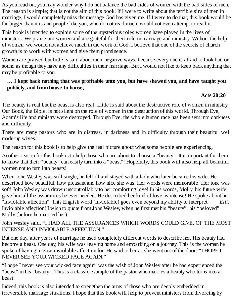As you read on, you may wonder why I do not balance the bad sides of women with the bad sides of men. The reason is simple; that is not the aim of this book! If I were to write about the terrible sins of men in marriage, I would completely miss the message God has given me. If I were to do that, this book would be far bigger than it is and people like you, who do not read much, would not even attempt to read it.

This book is intended to explain some of the mysterious roles women have played in the lives of ministers. We praise our women and are grateful for their role in marriage and ministry. Without the help of women, we would not achieve much in the work of God. I believe that one of the secrets of church growth is to work with women and give them prominence.

Women are praised but little is said about their negative ways, because every one is afraid to look bad or sound as though they have any difficulties in their marriage. But I would not like to keep back anything that may be profitable to you.

#### **… I kept back nothing that was profitable unto you, but have shewed you, and have taught you publicly, and from house to house,**

#### **Acts 20:20**

The beauty is real but the beast is also real! Little is said about the destructive role of women in ministry. Our Book, the Bible, is not silent on the role of women in the destruction of this world. Through Eve, Adam's life and ministry were destroyed. Through Eve, the whole human race has been sent into darkness and difficulty.

There are many pastors who are in distress, in darkness and in difficulty through their beautiful well made-up wives.

The reason for this book is to help give the real picture about what some people are experiencing.

Another reason for this book is to help those who are about to choose a "beauty". It is important for them to know that their "beauty" can easily turn into a "beast"! Hopefully, this book will also help all beautiful women not to turn into beasts!

When John Wesley was still single, he fell ill and stayed with a lady who later became his wife. He described how beautiful, how pleasant and how nice she was. Her words were memorable! Her tone was soft! John Wesley was drawn uncontrollably to her comforting love! In his words, Molly, his future wife gave him all the assurances he ever needed. He described her kind of love as intense! He spoke about her "inviolable affection". This English word (inviolable) goes even beyond my ability to interpret. *Eiii!* Inviolable affection! I wish to quote from John Wesley, when he first met his "beauty", his "beloved" Molly (before he married her).

John Wesley said, "I HAD ALL THE ASSURANCES WHICH WORDS COULD GIVE, OF THE MOST INTENSE AND INVIOLABLE AFFECTION."

But one day, after years of marriage he used completely different words to describe her. His beauty had become a beast. One day, his wife was leaving home and embarking on a journey. This is the woman he spoke of having intense inviolable affection for. He said to her as she went out of the door: "I HOPE I NEVER SEE YOUR WICKED FACE AGAIN."

"I hope I never see your wicked face again" was the wish of John Wesley after he had experienced the "beast" in his "beauty". This is a classic example of the pastor who marries a beauty who turns into a beast!

Indeed, this book is also intended to strengthen the arms of those who are deeply embedded in irreversible marriage situations. I hope that this book will help to prevent ministers from divorcing by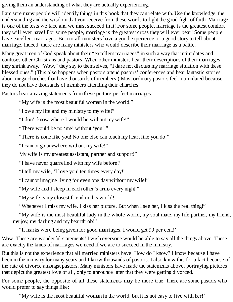giving them an understanding of what they are actually experiencing.

I am sure many people will identify things in this book that they can relate with. Use the knowledge, the understanding and the wisdom that you receive from these words to fight the good fight of faith. Marriage is one of the tests we face and we must succeed in it! For some people, marriage is the greatest comfort they will ever have! For some people, marriage is the greatest cross they will ever bear! Some people have excellent marriages. But not all ministers have a good experience or a good story to tell about marriage. Indeed, there are many ministers who would describe their marriage as a battle.

Many great men of God speak about their "excellent marriages" in such a way that intimidates and confuses other Christians and pastors. When other ministers hear their descriptions of their marriages, they shrink away. "Wow," they say to themselves, "I dare not discuss my marriage situation with these blessed ones." (This also happens when pastors attend pastors' conferences and hear fantastic stories about mega churches that have thousands of members.) Most ordinary pastors feel intimidated because they do not have thousands of members attending their churches.

Pastors hear amazing statements from these picture-perfect marriages:

"My wife is the most beautiful woman in the world."

"I owe my life and my ministry to my wife!"

"I don't know where I would be without my wife!"

"There would be no 'me' without 'you'!"

"There is none like you! No one else can touch my heart like you do!"

"I cannot go anywhere without my wife!"

My wife is my greatest assistant, partner and support!"

"I have never quarrelled with my wife before!'

"I tell my wife, 'I love you' ten times every day!"

"I cannot imagine living for even one day without my wife!"

"My wife and I sleep in each other's arms every night!"

"My wife is my closest friend in this world!"

"Whenever I miss my wife, I kiss her picture. But when I see her, I kiss the real thing!"

"My wife is the most beautiful lady in the whole world, my soul mate, my life partner, my friend, my joy, my darling and my heartthrob!"

"If marks were being given for good marriages, I would get 99 per cent!'

Wow! These are wonderful statements! I wish everyone would be able to say all the things above. These are exactly the kinds of marriages we need if we are to succeed in the ministry.

But this is not the experience that all married ministers have! How do I know? I know because I have been in the ministry for many years and I know thousands of pastors. I also know this for a fact because of the rate of divorce amongst pastors. Many ministers have made the statements above, portraying pictures that depict the greatest love of all, only to announce later that they were getting divorced.

For some people, the opposite of all these statements may be more true. There are some pastors who would prefer to say things like:

"My wife is the most beautiful woman in the world, but it is not easy to live with her!'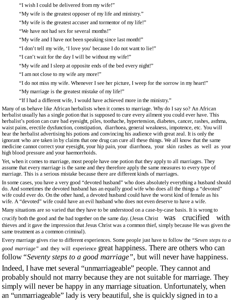"I wish I could be delivered from my wife!"

"My wife is the greatest opposer of my life and ministry."

"My wife is the greatest accuser and tormentor of my life!"

"We have not had sex for several months!"

"My wife and I have not been speaking since last month!"

"I don't tell my wife, 'I love you' because I do not want to lie!"

"I can't wait for the day I will be without my wife!"

"My wife and I sleep at opposite ends of the bed every night!"

"I am not close to my wife any more!"

"I do not miss my wife. Whenever I see her picture, I weep for the sorrow in my heart!"

"My marriage is the greatest mistake of my life!"

"If I had a different wife, I would have achieved more in the ministry."

Many of us behave like African herbalists when it comes to marriage. Why do I say so? An African herbalist usually has a single potion that is supposed to cure every ailment you could ever have. This herbalist's potion can cure bad eyesight, piles, toothache, hypertension, diabetes, cancer, rashes, asthma, waist pains, erectile dysfunction, constipation, diarrhoea, general weakness, impotence, etc. You will hear the herbalist advertising his potions and convincing his audience with great zeal. It is only the ignorant who are taken in by claims that one drug can cure all these things. We all know that the same medicine cannot correct your eyesight, your hip pain, your diarrhoea, your skin rashes as well as your high blood pressure and your haemorrhoids.

Yet, when it comes to marriage, most people have one potion that they apply to all marriages. They assume that every marriage is the same and they therefore apply the same measures to every type of marriage. This is a serious mistake because there are different kinds of marriages.

In some cases, you have a very good "devoted husband" who does absolutely everything a husband should do. And sometimes the devoted husband has an equally good wife who does all the things a "devoted" wife could ever do. On the other hand, a devoted husband could have the worst kind of female as his wife. A "devoted" wife could have an evil husband who does not even deserve to have a wife.

Many situations are so varied that they have to be understood on a case-by-case basis. It is wrong to

crucify both the good and the bad together on the same day. (Jesus Christ Was Crucified with thieves and it gave the impression that Jesus Christ was a common thief, simply because He was given the same treatment as a common criminal).

Every marriage gives rise to different experiences. Some people just have to follow the *"Seven steps to a good marriage"* and they will experience great happiness. There are others who can follow*"Seventy steps to a good marriage"* , but will never have happiness.

Indeed, I have met several "unmarriageable" people. They cannot and probably should not marry because they are not suitable for marriage. They simply will never be happy in any marriage situation. Unfortunately, when an "unmarriageable" lady is very beautiful, she is quickly signed in to a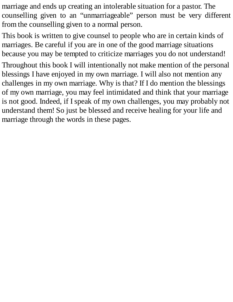marriage and ends up creating an intolerable situation for a pastor. The counselling given to an "unmarriageable" person must be very different from the counselling given to a normal person.

This book is written to give counsel to people who are in certain kinds of marriages. Be careful if you are in one of the good marriage situations because you may be tempted to criticize marriages you do not understand!

Throughout this book I will intentionally not make mention of the personal blessings I have enjoyed in my own marriage. I will also not mention any challenges in my own marriage. Why is that? If I do mention the blessings of my own marriage, you may feel intimidated and think that your marriage is not good. Indeed, if I speak of my own challenges, you may probably not understand them! So just be blessed and receive healing for your life and marriage through the words in these pages.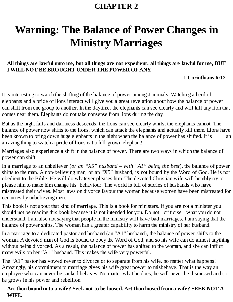## <span id="page-12-0"></span>**Warning: The Balance of Power Changes in Ministry Marriages**

#### All things are lawful unto me, but all things are not expedient: all things are lawful for me, BUT **I WILL NOT BE BROUGHT UNDER THE POWER OFANY.**

#### **1 Corinthians 6:12**

It is interesting to watch the shifting of the balance of power amongst animals. Watching a herd of elephants and a pride of lions interact will give you a great revelation about how the balance of power can shift from one group to another. In the daytime, the elephants can see clearly and will kill any lion that comes near them. Elephants do not take nonsense from lions during the day.

But as the night falls and darkness descends, the lions can see clearly whilst the elephants cannot. The balance of power now shifts to the lions, which can attack the elephants and actually kill them. Lions have been known to bring down huge elephants in the night when the balance of power has shifted. It is an amazing thing to watch a pride of lions eat a full-grown elephant!

Marriages also experience a shift in the balance of power. There are two ways in which the balance of power can shift.

In a marriage to an unbeliever (*or an "X5" husband – with "A1" being the best*), the balance of power shifts to the man. A non-believing man, or an "X5" husband, is not bound by the Word of God. He is not obedient to the Bible. He will do whatever pleases him. The devoted Christian wife will humbly try to please him to make him change his behaviour. The world is full of stories of husbands who have mistreated their wives. Most laws on divorce favour the woman because women have been mistreated for centuries by unbelieving men.

This book is not about that kind of marriage. This is a book for ministers. If you are not a minister you should not be reading this book because it is not intended for you. Do not criticise what you do not understand. I am also not saying that people in the ministry will have bad marriages. I am saying that the balance of power shifts. The woman has a greater capability to harm the ministry of her husband.

In a marriage to a dedicated pastor and husband (an "A1" husband), the balance of power shifts to the woman. A devoted man of God is bound to obey the Word of God, and so his wife can do almost anything without being divorced. As a result, the balance of power has shifted to the woman, and she can inflict many evils on her "A1" husband. This makes the wife very powerful.

The "A1" pastor has vowed never to divorce or to separate from his wife, no matter what happens! Amazingly, his commitment to marriage gives his wife great power to misbehave. That is the way an employee who can never be sacked behaves. No matter what he does, he will never be dismissed and so he grows in his power and rebellion.

#### Art thou bound unto a wife? Seek not to be loosed. Art thou loosed from a wife? SEEK NOT A **WIFE.**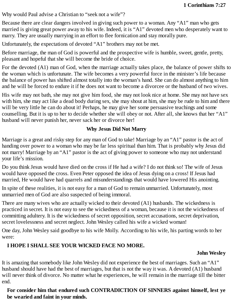Why would Paul advise a Christian to "seek not a wife"?

Because there are clear dangers involved in giving such power to a woman. Any "A1" man who gets married is giving great power away to his wife. Indeed, it is "A1" devoted men who desperately want to marry. They are usually marrying in an effort to flee fornication and stay morally pure.

Unfortunately, the expectations of devoted "A1" brothers may not be met.

Before marriage, the man of God is powerful and the prospective wife is humble, sweet, gentle, pretty, pleasant and hopeful that she will become the bride of choice.

For the devoted (A1) man of God, when the marriage actually takes place, the balance of power shifts to the woman which is unfortunate. The wife becomes a very powerful force in the minister's life because the balance of power has shifted almost totally into the woman's hand. She can do almost anything to him and he will be forced to endure it if he does not want to become a divorcee or the husband of two wives.

His wife may not bath, she may not give him food, she may not look nice at home. She may not have sex with him, she may act like a dead body during sex, she may shout at him, she may be rude to him and there will be very little he can do about it! Perhaps, he may give her some persuasive teachings and some counselling. But it is up to her to decide whether she will obey or not. After all, she knows that her "A1" husband will never punish her, never sack her or divorce her!

#### **Why Jesus Did Not Marry**

Marriage is a great and risky step for any man of God to take! Marriage by an "A1" pastor is the act of handing over power to a woman who may be far less spiritual than him. That is probably why Jesus did not marry! Marriage by an "A1" pastor is the act of giving power to someone who may not understand your life's mission.

Do you think Jesus would have died on the cross if He had a wife? I do not think so! The wife of Jesus would have opposed the cross. Even Peter opposed the idea of Jesus dying on a cross! If Jesus had married, He would have had quarrels and misunderstandings that would have lowered His anointing.

In spite of these realities, it is not easy for a man of God to remain unmarried. Unfortunately, most unmarried men of God are also suspected of being immoral.

There are many wives who are actually wicked to their devoted (A1) husbands. The wickedness is practiced in secret. It is not easy to see the wickedness of a woman, because it is not the wickedness of committing adultery. It is the wickedness of secret opposition, secret accusations, secret deprivation, secret lovelessness and secret neglect. John Wesley called his wife a wicked woman!

One day, John Wesley said goodbye to his wife Molly. According to his wife, his parting words to her were:

#### **I HOPE I SHALL SEE YOUR WICKED FACE NO MORE.**

#### **John Wesley**

It is amazing that somebody like John Wesley did not experience the best of marriages. Such an "A1" husband should have had the best of marriages, but that is not the way it was. A devoted (A1) husband will never think of divorce. No matter what he experiences, he will remain in the marriage till the bitter end.

#### **For consider him that endured such CONTRADICTION OF SINNERS against himself, lest ye be wearied and faint in your minds.**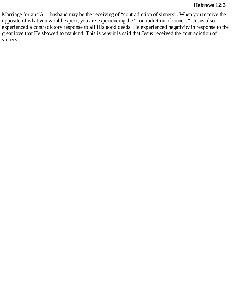#### **Hebrews 12:3**

Marriage for an "A1" husband may be the receiving of "contradiction of sinners". When you receive the opposite of what you would expect, you are experiencing the "contradiction of sinners". Jesus also experienced a contradictory response to all His good deeds. He experienced negativity in response to the great love that He showed to mankind. This is why it is said that Jesus received the contradiction of sinners.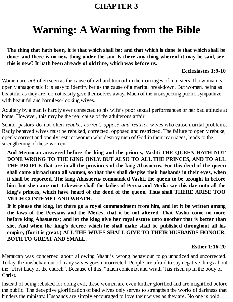## <span id="page-15-0"></span>**Warning: A Warning from the Bible**

The thing that hath been, it is that which shall be; and that which is done is that which shall be done: and there is no new thing under the sun. Is there any thing whereof it may be said, see, **this is new? It hath been already of old time, which was before us.**

#### **Ecclesiastes 1:9-10**

Women are *not* often seen as the cause of evil and turmoil in the marriages of ministers. If a woman is openly antagonistic it is easy to identify her as the cause of a marital breakdown. But women, being as beautiful as they are, do not easily give themselves away. Much of the unsuspecting public sympathize with beautiful and harmless-looking wives.

Adultery by a man is hardly ever connected to his wife's poor sexual performances or her bad attitude at home. However, this may be the real cause of the adulterous affair.

Senior pastors do not often r*ebuke, correct, oppose and restrict* wives who cause marital problems. Badly behaved wives must be rebuked, corrected, opposed and restricted. The failure to openly rebuke, openly correct and openly restrict women who destroy men of God in their marriages, leads to the strengthening of these women.

**And Memucan answered before the king and the princes, Vashti THE QUEEN HATH NOT DONE WRONG TO THE KING ONLY, BUT ALSO TO ALL THE PRINCES, AND TO ALL THE PEOPLE that are in all the provinces of the king Ahasuerus. For this deed of the queen shall come abroad unto all women, so that they shall despise their husbands in their eyes, when it shall be reported, The king Ahasuerus commanded Vashti the queen to be brought in before** him, but she came not. Likewise shall the ladies of Persia and Media say this day unto all the **king's princes, which have heard of the deed of the queen. Thus shall THERE ARISE TOO MUCH CONTEMPT AND WRATH.**

If it please the king, let there go a royal commandment from him, and let it be written among **the laws of the Persians and the Medes, that it be not altered, That Vashti come no more before king Ahasuerus; and let the king give her royal estate unto another that is better than she. And when the king's decree which he shall make shall be published throughout all his empire, (for it is great,) ALL THE WIVES SHALL GIVE TO THEIR HUSBANDS HONOUR, BOTH TO GREAT AND SMALL.**

#### **Esther 1:16-20**

Memucan was concerned about allowing Vashti's wrong behaviour to go unnoticed and uncorrected. Today, the misbehaviour of many wives goes uncorrected. People are afraid to say negative things about the "First Lady of the church". Because of this, "much contempt and wrath" has risen up in the body of Christ.

Instead of being rebuked for doing evil, these women are even further glorified and are magnified before the public. The deceptive glorification of bad wives only serves to strengthen the works of darkness that hinders the ministry. Husbands are simply encouraged to love their wives as they are. No one is bold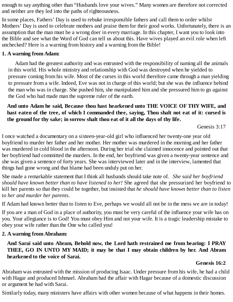enough to say anything other than "Husbands love your wives." Many women are therefore not corrected and neither are they led into the paths of righteousness.

In some places, Fathers' Day is used to rebuke irresponsible fathers and call them to order whilst Mothers' Day is used to celebrate mothers and praise them for their good works. Unfortunately, there is an assumption that the man must be a wrong doer in every marriage. In this chapter, I want you to look into the Bible and see what the Word of God can tell us about this. Have wives played an evil role when left unchecked? Here is a warning from history and a warning from the Bible!

#### **1. A warning from Adam:**

Adam had the greatest authority and was entrusted with the responsibility of naming all the animals in this world. His whole ministry and relationship with God was destroyed when he yielded to pressure coming from his wife. Most of the curses in this world therefore came through a man yielding to pressure from a wife. Indeed, Eve was not in charge of this world; but she was the influence behind the man who was in charge. She pushed him, she manipulated him and she pressured him to go against the God who had made man the supreme ruler of the earth.

#### **And unto Adam he said, Because thou hast hearkened unto THE VOICE OF THY WIFE, and** hast eaten of the tree, of which I commanded thee, saying, Thou shalt not eat of it: cursed is **the ground for thy sake; in sorrow shalt thou eat of it all the days of thy life.**

Genesis 3:17

I once watched a documentary on a sixteen-year-old girl who influenced her twenty-one year old boyfriend to murder her father and her mother. Her mother was murdered in the morning and her father was murdered in cold blood in the afternoon. During her trial she claimed innocence and pointed out that her boyfriend had committed the murders. In the end, her boyfriend was given a twenty-year sentence and she was given a sentence of forty years. She was interviewed later and in the interview, lamented that things had gone wrong and that blame had been unduly put on her.

She made a remarkable statement that I think all husbands should take note of. *She said her boyfriend should have known better than to have listened to her!* She agreed that she pressurized her boyfriend to kill her parents so that they could be together, but insisted that *he should have known better than to listen to her and murder her parents.*

If Adam had known better than to listen to Eve, perhaps we would all not be in the mess we are in today!

If you are a man of God in a place of authority, you must be very careful of the influence your wife has on you. Your allegiance is to God! You must obey Him and not your wife. It is a tragic leadership mistake to obey your wife rather than the One who called you!

#### **2. A warning from Abraham:**

**And Sarai said unto Abram, Behold now, the Lord hath restrained me from bearing: I PRAY THEE, GO IN UNTO MY MAID; it may be that I may obtain children by her. And Abram hearkened to the voice of Sarai.**

#### **Genesis 16:2**

Abraham was entrusted with the mission of producing Isaac. Under pressure from his wife, he had a child with Hagar and produced Ishmael. Abraham had the affair with Hagar because of a domestic discussion or argument he had with Sarai.

Similarly today, many ministers have affairs with other women because of what happens in their homes.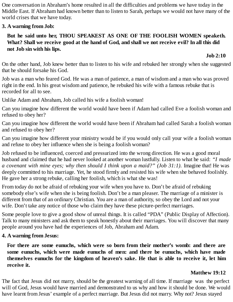One conversation in Abraham's home resulted in all the difficulties and problems we have today in the Middle East. If Abraham had known better than to listen to Sarah, perhaps we would not have many of the world crises that we have today.

#### **3. A warning from Job:**

#### **But he said unto her, THOU SPEAKEST AS ONE OF THE FOOLISH WOMEN speaketh.** What? Shall we receive good at the hand of God, and shall we not receive evil? In all this did **not Job sin with his lips.**

#### **Job 2:10**

On the other hand, Job knew better than to listen to his wife and rebuked her strongly when she suggested that he should forsake his God.

Job was a man who feared God. He was a man of patience, a man of wisdom and a man who was proved right in the end. In his great wisdom and patience, he rebuked his wife with a famous rebuke that is recorded for all to see.

Unlike Adam and Abraham, Job called his wife a foolish woman!

Can you imagine how different the world would have been if Adam had called Eve a foolish woman and refused to obey her?

Can you imagine how different the world would have been if Abraham had called Sarah a foolish woman and refused to obey her?

Can you imagine how different your ministry would be if you would only call your wife a foolish woman and refuse to obey her influence when she is being a foolish woman?

Job refused to be influenced, coerced and pressurized into the wrong direction. He was a good moral husband and claimed that he had never looked at another woman lustfully. Listen to what he said: *"I made a covenant with mine eyes; why then should I think upon a maid?" (Job 31:1).* Imagine that! He was deeply committed to his marriage. Yet, he stood firmly and resisted his wife when she behaved foolishly. He gave her a strong rebuke, calling her foolish, which is what she was!

From today do not be afraid of rebuking your wife when you have to. Don't be afraid of rebuking somebody else's wife when she is being foolish. Don't be a man pleaser. The marriage of a minister is different from that of an ordinary Christian. You are a man of authority, so obey the Lord and not your wife. Don't take any notice of those who claim they have these picture-perfect marriages.

Some people love to give a good show of unreal things. It is called "PDA" (Public Display of Affection). Talk to many ministers and ask them to speak honestly about their marriages. You will discover that many people around you have had the experiences of Job, Abraham and Adam.

#### **4. A warning from Jesus:**

**For there are some eunuchs, which were so born from their mother's womb: and there are some eunuchs, which were made eunuchs of men: and there be eunuchs, which have made themselves eunuchs for the kingdom of heaven's sake. He that is able to receive it, let him receive it.**

#### **Matthew 19:12**

The fact that Jesus did not marry, should be the greatest warning of all time. If marriage was the perfect will of God, Jesus would have married and demonstrated to us why and how it should be done. We would have learnt from Jesus' example of a perfect marriage. But Jesus did not marry. Why not? Jesus stayed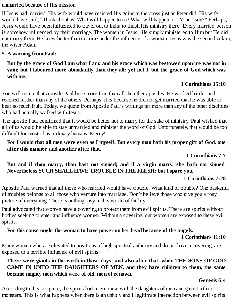unmarried because of His mission.

If Jesus had married, His wife would have resisted His going to the cross just as Peter did. His wife would have said, "Think about us. What will happen to us? What will happen to Your son?" Perhaps, Jesus would have been influenced to travel out to India to finish His ministry there. Every married person is somehow influenced by their marriage. The women in Jesus' life simply ministered to Him but He did not marry them. He knew better than to come under the influence of a woman. Jesus was the second Adam, the wiser Adam!

#### **5. A warning from Paul:**

#### But by the grace of God I am what I am: and his grace which was bestowed upon me was not in vain; but I laboured more abundantly than they all: yet not I, but the grace of God which was **with me.**

#### **1 Corinthians 15:10**

You will notice that Apostle Paul bore more fruit than all the other apostles. He worked harder and reached further than any of the others. Perhaps, it is because he did not get married that he was able to bear so much fruit. Today, we quote from Apostle Paul's writings far more than any of the other disciples who had actually walked with Jesus.

The apostle Paul confirmed that it would be better not to marry for the sake of ministry. Paul wished that all of us would be able to stay unmarried and minister the word of God. Unfortunately, that would be too difficult for most of us ordinary humans. Mercy!

For I would that all men were even as I myself. But every man hath his proper gift of God, one **after this manner, and another after that.**

**1 Corinthians 7:7**

#### **But and if thou marry, thou hast not sinned; and if a virgin marry, she hath not sinned. Nevertheless SUCH SHALL HAVE TROUBLE IN THE FLESH: but I spare you.**

#### **1 Corinthians 7:28**

Apostle Paul warned that all those who married would have trouble. What kind of trouble? One basketful of troubles belongs to all those who venture into marriage. Don't believe those who give you a rosy picture of everything. There is nothing rosy in this world of futility!

Paul advocated that women have a covering to protect them from evil spirits. There are spirits without bodies seeking to enter and influence women. Without a covering, our women are exposed to these evil spirits.

#### **For this cause ought the woman to have power on her head because of the angels.**

#### **1 Corinthians 11:10**

Many women who are elevated to positions of high spiritual authority and do not have a covering, are exposed to a terrible influence of evil spirits.

#### **There were giants in the earth in those days; and also after that, when THE SONS OF GOD CAME IN UNTO THE DAUGHTERS OF MEN, and they bare children to them, the same became mighty men which were of old, men of renown.**

#### **Genesis 6:4**

According to this scripture, the spirits had intercourse with the daughters of men and gave birth to monsters. This is what happens when there is an unholy and illegitimate interaction between evil spirits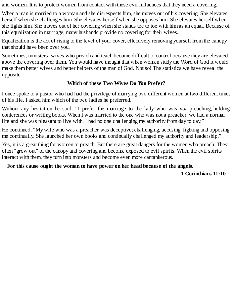and women. It is to protect women from contact with these evil influences that they need a covering.

When a man is married to a woman and she disrespects him, she moves out of his covering. She elevates herself when she challenges him. She elevates herself when she opposes him. She elevates herself when she fights him. She moves out of her covering when she stands toe to toe with him as an equal. Because of this equalization in marriage, many husbands provide no covering for their wives.

Equalization is the act of rising to the level of your cover, effectively removing yourself from the canopy that should have been over you.

Sometimes, ministers' wives who preach and teach become difficult to control because they are elevated above the covering over them. You would have thought that when women study the Word of God it would make them better wives and better helpers of the man of God. Not so! The statistics we have reveal the opposite.

#### **Which of these Two Wives Do You Prefer?**

I once spoke to a pastor who had had the privilege of marrying two different women at two different times of his life. I asked him which of the two ladies he preferred.

Without any hesitation he said, "I prefer the marriage to the lady who was *not* preaching, holding conferences or writing books. When I was married to the one who was not a preacher, we had a normal life and she was pleasant to live with. I had no one challenging my authority from day to day."

He continued, "My wife who was a preacher was deceptive; challenging, accusing, fighting and opposing me continually. She launched her own books and continually challenged my authority and leadership."

Yes, it is a great thing for women to preach. But there are great dangers for the women who preach. They often "grow out" of the canopy and covering and become exposed to evil spirits. When the evil spirits interact with them, they turn into monsters and become even more cantankerous.

#### **For this cause ought the woman to have power on her head because of the angels.**

#### **1 Corinthians 11:10**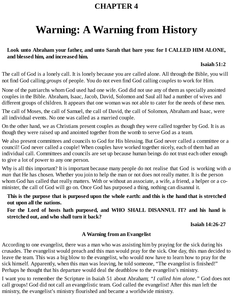## <span id="page-20-0"></span>**Warning: A Warning from History**

#### **Look unto Abraham your father, and unto Sarah that bare you: for I CALLED HIM ALONE, and blessed him, and increased him.**

#### **Isaiah 51:2**

The call of God is a lonely call. It is lonely because you are called alone. All through the Bible, you will not find God calling *groups* of people. You do not even find God calling *couples* to work for Him.

None of the patriarchs whom God used had one wife. God did not use any of them as specially anointed couples in the Bible. Abraham, Isaac, Jacob, David, Solomon and Saul all had a number of wives and different groups of children. It appears that one woman was not able to cater for the needs of these men.

The call of Moses, the call of Samuel, the call of David, the call of Solomon, Abraham and Isaac, were all individual events. No one was called as a married couple.

On the other hand, we as Christians present couples as though they were called together by God. It is as though they were raised up and anointed together from the womb to serve God as a team.

We also present committees and councils to God for His blessing. But God never called a committee or a council! God never called a couple! When couples have worked together nicely, each of them had an individual call. Committees and councils are set up because human beings do not trust each other enough to give a lot of power to any one person.

Why is all this important? It is important because many people do not realise that God is working with *a man* that He has chosen. Whether you join to help the man or not does not really matter. It is the person whom God has called that really matters. With or without an associate, a wife, a friend, a helper or a cominister, the call of God will go on. Once God has purposed a thing, nothing can disannul it.

This is the purpose that is purposed upon the whole earth: and this is the hand that is stretched **out upon all the nations.**

**For the Lord of hosts hath purposed, and WHO SHALL DISANNUL IT? and his hand is stretched out, and who shall turn it back?**

**Isaiah 14:26-27**

#### **A Warning from an Evangelist**

According to one evangelist, there was a man who was assisting him by praying for the sick during his crusades. The evangelist would preach and this man would pray for the sick. One day, this man decided to leave the team. This was a big blow to the evangelist, who would now have to learn how to pray for the sick himself. Apparently, when this man was leaving, he told someone, "The evangelist is finished!" Perhaps he thought that his departure would deal the deathblow to the evangelist's ministry.

I want you to remember the Scripture in Isaiah 51 about Abraham; *"I called him alone."* God does not call groups! God did not call an evangelistic team. God called the evangelist! After this man left the ministry, the evangelist's ministry flourished and became a worldwide ministry.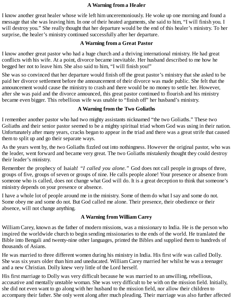#### **A Warning from a Healer**

I know another great healer whose wife left him unceremoniously. He woke up one morning and found a message that she was leaving him. In one of their heated arguments, she said to him, "I will finish you. I will destroy you." She really thought that her departure would be the end of this healer's ministry. To her surprise, the healer's ministry continued successfully after her departure.

#### **A Warning from a Great Pastor**

I know another great pastor who had a huge church and a thriving international ministry. He had great conflicts with his wife. At a point, divorce became inevitable. Her husband described to me how he begged her not to leave him. She also said to him, "I will finish you!"

She was so convinced that her departure would finish off the great pastor's ministry that she asked to be paid her divorce settlement before the announcement of their divorce was made public. She felt that the announcement would cause the ministry to crash and there would be no money to settle her. However, after she was paid and the divorce announced, this great pastor continued to flourish and his ministry became even bigger. This rebellious wife was unable to "finish off" her husband's ministry.

#### **A Warning from the Two Goliaths**

I remember another pastor who had two mighty assistants nicknamed "the two Goliaths." These two Goliaths and their senior pastor seemed to be a mighty spiritual triad whom God was using in their nation. Unfortunately after many years, cracks began to appear in the triad and there was a great strife that caused them to split up and go their separate ways.

As the years went by, the two Goliaths fizzled out into nothingness. However the original pastor, who was the leader, went forward and became very great. The two Goliaths mistakenly thought they could destroy their leader's ministry.

Remember the prophecy of Isaiah! *"I called you alone."* God does not call people in groups of three, groups of five, groups of seven or groups of nine. He calls people alone! Your presence or absence from someone who is called, does not change what God will do. It is a great deception to think that someone's ministry depends on your presence or absence.

I have a whole lot of people around me in the ministry. Some of them do what I say and some do not. Some obey me and some do not. But God called me alone. Their presence, their obedience or their absence, will not change anything.

#### **A Warning from William Carey**

William Carey, known as the father of modern missions, was a missionary to India. He is the person who inspired the worldwide church to begin sending missionaries to the ends of the world. He translated the Bible into Bengali and twenty-nine other languages, printed the Bibles and supplied them to hundreds of thousands of Asians.

He was married to three different women during his ministry in India. His first wife was called Dolly. She was six years older than him and uneducated. William Carey married her whilst he was a teenager and a new Christian. Dolly knew very little of the Lord herself.

His first marriage to Dolly was very difficult because he was married to an unwilling, rebellious, accusative and mentally unstable woman. She was very difficult to be with on the mission field. Initially, she did not even want to go along with her husband to the mission field, nor allow their children to accompany their father. She only went along after much pleading. Their marriage was also further affected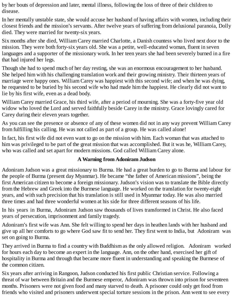by her bouts of depression and later, mental illness, following the loss of three of their children to disease.

In her mentally unstable state, she would accuse her husband of having affairs with women, including their closest friends and the mission's servants. After twelve years of suffering from delusional paranoia, Dolly died. They were married for twenty-six years.

Six months after she died, William Carey married Charlotte, a Danish countess who lived next door to the mission. They were both forty-six years old. She was a petite, well-educated woman, fluent in seven languages and a supporter of the missionary work. In her teen years she had been severely burned in a fire that had injured her legs.

Though she had to spend much of her day resting, she was an enormous encouragement to her husband. She helped him with his challenging translation work and their growing ministry. Their thirteen years of marriage were happy ones. William Carey was happiest with this second wife; and when he was dying, he requested to be buried by his second wife who had made him the happiest. He clearly did not want to lie by his first wife, even as a dead body.

William Carey married Grace, his third wife, after a period of mourning. She was a forty-five year old widow who loved the Lord and served faithfully beside Carey in the ministry. Grace lovingly cared for Carey during their eleven years together.

As you can see the presence or absence of any of these women did not in any way prevent William Carey from fulfilling his calling. He was not called as part of a group. He was called alone!

In fact, his first wife did not even want to go on the mission with him. Each woman that was attached to him was privileged to be part of the great mission that was accomplished. But it was he, William Carey, who was called and set apart for modern missions. God called William Carey alone.

#### **A Warning from Adoniram Judson**

Adoniram Judson was a great missionary to Burma. He had a great burden to go to Burma and labour for the people of Burma (present day Myanmar). He became "the father of American missions", being the first American citizen to become a foreign missionary. Judson's vision was to translate the Bible directly from the Hebrew and Greek into the Burmese language. He worked on the translation for twenty-eight years, and with such precision that his translation is still used in Myanmar today. He was also married three times and had three wonderful women at his side for three different seasons of his life.

In his years in Burma, Adoniram Judson saw thousands of lives transformed in Christ. He also faced years of persecution, imprisonment and family tragedy.

Adoniram's first wife was Ann. She felt willing to spend her days in heathen lands with her husband and give up all her comforts to go where God saw fit to send her. They first went to India, but Adoniram was set on going to Burma.

They arrived in Burma to find a country with Buddhism as the only allowed religion. Adoniram worked for hours each day to become an expert in the language. Ann, on the other hand, exercised her gift of hospitality in Burma and through that became more fluent in understanding and speaking the Burmese of the common citizen.

Six years after arriving in Rangoon, Judson conducted his first public Christian service. Following a threat of war between Britain and the Burmese emperor, Adoniram was thrown into prison for seventeen months. Prisoners were not given food and many starved to death. A prisoner could only get food from friends who visited and prisoners underwent special torture sessions in the prison. Ann went to see every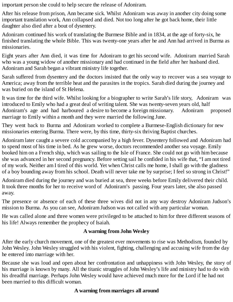important person she could to help secure the release of Adoniram.

After his release from prison, Ann became sick. Whilst Adoniram was away in another city doing some important translation work, Ann collapsed and died. Not too long after he got back home, their little daughter also died after a bout of dysentery.

Adoniram continued his work of translating the Burmese Bible and in 1834, at the age of forty-six, he finished translating the whole Bible. This was twenty-one years after he and Ann had arrived in Burma as missionaries.

Eight years after Ann died, it was time for Adoniram to get his second wife. Adoniram married Sarah who was a young widow of another missionary and had continued in the field after her husband died. Adoniram and Sarah began a vibrant ministry life together.

Sarah suffered from dysentery and the doctors insisted that the only way to recover was a sea voyage to America; away from the terrible heat and the parasites in the tropics. Sarah died during the journey and was buried on the island of St Helena.

It was time for the third wife. Whilst looking for a biographer to write Sarah's life story, Adoniram was introduced to Emily who had a great deal of writing talent. She was twenty-seven years old, half Adoniram's age and had harboured a desire to become a foreign missionary. Adoniram proposed marriage to Emily within a month and they were married the following June.

They went back to Burma and Adoniram worked to complete a Burmese-English dictionary for new missionaries entering Burma. There were, by this time, thirty-six thriving Baptist churches.

Adoniram later caught a severe cold accompanied by a high fever. Dysentery followed and Adoniram had to spend most of his time in bed. As he grew worse, doctors recommended another sea voyage. Emily booked him on a French ship, which was sailing to the Isle of France. She could not go with him because she was advanced in her second pregnancy. Before setting sail he confided in his wife that, "I am not tired of my work. Neither am I tired of this world. Yet when Christ calls me home, I shall go with the gladness of a boy bounding away from his school. Death will never take me by surprise; I feel so strong in Christ!"

Adoniram died during the journey and was buried at sea, three weeks before Emily delivered their child. It took three months for her to receive word of Adoniram's passing. Four years later, she also passed away.

The presence or absence of each of these three wives did not in any way destroy Adoniram Judson's mission to Burma. As you can see, Adoniram Judson was not called with any particular woman.

He was called alone and three women were privileged to be attached to him for three different seasons of his life! Always remember the prophecy of Isaiah.

#### **A warning from John Wesley**

After the early church movement, one of the greatest ever movements to rise was Methodism, founded by John Wesley. John Wesley struggled with his violent, fighting, challenging and accusing wife from the day he entered into marriage with her.

Because she was loud and open about her confrontation and unhappiness with John Wesley, the story of his marriage is known by many. All the titanic struggles of John Wesley's life and ministry had to do with his dreadful marriage. Perhaps John Wesley would have achieved much more for the Lord if he had not been married to this difficult woman.

#### **A warning from marriages all around**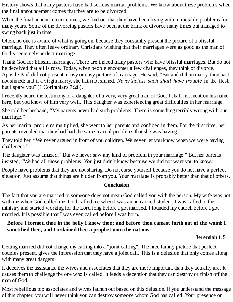History shows that many pastors have had serious marital problems. We know about these problems when the final announcement comes that they are to be divorced.

When the final announcement comes, we find out that they have been living with intractable problems for many years. Some of the divorcing pastors have been at the brink of divorce many times but managed to swing back just in time.

Often, no one is aware of what is going on, because they constantly present the picture of a blissful marriage. They often leave ordinary Christians wishing that their marriages were as good as the man of God's seemingly perfect marriage.

Thank God for blissful marriages. There are indeed many pastors who have blissful marriages. But do not be deceived that all is rosy. Today, when people encounter a few challenges, they think of divorce. Apostle Paul did not present a rosy or easy picture of marriage. He said, "But and if thou marry, thou hast not sinned; and if a virgin marry, she hath not sinned. *Nevertheless such shall have trouble* in the flesh: but I spare you" (1 Corinthians 7:28).

I recently heard the testimony of a daughter of a very, very great man of God. I shall not mention his name here, but you know of him very well. This daughter was experiencing great difficulties in her marriage.

She told her husband, "My parents never had such problems. There is something terribly wrong with our marriage."

As her marital problems multiplied, she went to her parents and confided in them. For the first time, her parents revealed that they had had the same marital problems that she was having.

They told her, "We never argued in front of you children. We never let you know when we were having challenges."

The daughter was amazed. "But we never saw any kind of problem in your marriage." But her parents insisted, "We had all those problems. You just didn't know because we did not want you to know."

People have problems that they are not sharing. Do not curse yourself because you do not have a perfect situation. Just assume that things are hidden from you. Your marriage is probably better than that of others.

#### **Conclusion**

The fact that you are married to someone does not mean God called you with the person. My wife was not with me when God called me. God called me when I was an unmarried student. I was called to the ministry and started working for the Lord long before I got married. I founded my church before I got married. It is possible that I was even called before I was born.

#### Before I formed thee in the belly I knew thee; and before thou camest forth out of the womb I **sanctified thee, and I ordained thee a prophet unto the nations.**

#### **Jeremiah 1:5**

Getting married did not change my calling into a "joint calling". The nice family picture that perfect couples present, gives the impression that they have a joint call. This is a delusion that only comes along with many great dangers.

It deceives the assistants, the wives and associates that they are more important than they actually are. It causes them to challenge the one who is called. It feeds a deception that they can destroy or finish off the man of God.

Most rebellious top associates and wives launch out based on this delusion. If you understand the message of this chapter, you will never think you can destroy someone whom God has called. Your presence or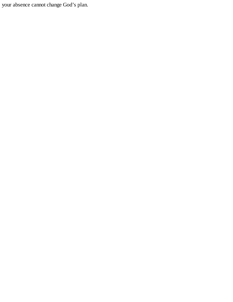your absence cannot change God's plan.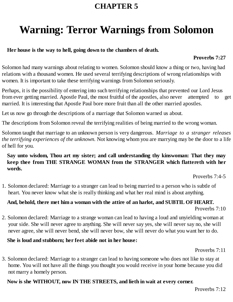## <span id="page-26-0"></span>**Warning: Terror Warnings from Solomon**

#### **Her house is the way to hell, going down to the chambers of death.**

#### **Proverbs 7:27**

Solomon had many warnings about relating to women. Solomon should know a thing or two, having had relations with a thousand women. He used several terrifying descriptions of wrong relationships with women. It is important to take these terrifying warnings from Solomon seriously.

Perhaps, it is the possibility of entering into such terrifying relationships that prevented our Lord Jesus from ever getting married. Apostle Paul, the most fruitful of the apostles, also never attempted to get married. It is interesting that Apostle Paul bore more fruit than all the other married apostles.

Let us now go through the descriptions of a marriage that Solomon warned us about.

The descriptions from Solomon reveal the terrifying realities of being married to the wrong woman.

Solomon taught that marriage to an unknown person is very dangerous. *Marriage to a stranger releases the terrifying experiences of the unknown.* Not knowing whom you are marrying may be the door to a life of hell for you.

#### **Say unto wisdom, Thou art my sister; and call understanding thy kinswoman: That they may keep thee from THE STRANGE WOMAN from the STRANGER which flattereth with her words.**

Proverbs 7:4-5

1. Solomon declared: Marriage to a stranger can lead to being married to a person who is subtle of heart. You never know what she is really thinking and what her real mind is about anything.

#### **And, behold, there met him a woman with the attire of an harlot, and SUBTIL OFHEART.** Proverbs 7:10

2. Solomon declared: Marriage to a strange woman can lead to having a loud and unyielding woman at your side. She will never agree to anything. She will never say yes, she will never say no, she will never agree, she will never bend, she will never bow, she will never do what you want her to do.

#### **She is loud and stubborn; her feet abide not in her house:**

Proverbs 7:11

3. Solomon declared: Marriage to a stranger can lead to having someone who does not like to stay at home. You will not have all the things you thought you would receive in your home because you did not marry a homely person.

#### **Now is she WITHOUT, now IN THE STREETS, and lieth in wait at every corner.**

Proverbs 7:12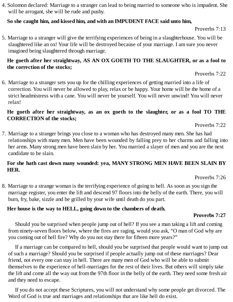4. Solomon declared: Marriage to a stranger can lead to being married to someone who is impudent. She will be arrogant, she will be rude and pushy.

#### **So she caught him, and kissed him, and with an IMPUDENT FACE said unto him,**

Proverbs 7:13

5. Marriage to a stranger will give the terrifying experiences of being in a slaughterhouse. You will be slaughtered like an ox! Your life will be destroyed because of your marriage. I am sure you never imagined being slaughtered through marriage.

#### **He goeth after her straightway, AS AN OX GOETH TO THE SLAUGHTER, or as a fool to the correction of the stocks;**

Proverbs 7:22

6. Marriage to a stranger sets you up for the chilling experiences of getting married into a life of correction. You will never be allowed to play, relax or be happy. Your home will be the home of a strict headmistress with a cane. You will never be yourself. You will never unwind! You will never relax!

#### **He goeth after her straightway, as an ox goeth to the slaughter, or as a fool TO THE CORRECTION of the stocks;**

Proverbs 7:22

7. Marriage to a stranger brings you close to a woman who has destroyed many men. She has had relationships with many men. Men have been wounded by falling prey to her charms and falling into her arms. Many strong men have been slain by her. You married a slayer of men and you are the next candidate to be slain.

#### **For she hath cast down many wounded: yea, MANY STRONG MEN HAVE BEEN SLAIN BY HER.**

Proverbs 7:26

8. Marriage to a strange woman is the terrifying experience of going to hell. As soon as you sign the marriage register, you enter the lift and descend 97 floors into the belly of the earth. There, you will burn, fry, bake, sizzle and be grilled by your wife until death do you part.

#### **Her house is the way to HELL, going down to the chambers of death.**

#### **Proverbs 7:27**

Should you be surprised when people jump out of hell? If you see a man taking a lift and coming from ninety-seven floors below, where the fires are raging, would you ask, "O man of God why are you coming out of hell fire? Why do you not stay there for fifteen more years?"

If a marriage can be compared to hell, should you be surprised that people would want to jump out of such a marriage? Should you be surprised if people actually jump out of these marriages? Dear friend, not every one can stay in hell. There are many men of God who will be able to submit themselves to the experience of hell-marriages for the rest of their lives. But others will simply take the lift and come all the way out from the 97th floor in the belly of the earth. They need some fresh air and they need to escape.

If you do not accept these Scriptures, you will not understand why some people get divorced. The Word of God is true and marriages and relationships that are like hell do exist.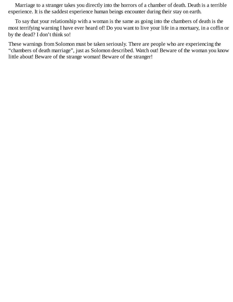Marriage to a stranger takes you directly into the horrors of a chamber of death. Death is a terrible experience. It is the saddest experience human beings encounter during their stay on earth.

To say that your relationship with a woman is the same as going into the chambers of death is the most terrifying warning I have ever heard of! Do you want to live your life in a mortuary, in a coffin or by the dead? I don't think so!

These warnings from Solomon must be taken seriously. There are people who are experiencing the "chambers of death marriage", just as Solomon described. Watch out! Beware of the woman you know little about! Beware of the strange woman! Beware of the stranger!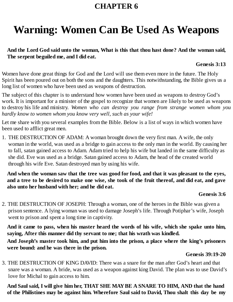## <span id="page-29-0"></span>**Warning: Women Can Be Used As Weapons**

#### **And the Lord God said unto the woman, What is this that thou hast done? And the woman said, The serpent beguiled me, and I did eat.**

#### **Genesis 3:13**

Women have done great things for God and the Lord will use them even more in the future. The Holy Spirit has been poured out on both the sons and the daughters. This notwithstanding, the Bible gives us a long list of women who have been used as weapons of destruction.

The subject of this chapter is to understand how women have been used as weapons to destroy God's work. It is important for a minister of the gospel to recognize that women are likely to be used as weapons to destroy his life and ministry. *Women who can destroy you range from strange women whom you hardly know to women whom you know very well, such as your wife!*

Let me share with you several examples from the Bible. Below is a list of ways in which women have been used to afflict great men.

1. THE DESTRUCTION OF ADAM: A woman brought down the very first man. A wife, the only woman in the world, was used as a bridge to gain access to the only man in the world. By causing her to fall, satan gained access to Adam. Adam tried to help his wife but landed in the same difficulty as she did. Eve was used as a bridge. Satan gained access to Adam, the head of the created world through his wife Eve. Satan destroyed man by using his wife.

And when the woman saw that the tree was good for food, and that it was pleasant to the eyes, and a tree to be desired to make one wise, she took of the fruit thereof, and did eat, and gave **also unto her husband with her; and he did eat.**

#### **Genesis 3:6**

2. THE DESTRUCTION OF JOSEPH: Through a woman, one of the heroes in the Bible was given a prison sentence. A lying woman was used to damage Joseph's life. Through Potiphar's wife, Joseph went to prison and spent a long time in captivity.

**And it came to pass, when his master heard the words of his wife, which she spake unto him, saying, After this manner did thy servant to me; that his wrath was kindled. And Joseph's master took him, and put him into the prison, a place where the king's prisoners**

**were bound: and he was there in the prison.**

#### **Genesis 39:19-20**

3. THE DESTRUCTION OF KING DAVID: There was a snare for the man after God's heart and that snare was a woman. A bride, was used as a weapon against king David. The plan was to use David's love for Michal to gain access to him.

**And Saul said, I will give him her, THAT SHE MAYBE A SNARE TO HIM, AND that the hand of the Philistines may be against him. Wherefore Saul said to David, Thou shalt this day be my**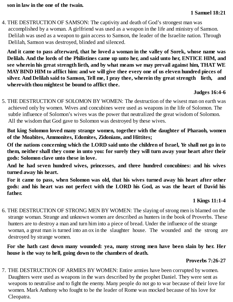4. THE DESTRUCTION OF SAMSON: The captivity and death of God's strongest man was accomplished by a woman. A girlfriend was used as a weapon in the life and ministry of Samson. Delilah was used as a weapon to gain access to Samson, the leader of the Israelite nation. Through Delilah, Samson was destroyed, blinded and silenced.

**And it came to pass afterward, that he loved a woman in the valley of Sorek, whose name was Delilah. And the lords of the Philistines came up unto her, and said unto her, ENTICE HIM, and see wherein his great strength lieth, and by what means we may prevail against him, THAT WE MAYBIND HIM to afflict him: and we will give thee every one of us eleven hundred pieces of silver. And Delilah said to Samson, Tell me, I pray thee, wherein thy great strength lieth, and wherewith thou mightest be bound to afflict thee.**

#### **Judges 16:4-6**

5. THE DESTRUCTION OF SOLOMON BY WOMEN: The destruction of the wisest man on earth was achieved only by women. Wives and concubines were used as weapons in the life of Solomon. The subtle influence of Solomon's wives was the power that neutralized the great wisdom of Solomon. All the wisdom that God gave to Solomon was destroyed by these wives.

**But king Solomon loved many strange women, together with the daughter of Pharaoh, women of the Moabites, Ammonites, Edomites, Zidonians, and Hittites;**

Of the nations concerning which the LORD said unto the children of Israel, Ye shall not go in to **them, neither shall they come in unto you: for surely they will turn away your heart after their gods: Solomon clave unto these in love.**

**And he had seven hundred wives, princesses, and three hundred concubines: and his wives turned away his heart.**

**For it came to pass, when Solomon was old, that his wives turned away his heart after other gods: and his heart was not perfect with the LORD his God, as was the heart of David his father.**

#### **1 Kings 11:1-4**

6. THE DESTRUCTION OF STRONG MEN BY WOMEN: The slaying of strong men is blamed on the strange woman. Strange and unknown women are described as hunters in the book of Proverbs. These hunters are to destroy a man and turn him into a piece of bread. Under the influence of the strange woman, a great man is turned into an ox in the slaughter house. The wounded and the strong are destroyed by strange women.

**For she hath cast down many wounded: yea, many strong men have been slain by her. Her house is the way to hell, going down to the chambers of death.**

#### **Proverbs 7:26-27**

7. THE DESTRUCTION OF ARMIES BY WOMEN: Entire armies have been corrupted by women. Daughters were used as weapons in the wars described by the prophet Daniel. They were sent as weapons to neutralise and to fight the enemy. Many people do not go to war because of their love for women. Mark Anthony who fought to be the leader of Rome was mocked because of his love for Cleopatra.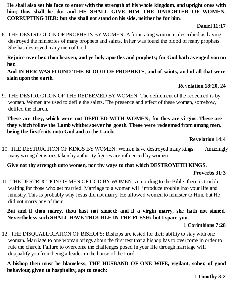He shall also set his face to enter with the strength of his whole kingdom, and upright ones with **him; thus shall he do: and HE SHALL GIVE HIM THE DAUGHTER OF WOMEN, CORRUPTING HER: but she shall not stand on his side, neither be for him.**

#### **Daniel 11:17**

8. THE DESTRUCTION OF PROPHETS BY WOMEN: A fornicating woman is described as having destroyed the ministries of many prophets and saints. In her was found the blood of many prophets. She has destroyed many men of God.

**Rejoice over her, thou heaven, and ye holy apostles and prophets; for God hath avenged you on her.**

**And IN HER WAS FOUND THE BLOOD OF PROPHETS, and of saints, and of all that were slain upon the earth.**

#### **Revelation 18:20, 24**

9. THE DESTRUCTION OF THE REDEEMED BY WOMEN: The defilement of the redeemed is by women. Women are used to defile the saints. The presence and effect of these women, somehow, defiled the church.

**These are they, which were not DEFILED WITH WOMEN; for they are virgins. These are they which follow the Lamb whithersoever he goeth. These were redeemed from among men, being the firstfruits unto God and to the Lamb.**

#### **Revelation 14:4**

10. THE DESTRUCTION OF KINGS BY WOMEN: Women have destroyed many kings. Amazingly many wrong decisions taken by authority figures are influenced by women.

#### **Give not thy strength unto women, nor thy ways to that which DESTROYETH KINGS.**

#### **Proverbs 31:3**

11. THE DESTRUCTION OF MEN OF GOD BY WOMEN: According to the Bible, there is trouble waiting for those who get married. Marriage to a woman will introduce trouble into your life and ministry. This is probably why Jesus did not marry. He allowed women to minister to Him, but He did not marry any of them.

**But and if thou marry, thou hast not sinned; and if a virgin marry, she hath not sinned. Nevertheless such SHALL HAVE TROUBLE IN THE FLESH: but I spare you.**

#### **1 Corinthians 7:28**

12. THE DISQUALIFICATION OF BISHOPS: Bishops are tested for their ability to stay with one woman. Marriage to one woman brings about the first test that a bishop has to overcome in order to rule the church. Failure to overcome the challenges posed in your life through marriage will disqualify you from being a leader in the house of the Lord.

**A bishop then must be blameless, THE HUSBAND OF ONE WIFE, vigilant, sober, of good behaviour, given to hospitality, apt to teach;**

**1 Timothy 3:2**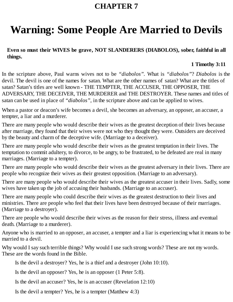## <span id="page-32-0"></span>**Warning: Some People Are Married to Devils**

**Even so must their WIVES be grave, NOT SLANDERERS (DIABOLOS), sober, faithful in all things.**

#### **1 Timothy 3:11**

In the scripture above, Paul warns wives not to be *"diabolos".* What is *"diabolos"*? *Diabolos* is the devil. The devil is one of the names for satan. What are the other names of satan? What are the titles of satan? Satan's titles are well known - THE TEMPTER, THE ACCUSER, THE OPPOSER, THE ADVERSARY, THE DECEIVER, THE MURDERER and THE DESTROYER. These names and titles of satan can be used in place of *"diabolos"*, in the scripture above and can be applied to wives.

When a pastor or deacon's wife becomes a devil, she becomes an adversary, an opposer, an accuser, a tempter, a liar and a murderer.

There are many people who would describe their wives as the greatest deception of their lives because after marriage, they found that their wives were not who they thought they were. Outsiders are deceived by the beauty and charm of the deceptive wife. (Marriage to a deceiver).

There are many people who would describe their wives as the greatest temptation in their lives. The temptation to commit adultery, to divorce, to be angry, to be frustrated, to be defeated are real in many marriages. (Marriage to a tempter).

There are many people who would describe their wives as the greatest adversary in their lives. There are people who recognize their wives as their greatest opposition. (Marriage to an adversary).

There are many people who would describe their wives as the greatest accuser in their lives. Sadly, some wives have taken up the job of accusing their husbands. (Marriage to an accuser).

There are many people who could describe their wives as the greatest destruction to their lives and ministries. There are people who feel that their lives have been destroyed because of their marriages. (Marriage to a destroyer).

There are people who would describe their wives as the reason for their stress, illness and eventual death. (Marriage to a murderer).

Anyone who is married to an opposer, an accuser, a tempter and a liar is experiencing what it means to be married to a devil.

Why would I say such terrible things? Why would I use such strong words? These are not my words. These are the words found in the Bible.

Is the devil a destroyer? Yes, he is a thief and a destroyer (John 10:10).

Is the devil an opposer? Yes, he is an opposer (1 Peter 5:8).

Is the devil an accuser? Yes, he is an accuser (Revelation 12:10)

Is the devil a tempter? Yes, he is a tempter (Matthew 4:3)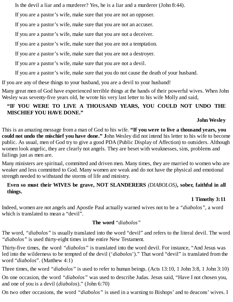Is the devil a liar and a murderer? Yes, he is a liar and a murderer (John 8:44).

If you are a pastor's wife, make sure that you are not an opposer.

If you are a pastor's wife, make sure that you are not an accuser.

If you are a pastor's wife, make sure that you are not a deceiver.

If you are a pastor's wife, make sure that you are not a temptation.

If you are a pastor's wife, make sure that you are not a destroyer.

If you are a pastor's wife, make sure that you are not a devil.

If you are a pastor's wife, make sure that you do not cause the death of your husband.

If you are any of these things to your husband, you are a devil to your husband!

Many great men of God have experienced terrible things at the hands of their powerful wives. When John Wesley was seventy-five years old, he wrote his very last letter to his wife Molly and said,

#### **"IF YOU WERE TO LIVE A THOUSAND YEARS, YOU COULD NOT UNDO THE MISCHIEFYOU HAVE DONE."**

#### **John Wesley**

This is an amazing message from a man of God to his wife. **"If you were to live a thousand years, you could not undo the mischief you have done." J**ohn Wesley did not intend his letter to his wife to become public. As usual, men of God try to give a good PDA (Public Display of Affection) to outsiders. Although women look angelic, they are clearly not angels. They are beset with weaknesses, sins, problems and failings just as men are.

Many ministers are spiritual, committed and driven men. Many times, they are married to women who are weaker and less committed to God. Many women are weak and do not have the physical and emotional strength needed to withstand the storms of life and ministry.

#### **Even so must their WIVES be grave, NOT SLANDERERS** *(DIABOLOS)***, sober, faithful in all things.**

#### **1 Timothy 3:11**

Indeed, women are not angels and Apostle Paul actually warned wives not to be a *"diabolos",* a word which is translated to mean a "devil".

#### **The word** *"diabolos"*

The word, *"diabolos"* is usually translated into the word "devil" and refers to the literal devil. The word *"diabolos"* is used thirty-eight times in the entire New Testament.

Thirty-five times, the word *"diabolos"* is translated into the word devil. For instance, "And Jesus was led into the wilderness to be tempted of the devil ('*diabolos*')." That word "devil" is translated from the word "*diabolos*". (Matthew 4:1)

Three times, the word *"diabolos"* is used to refer to human beings. (Acts 13:10, 1 John 3:8, 1 John 3:10)

On one occasion, the word *"diabolos"* was used to describe Judas. Jesus said, "Have I not chosen you, and one of you is a devil (*diabolos*)." (John 6:70)

On two other occasions, the word *"diabolos"* is used in a warning to Bishops' and to deacons' wives. I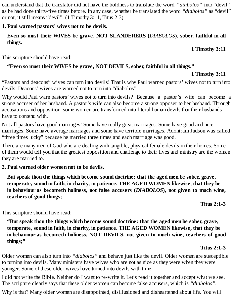can understand that the translator did not have the boldness to translate the word *"diabolos"* into "devil" as he had done thirty-five times before. In any case, whether he translated the word *"diabolos"* as "devil" or not, it still means "devil". (1 Timothy 3:11, Titus 2:3)

#### **1. Paul warned pastors' wives not to be devils.**

#### **Even so must their WIVES be grave, NOT SLANDERERS (***DIABOLOS***), sober, faithful in all things.**

**1 Timothy 3:11**

This scripture should have read:

#### **"Even so must their WIVES be grave, NOT DEVILS, sober, faithful in all things."**

#### **1 Timothy 3:11**

"Pastors and deacons" wives can turn into devils! That is why Paul warned pastors' wives not to turn into devils. Deacons' wives are warned not to turn into "diabolos".

Why would Paul warn pastors' wives not to turn into devils? Because a pastor's wife can become a strong accuser of her husband. A pastor's wife can also become a strong opposer to her husband. Through accusations and opposition, some women are transformed into literal human devils that their husbands have to contend with.

Not all pastors have good marriages! Some have really great marriages. Some have good and nice marriages. Some have average marriages and some have terrible marriages. Adoniram Judson was called "three times lucky" because he married three times and each marriage was good.

There are many men of God who are dealing with tangible, physical female devils in their homes. Some of them would tell you that the greatest opposition and challenge to their lives and ministry are the women they are married to.

**2. Paul warned older women not to be devils.**

**But speak thou the things which become sound doctrine: that the aged men be sober, grave, temperate, sound in faith, in charity, in patience. THE AGED WOMEN likewise, that they be in behaviour as becometh holiness, not false accusers (***DIABOLOS***), not given to much wine, teachers of good things;**

**Titus 2:1-3**

This scripture should have read:

**"But speak thou the things which become sound doctrine: that the aged men be sober, grave, temperate, sound in faith, in charity, in patience. THE AGED WOMEN likewise, that they be in behaviour as becometh holiness, NOT DEVILS, not given to much wine, teachers of good things;"**

#### **Titus 2:1-3**

Older women can also turn into *"diabolos"* and behave just like the devil. Older women are susceptible to turning into devils. Many ministers have wives who are not as nice as they were when they were younger. Some of these older wives have turned into devils with time.

I did not write the Bible. Neither do I want to re-write it. Let's read it together and accept what we see. The scripture clearly says that these older women can become false accusers, which is *"diabolos".*

Why is that? Many older women are disappointed, disillusioned and disheartened about life. You will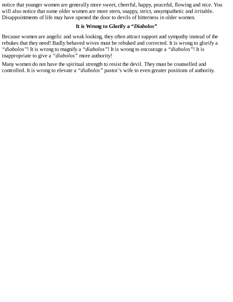notice that younger women are generally more sweet, cheerful, happy, peaceful, flowing and nice. You will also notice that some older women are more stern, snappy, strict, unsympathetic and irritable. Disappointments of life may have opened the door to devils of bitterness in older women.

#### **It is Wrong to Glorify a "***Diabolos"*

Because women are angelic and weak looking, they often attract support and sympathy instead of the rebukes that they need! Badly behaved wives must be rebuked and corrected. It is wrong to glorify a *"diabolos"*! It is wrong to magnify a *"diabolos"*! It is wrong to encourage a *"diabolos"*! It is inappropriate to give a *"diabolos"* more authority!

Many women do not have the spiritual strength to resist the devil. They must be counselled and controlled. It is wrong to elevate a *"diabolos"* pastor's wife to even greater positions of authority.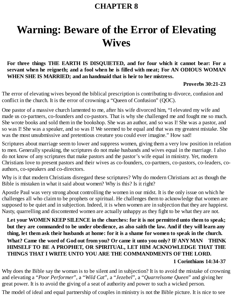# **Warning: Beware of the Error of Elevating Wives**

**For three things THE EARTH IS DISQUIETED, and for four which it cannot bear: For a servant when he reigneth; and a fool when he is filled with meat; For AN ODIOUS WOMAN WHEN SHE IS MARRIED; and an handmaid that is heir to her mistress.**

#### **Proverbs 30:21-23**

The error of elevating wives beyond the biblical prescription is contributing to divorce, confusion and conflict in the church. It is the error of crowning a "Queen of Confusion" (QOC).

One pastor of a massive church lamented to me, after his wife divorced him, "I elevated my wife and made us co-partners, co-founders and co-pastors. That is why she challenged me and fought me so much. She wrote books and sold them in the bookshop. She was an author, and so was I! She was a pastor, and so was I! She was a speaker, and so was I! We seemed to be equal and that was my greatest mistake. She was the most unsubmissive and pretentious creature you could ever imagine." How sad!

Scriptures about marriage seem to lower and suppress women, giving them a very low position in relation to men. Generally speaking, the scriptures do not make husbands and wives equal in the marriage. I also do not know of any scriptures that make pastors and the pastor's wife equal in ministry. Yet, modern Christians love to present pastors and their wives as co-founders, co-partners, co-pastors, co-leaders, coauthors, co-speakers and co-directors.

Why is it that modern Christians disregard these scriptures? Why do modern Christians act as though the Bible is mistaken in what it said about women? Why is this? Is it right?

Apostle Paul was very strong about controlling the women in our midst. It is the only issue on which he challenges all who claim to be prophets or spiritual. He challenges them to acknowledge that women are supposed to be quiet and in subjection. Indeed, it is when women are in subjection that they are happiest. Nasty, quarrelling and discontented women are actually unhappy as they fight to be what they are not.

**Let your WOMEN KEEP SILENCE in the churches: for it is not permitted unto them to speak;** but they are commanded to be under obedience, as also saith the law. And if they will learn any thing, let them ask their husbands at home: for it is a shame for women to speak in the church. **What? Came the word of God out from you? Or came it unto you only? IFANYMAN THINK HIMSELF TO BE A PROPHET, OR SPIRITUAL, LET HIM ACKNOWLEDGE THAT THE THINGS THAT I WRITE UNTO YOU ARE THE COMMANDMENTS OFTHE LORD.**

#### **1 Corinthians 14:34-37**

Why does the Bible say the woman is to be silent and in subjection? It is to avoid the mistake of crowning and elevating a "*Poor Performer*", a "*Wild Cat*", a "*Jezebel*", a "*Quarrelsome Queen*" and giving her great power. It is to avoid the giving of a seat of authority and power to such a wicked person.

The model of ideal and equal partnership of couples in ministry is not the Bible picture. It is nice to see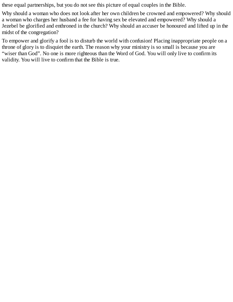these equal partnerships, but you do not see this picture of equal couples in the Bible.

Why should a woman who does not look after her own children be crowned and empowered? Why should a woman who charges her husband a fee for having sex be elevated and empowered? Why should a Jezebel be glorified and enthroned in the church? Why should an accuser be honoured and lifted up in the midst of the congregation?

To empower and glorify a fool is to disturb the world with confusion! Placing inappropriate people on a throne of glory is to disquiet the earth. The reason why your ministry is so small is because you are "wiser than God". No one is more righteous than the Word of God. You will only live to confirm its validity. You will live to confirm that the Bible is true.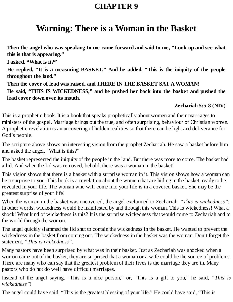# **Warning: There is a Woman in the Basket**

**Then the angel who was speaking to me came forward and said to me, "Look up and see what this is that is appearing."**

**I asked, "What is it?"**

**He replied, "It is a measuring BASKET." And he added, "This is the iniquity of the people throughout the land."**

**Then the cover of lead was raised, and THERE IN THE BASKET SAT A WOMAN! He said, "THIS IS WICKEDNESS," and he pushed her back into the basket and pushed the lead cover down over its mouth.**

### **Zechariah 5:5-8 (NIV)**

This is a prophetic book. It is a book that speaks prophetically about women and their marriages to ministers of the gospel. Marriage brings out the true, and often surprising, behaviour of Christian women. A prophetic revelation is an uncovering of hidden realities so that there can be light and deliverance for God's people.

The scripture above shows an interesting vision from the prophet Zechariah. He saw a basket before him and asked the angel, "What is this?"

The basket represented the iniquity of the people in the land. But there was more to come. The basket had a lid. And when the lid was removed, behold, there was a woman in the basket!

This vision shows that there is a basket with a surprise woman in it. This vision shows how a woman can be a surprise to you. This book is a revelation about the women that are hiding in the basket, ready to be revealed in your life. The woman who will come into your life is in a covered basket. She may be the greatest surprise of your life!

When the woman in the basket was uncovered, the angel exclaimed to Zechariah; *"This is wickedness"!* In other words, wickedness would be manifested by and through this woman. This is wickedness! What a shock! What kind of wickedness is this? It is the surprise wickedness that would come to Zechariah and to the world through the woman.

The angel quickly slammed the lid shut to contain the wickedness in the basket. He wanted to prevent the wickedness in the basket from coming out. The wickedness in the basket was the woman. Don't forget the statement, *"This is wickedness"*.

Many pastors have been surprised by what was in their basket. Just as Zechariah was shocked when a woman came out of the basket, they are surprised that a woman or a wife could be the source of problems. There are many who can say that the greatest problem of their lives is the marriage they are in. Many pastors who do not do well have difficult marriages.

Instead of the angel saying, "This is a nice person," or, "This is a gift to you," he said, *"This is wickedness"*!

The angel could have said, "This is the greatest blessing of your life." He could have said, "This is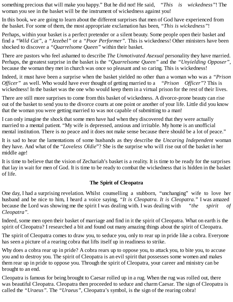something precious that will make you happy." But he did not! He said, *"This is wickedness"*! The woman you see in the basket will be the instrument of wickedness against you!

In this book, we are going to learn about the different surprises that men of God have experienced from the basket. For some of them, the most appropriate exclamation has been, *"This is wickedness"*!

Perhaps, within your basket is a perfect pretender or a silent beauty. Some people open their basket and find a *"Wild Cat"*, a *"Jezebel"* or a *"Poor Performer".* This is wickedness! Other ministers have been shocked to discover a *"Quarrelsome Queen"* within their basket.

There are pastors who feel ashamed to describe *The Unmotivated Asexual* personality they have married. Perhaps, the greatest surprise in the basket is the *"Quarrelsome Queen"* and the *"Unyielding Opposer"*, because the woman they met in church was once so pleasant and so caring. This is wickedness!

Indeed, it must have been a surprise when the basket yielded no other than a woman who was a *"Prison Officer"* as well. Who would have ever thought of getting married to a *"Prison Officer"*? This is wickedness! In the basket was the one who would keep them in a virtual prison for the rest of their lives.

There are still more surprises to come from this basket of wickedness. A divorce-prone beauty can rise out of the basket to send you to the divorce courts at one point or another of your life. Little did you know that the woman you were getting married to was not capable of submitting to a man!

I can only imagine the shock that some men have had when they discovered that they were actually married to a mental patient. "My wife is depressed, anxious and irritable. My home is an unofficial mental institution. There is no peace and it does not make sense because there should be a lot of peace."

It is sad to hear the lamentations of some husbands as they describe the *Uncaring Independent* woman they have. And what of the "*Loveless Oldie*"? She is the surprise who will rise out of the basket in her middle age!

It is time to believe that the vision of Zechariah's basket is a reality. It is time to be ready for the surprises that lay in wait for men of God. It is time to be ready to combat the wickedness that is hidden in the basket of life.

### **The Spirit of Cleopatra**

One day, I had a surprising revelation. Whilst counselling a stubborn, "unchanging" wife to love her husband and be nice to him, I heard a voice saying, *"It is Cleopatra. It is Cleopatra."* I was amazed because the Lord was showing me the spirit I was dealing with. I was dealing with *"the spirit of Cleopatra".*

Indeed, some men open their basket of marriage and find in it the spirit of Cleopatra. What on earth is the spirit of Cleopatra? I researched a bit and found out many amazing things about the spirit of Cleopatra.

The spirit of Cleopatra comes to draw you, to seduce you, only to rear up in pride like a cobra. Everyone has seen a picture of a rearing cobra that lifts itself up in readiness to strike.

Why does a cobra rear up in pride? A cobra rears up to oppose you, to attack you, to bite you, to accuse you and to destroy you. The spirit of Cleopatra is an evil spirit that possesses some women and makes them rear up in pride to oppose you. Through the spirit of Cleopatra, your career and ministry can be brought to an end.

Cleopatra is famous for being brought to Caesar rolled up in a rug. When the rug was rolled out, there was beautiful Cleopatra. Cleopatra then proceeded to seduce and charm Caesar. The sign of Cleopatra is called the *"Uraeus".* The *"Uraeus",* Cleopatra's symbol, is the sign of the rearing cobra!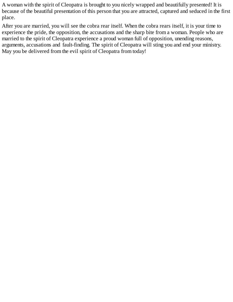A woman with the spirit of Cleopatra is brought to you nicely wrapped and beautifully presented! It is because of the beautiful presentation of this person that you are attracted, captured and seduced in the first place.

After you are married, you will see the cobra rear itself. When the cobra rears itself, it is your time to experience the pride, the opposition, the accusations and the sharp bite from a woman. People who are married to the spirit of Cleopatra experience a proud woman full of opposition, unending reasons, arguments, accusations and fault-finding. The spirit of Cleopatra will sting you and end your ministry. May you be delivered from the evil spirit of Cleopatra from today!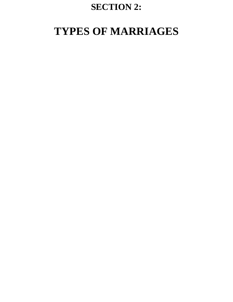## **SECTION 2:**

# **TYPES OF MARRIAGES**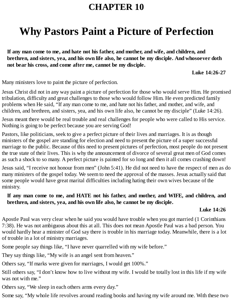# **Why Pastors Paint a Picture of Perfection**

**If any man come to me, and hate not his father, and mother, and wife, and children, and brethren, and sisters, yea, and his own life also, he cannot be my disciple. And whosoever doth not bear his cross, and come after me, cannot be my disciple.**

**Luke 14:26-27**

Many ministers love to paint the picture of perfection.

Jesus Christ did not in any way paint a picture of perfection for those who would serve Him. He promised tribulation, difficulty and great challenges to those who would follow Him. He even predicted family problems when He said, "If any man come to me, and hate not his father, and mother, and wife, and children, and brethren, and sisters, yea, and his own life also, he cannot be my disciple" (Luke 14:26).

Jesus meant there would be real trouble and real challenges for people who were called to His service. Nothing is going to be perfect because you are serving God!

Pastors, like politicians, seek to give a perfect picture of their lives and marriages. It is as though ministers of the gospel are standing for election and need to present the picture of a super successful marriage to the public. Because of this need to present pictures of perfection, most people do not present the true state of their lives. This is why the announcement of divorce of several great men of God comes as such a shock to so many. A perfect picture is painted for so long and then it all comes crashing down!

Jesus said, "I receive not honour from men" (John 5:41). He did not need to have the respect of men as do many ministers of the gospel today. We seem to need the approval of the masses. Jesus actually said that some people would have great marital difficulties including hating their own wives because of the ministry.

### **If any man come to me, and HATE not his father, and mother, and WIFE, and children, and brethren, and sisters, yea, and his own life also, he cannot be my disciple.**

### **Luke 14:26**

Apostle Paul was very clear when he said you would have trouble when you got married (1 Corinthians 7:38). He was not ambiguous about this at all. This does not mean Apostle Paul was a bad person. You would hardly hear a minister of God say there is trouble in his marriage today. Meanwhile, there is a lot of trouble in a lot of ministry marriages.

Some people say things like, "I have never quarrelled with my wife before."

They say things like, "My wife is an angel sent from heaven."

Others say, "If marks were given for marriages, I would get 100%."

Still others say, "I don't know how to live without my wife. I would be totally lost in this life if my wife was not with me."

Others say, "We sleep in each others arms every day."

Some say, "My whole life revolves around reading books and having my wife around me. With these two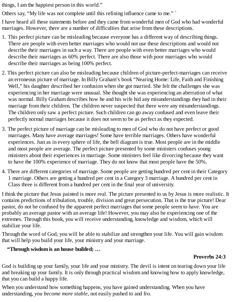things, I am the happiest person in this world."

Others say, "My life was not complete until this refining influence came to me." `

I have heard all these statements before and they came from wonderful men of God who had wonderful marriages. However, there are a number of difficulties that arise from these descriptions.

- 1. This perfect picture can be misleading because everyone has a different way of describing things. There are people with even better marriages who would not use these descriptions and would not describe their marriages in such a way. There are people with even better marriages who would describe their marriages as 60% perfect. There are also those with poor marriages who would describe their marriages as being 100% perfect.
- 2. This perfect picture can also be misleading because children of picture-perfect-marriages can receive an erroneous picture of marriage. In Billy Graham's book "Nearing Home: Life, Faith and Finishing Well," his daughter described her confusion when she got married. She felt the challenges she was experiencing in her marriage were unusual. She thought she was experiencing an aberration of what was normal. Billy Graham describes how he and his wife hid any misunderstandings they had in their marriage from their children. The children never suspected that there were any misunderstandings. The children only saw a perfect picture. Such children can go away confused and even leave their perfectly normal marriages because it does not seem to be as perfect as they expected.
- 3. The perfect picture of marriage can be misleading to men of God who do not have perfect or good marriages. Many have average marriages! Some have terrible marriages. Others have wonderful experiences. Just as in every sphere of life, the bell diagram is true. Most people are in the middle and most people are average. The perfect picture presented by some ministers confuses young ministers about their experiences in marriage. Some ministers feel like divorcing because they want to have the 100% experience of marriage. They do not know that most people have the 50%.
- 4. There are different categories of marriage. Some people are getting hundred per cent in their Category 1 marriage. Others are getting a hundred per cent in a Category 3 marriage. A hundred per cent in Class three is different from a hundred per cent in the final year of university.

I think the picture that Jesus painted is more real. The picture presented to us by Jesus is more realistic. It contains predictions of tribulation, trouble, division and great persecution. That is the true picture! Dear pastor, do not be confused by the apparent perfect marriages that some people seem to have. You are probably an average pastor with an average life! However, you may also be experiencing one of the extremes. Through this book, you will receive understanding, knowledge and wisdom, which will stabilize your life.

Through the word of God, you will be able to stabilize and strengthen your life. You will gain wisdom that will help you build your life, your ministry and your marriage.

### **"Through wisdom is an house builded; …**

### **Proverbs 24:3**

God is building up your family, your life and your ministry. The devil is intent on tearing down your life and breaking up your family. It is only through practical wisdom and knowing how to apply knowledge, that you can build a happy life.

When you understand how something happens, you have gained understanding. When you have understanding, *you become more stable,* not easily pushed to and fro.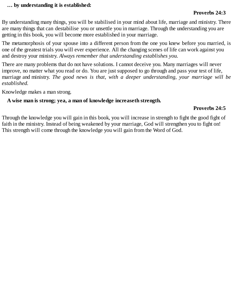#### **… by understanding it is established:**

#### **Proverbs 24:3**

By understanding many things, you will be stabilised in your mind about life, marriage and ministry. There are many things that can destabilise you or unsettle you in marriage. Through the understanding you are getting in this book, you will become more established in your marriage.

The metamorphosis of your spouse into a different person from the one you knew before you married, is one of the greatest trials you will ever experience. All the changing scenes of life can work against you and destroy your ministry. *Always remember that understanding establishes you.*

There are many problems that do not have solutions. I cannot deceive you. Many marriages will never improve, no matter what you read or do. You are just supposed to go through and pass your test of life, marriage and ministry. *The good news is that, with a deeper understanding, your marriage will be established.*

Knowledge makes a man strong.

#### **A wise man is strong; yea, a man of knowledge increaseth strength.**

#### **Proverbs 24:5**

Through the knowledge you will gain in this book, you will increase in strength to fight the good fight of faith in the ministry. Instead of being weakened by your marriage, God will strengthen you to fight on! This strength will come through the knowledge you will gain from the Word of God.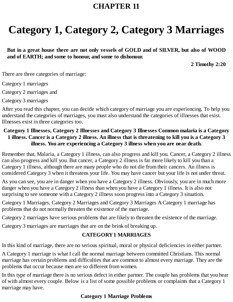# **Category 1, Category 2, Category 3 Marriages**

**But in a great house there are not only vessels of GOLD and of SILVER, but also of WOOD and of EARTH; and some to honour, and some to dishonour.**

**2 Timothy 2:20**

There are three categories of marriage:

Category 1 marriages

Category 2 marriages and

Category 3 marriages

After you read this chapter, you can decide which category of marriage you are experiencing. To help you understand the categories of marriages, you must also understand the categories of illnesses that exist. Illnesses exist in three categories too.

### **Category 1 Illnesses, Category 2 Illnesses and Category 3 Illnesses Common malaria is a Category** 1 illness. Cancer is a Category 2 illness. An illness that is threatening to kill you is a Category 3 **illness. You are experiencing a Category 3 illness when you are near death.**

Remember that, Malaria, a Category 1 illness, can also progress and kill you. Cancer, a Category 2 illness can also progress and kill you. But cancer, a Category 2 illness is far more likely to kill you than a Category 1 illness, although there are many people who do not die from their cancers. An illness is considered Category 3 when it threatens your life. You may have cancer but your life is not under threat.

As you can see, you are in danger when you have a Category 2 illness. Obviously, you are in much more danger when you have a Category 2 illness than when you have a Category 1 illness. It is also not surprising to see someone with a Category 2 illness soon progress into a Category 3 situation.

Category 1 Marriages, Category 2 Marriages and Category 3 Marriages A Category 1 marriage has problems that do not normally threaten the existence of the marriage.

Category 2 marriages have serious problems that are likely to threaten the existence of the marriage.

Category 3 marriages are marriages that are on the brink of breaking up.

### **CATEGORY1 MARRIAGES**

In this kind of marriage, there are no serious spiritual, moral or physical deficiencies in either partner.

A Category 1 marriage is what I call the normal marriage between committed Christians. This normal marriage has certain problems and difficulties that are common to almost every marriage. They are the problems that occur because men are so different from women.

In this type of marriage there is no serious defect in either partner. The couple has problems that you hear of with almost every couple. Below is a list of some possible problems or complaints that a Category 1 marriage may have.

### **Category 1 Marriage Problems**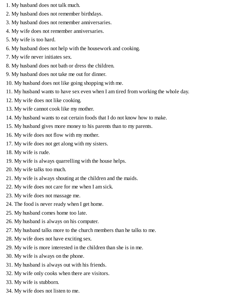- 1. My husband does not talk much.
- 2. My husband does not remember birthdays.
- 3. My husband does not remember anniversaries.
- 4. My wife does not remember anniversaries.
- 5. My wife is too hard.
- 6. My husband does not help with the housework and cooking.
- 7. My wife never initiates sex.
- 8. My husband does not bath or dress the children.
- 9. My husband does not take me out for dinner.
- 10. My husband does not like going shopping with me.
- 11. My husband wants to have sex even when I am tired from working the whole day.
- 12. My wife does not like cooking.
- 13. My wife cannot cook like my mother.
- 14. My husband wants to eat certain foods that I do not know how to make.
- 15. My husband gives more money to his parents than to my parents.
- 16. My wife does not flow with my mother.
- 17. My wife does not get along with my sisters.
- 18. My wife is rude.
- 19. My wife is always quarrelling with the house helps.
- 20. My wife talks too much.
- 21. My wife is always shouting at the children and the maids.
- 22. My wife does not care for me when I am sick.
- 23. My wife does not massage me.
- 24. The food is never ready when I get home.
- 25. My husband comes home too late.
- 26. My husband is always on his computer.
- 27. My husband talks more to the church members than he talks to me.
- 28. My wife does not have exciting sex.
- 29. My wife is more interested in the children than she is in me.
- 30. My wife is always on the phone.
- 31. My husband is always out with his friends.
- 32. My wife only cooks when there are visitors.
- 33. My wife is stubborn.
- 34. My wife does not listen to me.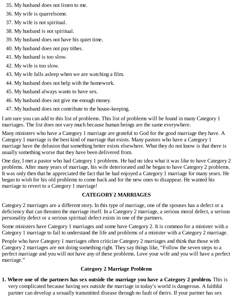- 35. My husband does not listen to me.
- 36. My wife is quarrelsome.
- 37. My wife is not spiritual.
- 38. My husband is not spiritual.
- 39. My husband does not have his quiet time.
- 40. My husband does not pay tithes.
- 41. My husband is too slow.
- 42. My wife is too slow.
- 43. My wife falls asleep when we are watching a film.
- 44. My husband does not help with the homework.
- 45. My husband always wants to have sex.
- 46. My husband does not give me enough money.
- 47. My husband does not contribute to the house-keeping.

I am sure you can add to this list of problems. This list of problems will be found in many Category 1 marriages. The list does not vary much because human beings are the same everywhere.

Many ministers who have a Category 1 marriage are grateful to God for the good marriage they have. A Category 1 marriage is the best kind of marriage that exists. Many pastors who have a Category 1 marriage have the delusion that something better exists elsewhere. What they do not know is that there is usually something worse that they have been delivered from.

One day, I met a pastor who had Category 1 problems. He had no idea what it was like to have Category 2 problems. After many years of marriage, his wife deteriorated and he began to have Category 2 problems. It was only then that he appreciated the fact that he had enjoyed a Category 1 marriage for many years. He began to wish for his old problems to come back and for the new ones to disappear. He wanted his marriage to revert to a Category 1 marriage!

### **CATEGORY2 MARRIAGES**

Category 2 marriages are a different story. In this type of marriage, one of the spouses has a defect or a deficiency that can threaten the marriage itself. In a Category 2 marriage, a serious moral defect, a serious personality defect or a serious spiritual defect exists in one of the partners.

Some ministers have Category 1 marriages and some have Category 2. It is common for a minister with a Category 1 marriage to fail to understand the life and problems of a minister with a Category 2 marriage.

People who have Category 1 marriages often criticize Category 2 marriages and think that those with Category 2 marriages are not doing something right. They say things like, "Follow the seven steps to a perfect marriage and you will not have any of these problems. Love your wife and you will have a perfect marriage."

### **Category 2 Marriage Problems**

**1. Where one of the partners has sex outside the marriage you have a Category 2 problem.** This is very complicated because having sex outside the marriage in today's world is dangerous. A faithful partner can develop a sexually transmitted disease through no fault of theirs. If your partner has sex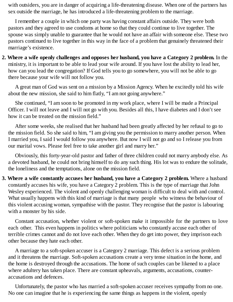with outsiders, you are in danger of acquiring a life-threatening disease. When one of the partners has sex outside the marriage, he has introduced a life-threatening problem to the marriage.

I remember a couple in which one party was having constant affairs outside. They were both pastors and they agreed to use condoms at home so that they could continue to live together. The spouse was simply unable to guarantee that he would not have an affair with someone else. These two pastors continued to live together in this way in the face of a problem that genuinely threatened their marriage's existence.

**2. Where a wife openly challenges and opposes her husband, you have a Category 2 problem.** In the ministry, it is important to be able to lead your wife around. If you have lost the ability to lead her, how can you lead the congregation? If God tells you to go somewhere, you will not be able to go there because your wife will not follow you.

A great man of God was sent on a mission by a Mission Agency. When he excitedly told his wife about the new mission, she said to him flatly, "I am not going anywhere."

She continued, "I am soon to be promoted in my work place, where I will be made a Principal Officer. I will not leave and I will not go with you. Besides all this, I have diabetes and I don't see how it can be treated on the mission field."

After some weeks, she realised that her husband had been greatly affected by her refusal to go to the mission field. So she said to him, "I am giving you the permission to marry another person. When I married you, I said I would follow you anywhere. But now I will not go and so I release you from our marital vows. Please feel free to take another girl and marry her."

Obviously, this forty-year-old pastor and father of three children could not marry anybody else. As a devoted husband, he could not bring himself to do any such thing. His lot was to endure the solitude, the loneliness and the temptations, alone on the mission field.

**3. Where a wife constantly accuses her husband, you have a Category 2 problem.** Where a husband constantly accuses his wife, you have a Category 2 problem. This is the type of marriage that John Wesley experienced. The violent and openly challenging woman is difficult to deal with and control. What usually happens with this kind of marriage is that many people who witness the behaviour of this violent accusing woman, sympathise with the pastor. They recognise that the pastor is labouring with a monster by his side.

Constant accusation, whether violent or soft-spoken make it impossible for the partners to love each other. This even happens in politics where politicians who constantly accuse each other of terrible crimes cannot and do not love each other. When they do get into power, they imprison each other because they hate each other.

A marriage to a soft-spoken accuser is a Category 2 marriage. This defect is a serious problem and it threatens the marriage. Soft-spoken accusations create a very tense situation in the home, and the home is destroyed through the accusations. The home of such couples can be likened to a place where adultery has taken place. There are constant upheavals, arguments, accusations, counteraccusations and defences.

Unfortunately, the pastor who has married a soft-spoken accuser receives sympathy from no one. No one can imagine that he is experiencing the same things as happens in the violent, openly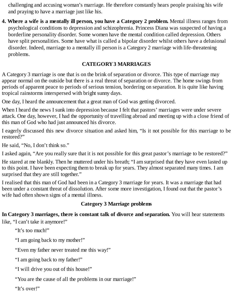challenging and accusing woman's marriage. He therefore constantly hears people praising his wife and praying to have a marriage just like his.

**4. Where a wife is a mentally ill person, you have a Category 2 problem.** Mental illness ranges from psychological conditions to depression and schizophrenia. Princess Diana was suspected of having a borderline personality disorder. Some women have the mental condition called depression. Others have split personalities. Some have what is called a bipolar disorder whilst others have a delusional disorder. Indeed, marriage to a mentally ill person is a Category 2 marriage with life-threatening problems.

### **CATEGORY3 MARRIAGES**

A Category 3 marriage is one that is on the brink of separation or divorce. This type of marriage may appear normal on the outside but there is a real threat of separation or divorce. The home swings from periods of apparent peace to periods of serious tension, bordering on separation. It is quite like having tropical rainstorms interspersed with bright sunny days.

One day, I heard the announcement that a great man of God was getting divorced.

When I heard the news I sunk into depression because I felt that pastors' marriages were under severe attack. One day, however, I had the opportunity of travelling abroad and meeting up with a close friend of this man of God who had just announced his divorce.

I eagerly discussed this new divorce situation and asked him, "Is it not possible for this marriage to be restored?"

He said, "No, I don't think so."

I asked again, "Are you really sure that it is not possible for this great pastor's marriage to be restored?"

He stared at me blankly. Then he muttered under his breath; "I am surprised that they have even lasted up to this point. I have been expecting them to break up for years. They almost separated many times. I am surprised that they are still together."

I realised that this man of God had been in a Category 3 marriage for years. It was a marriage that had been under a constant threat of dissolution. After some more investigation, I found out that the pastor's wife had often shown signs of a mental illness.

### **Category 3 Marriage problems**

**In Category 3 marriages, there is constant talk of divorce and separation.** You will hear statements like, "I can't take it anymore!"

"It's too much!"

"I am going back to my mother!"

"Even my father never treated me this way!"

"I am going back to my father!"

"I will drive you out of this house!"

"You are the cause of all the problems in our marriage!"

"It's over!"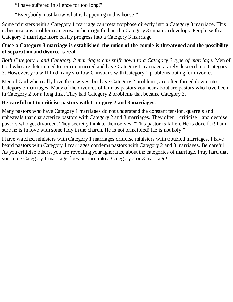"I have suffered in silence for too long!"

"Everybody must know what is happening in this house!"

Some ministers with a Category 1 marriage can metamorphose directly into a Category 3 marriage. This is because any problem can grow or be magnified until a Category 3 situation develops. People with a Category 2 marriage more easily progress into a Category 3 marriage.

### **Once a Category 3 marriage is established, the union of the couple is threatened and the possibility of separation and divorce is real.**

*Both Category 1 and Category 2 marriages can shift down to a Category 3 type of marriage.* Men of God who are determined to remain married and have Category 1 marriages rarely descend into Category 3. However, you will find many shallow Christians with Category 1 problems opting for divorce.

Men of God who really love their wives, but have Category 2 problems, are often forced down into Category 3 marriages. Many of the divorces of famous pastors you hear about are pastors who have been in Category 2 for a long time. They had Category 2 problems that became Category 3.

### **Be careful not to criticise pastors with Category 2 and 3 marriages.**

Many pastors who have Category 1 marriages do not understand the constant tension, quarrels and upheavals that characterize pastors with Category 2 and 3 marriages. They often criticise and despise pastors who get divorced. They secretly think to themselves, "This pastor is fallen. He is done for! I am sure he is in love with some lady in the church. He is not principled! He is not holy!"

I have watched ministers with Category 1 marriages criticise ministers with troubled marriages. I have heard pastors with Category 1 marriages condemn pastors with Category 2 and 3 marriages. Be careful! As you criticise others, you are revealing your ignorance about the categories of marriage. Pray hard that your nice Category 1 marriage does not turn into a Category 2 or 3 marriage!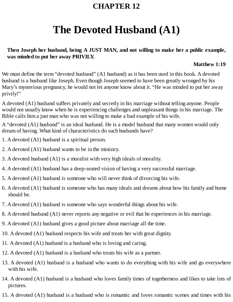# **The Devoted Husband (A1)**

### **Then Joseph her husband, being A JUST MAN, and not willing to make her a public example, was minded to put her away PRIVILY.**

#### **Matthew 1:19**

We must define the term "devoted husband" (A1 husband) as it has been used in this book. A devoted husband is a husband like Joseph. Even though Joseph seemed to have been greatly wronged by his Mary's mysterious pregnancy, he would not let anyone know about it. "He was minded to put her away privily!"

A devoted (A1) husband suffers privately and secretly in his marriage without telling anyone. People would not usually know when he is experiencing challenges and unpleasant things in his marriage. The Bible calls him a just man who was not willing to make a bad example of his wife.

A "devoted (A1) husband" is an ideal husband. He is a model husband that many women would only dream of having. What kind of characteristics do such husbands have?

- 1. A devoted (A1) husband is a spiritual person.
- 2. A devoted (A1) husband wants to be in the ministry.
- 3. A devoted husband (A1) is a moralist with very high ideals of morality.
- 4. A devoted (A1) husband has a deep-seated vision of having a very successful marriage.
- 5. A devoted (A1) husband is someone who will never think of divorcing his wife.
- 6. A devoted (A1) husband is someone who has many ideals and dreams about how his family and home should be.
- 7. A devoted (A1) husband is someone who says wonderful things about his wife.
- 8. A devoted husband (A1) never reports any negative or evil that he experiences in his marriage.
- 9. A devoted (A1) husband gives a good picture about marriage all the time.
- 10. A devoted (A1) husband respects his wife and treats her with great dignity.
- 11. A devoted (A1) husband is a husband who is loving and caring.
- 12. A devoted (A1) husband is a husband who treats his wife as a partner.
- 13. A devoted (A1) husband is a husband who wants to do everything with his wife and go everywhere with his wife.
- 14. A devoted (A1) husband is a husband who loves family times of togetherness and likes to take lots of pictures.
- 15. A devoted (A1) husband is a husband who is romantic and loves romantic scenes and times with his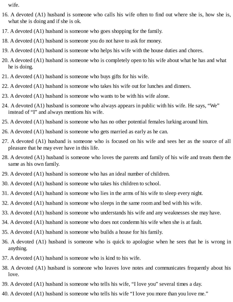wife.

- 16. A devoted (A1) husband is someone who calls his wife often to find out where she is, how she is, what she is doing and if she is ok.
- 17. A devoted (A1) husband is someone who goes shopping for the family.
- 18. A devoted (A1) husband is someone you do not have to ask for money.
- 19. A devoted (A1) husband is someone who helps his wife with the house duties and chores.
- 20. A devoted (A1) husband is someone who is completely open to his wife about what he has and what he is doing.
- 21. A devoted (A1) husband is someone who buys gifts for his wife.
- 22. A devoted (A1) husband is someone who takes his wife out for lunches and dinners.
- 23. A devoted (A1) husband is someone who wants to be with his wife alone.
- 24. A devoted (A1) husband is someone who always appears in public with his wife. He says, "We" instead of "I" and always mentions his wife.
- 25. A devoted (A1) husband is someone who has no other potential females lurking around him.
- 26. A devoted (A1) husband is someone who gets married as early as he can.
- 27. A devoted (A1) husband is someone who is focused on his wife and sees her as the source of all pleasure that he may ever have in this life.
- 28. A devoted (A1) husband is someone who loves the parents and family of his wife and treats them the same as his own family.
- 29. A devoted (A1) husband is someone who has an ideal number of children.
- 30. A devoted (A1) husband is someone who takes his children to school.
- 31. A devoted (A1) husband is someone who lies in the arms of his wife to sleep every night.
- 32. A devoted (A1) husband is someone who sleeps in the same room and bed with his wife.
- 33. A devoted (A1) husband is someone who understands his wife and any weaknesses she may have.
- 34. A devoted (A1) husband is someone who does not condemn his wife when she is at fault.
- 35. A devoted (A1) husband is someone who builds a house for his family.
- 36. A devoted (A1) husband is someone who is quick to apologise when he sees that he is wrong in anything.
- 37. A devoted (A1) husband is someone who is kind to his wife.
- 38. A devoted (A1) husband is someone who leaves love notes and communicates frequently about his love.
- 39. A devoted (A1) husband is someone who tells his wife, "I love you" several times a day.
- 40. A devoted (A1) husband is someone who tells his wife "I love you more than you love me."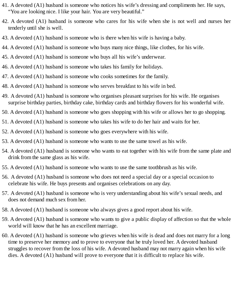- 41. A devoted (A1) husband is someone who notices his wife's dressing and compliments her. He says, "You are looking nice. I like your hair. You are very beautiful."
- 42. A devoted (A1) husband is someone who cares for his wife when she is not well and nurses her tenderly until she is well.
- 43. A devoted (A1) husband is someone who is there when his wife is having a baby.
- 44. A devoted (A1) husband is someone who buys many nice things, like clothes, for his wife.
- 45. A devoted (A1) husband is someone who buys all his wife's underwear.
- 46. A devoted (A1) husband is someone who takes his family for holidays.
- 47. A devoted (A1) husband is someone who cooks sometimes for the family.
- 48. A devoted (A1) husband is someone who serves breakfast to his wife in bed.
- 49. A devoted (A1) husband is someone who organises pleasant surprises for his wife. He organises surprise birthday parties, birthday cake, birthday cards and birthday flowers for his wonderful wife.
- 50. A devoted (A1) husband is someone who goes shopping with his wife or allows her to go shopping.
- 51. A devoted (A1) husband is someone who takes his wife to do her hair and waits for her.
- 52. A devoted (A1) husband is someone who goes everywhere with his wife.
- 53. A devoted (A1) husband is someone who wants to use the same towel as his wife.
- 54. A devoted (A1) husband is someone who wants to eat together with his wife from the same plate and drink from the same glass as his wife.
- 55. A devoted (A1) husband is someone who wants to use the same toothbrush as his wife.
- 56. A devoted (A1) husband is someone who does not need a special day or a special occasion to celebrate his wife. He buys presents and organises celebrations on any day.
- 57. A devoted (A1) husband is someone who is very understanding about his wife's sexual needs, and does not demand much sex from her.
- 58. A devoted (A1) husband is someone who always gives a good report about his wife.
- 59. A devoted (A1) husband is someone who wants to give a public display of affection so that the whole world will know that he has an excellent marriage.
- 60. A devoted (A1) husband is someone who grieves when his wife is dead and does not marry for a long time to preserve her memory and to prove to everyone that he truly loved her. A devoted husband struggles to recover from the loss of his wife. A devoted husband may not marry again when his wife dies. A devoted (A1) husband will prove to everyone that it is difficult to replace his wife.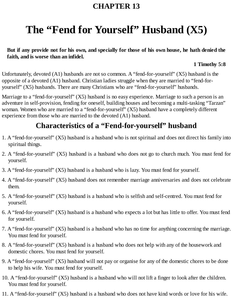# **The "Fend for Yourself" Husband (X5)**

### But if any provide not for his own, and specially for those of his own house, he hath denied the **faith, and is worse than an infidel.**

#### **1 Timothy 5:8**

Unfortunately, devoted (A1) husbands are not so common. A "fend-for-yourself" (X5) husband is the opposite of a devoted (A1) husband. Christian ladies struggle when they are married to "fend-foryourself" (X5) husbands. There are many Christians who are "fend-for-yourself" husbands.

Marriage to a "fend-for-yourself" (X5) husband is no easy experience. Marriage to such a person is an adventure in self-provision, fending for oneself, building houses and becoming a multi-tasking "Tarzan" woman. Women who are married to a "fend-for-yourself" (X5) husband have a completely different experience from those who are married to the devoted (A1) husband.

## **Characteristics of a "Fend-for-yourself" husband**

- 1. A "fend-for-yourself" (X5) husband is a husband who is not spiritual and does not direct his family into spiritual things.
- 2. A "fend-for-yourself" (X5) husband is a husband who does not go to church much. You must fend for yourself.
- 3. A "fend-for-yourself" (X5) husband is a husband who is lazy. You must fend for yourself.
- 4. A "fend-for-yourself" (X5) husband does not remember marriage anniversaries and does not celebrate them.
- 5. A "fend-for-yourself" (X5) husband is a husband who is selfish and self-centred. You must fend for yourself.
- 6. A "fend-for-yourself" (X5) husband is a husband who expects a lot but has little to offer. You must fend for yourself.
- 7. A "fend-for-yourself" (X5) husband is a husband who has no time for anything concerning the marriage. You must fend for yourself.
- 8. A "fend-for-yourself" (X5) husband is a husband who does not help with any of the housework and domestic chores. You must fend for yourself.
- 9. A "fend-for-yourself" (X5) husband will not pay or organise for any of the domestic chores to be done to help his wife. You must fend for yourself.
- 10. A "fend-for-yourself" (X5) husband is a husband who will not lift a finger to look after the children. You must fend for yourself.
- 11. A "fend-for-yourself" (X5) husband is a husband who does not have kind words or love for his wife.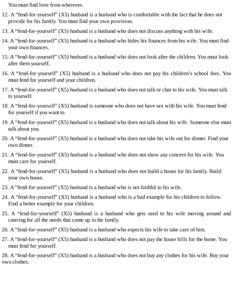You must find love from wherever.

- 12. A "fend-for-yourself" (X5) husband is a husband who is comfortable with the fact that he does not provide for his family. You must find your own provision.
- 13. A "fend-for-yourself" (X5) husband is a husband who does not discuss anything with his wife.
- 14. A "fend-for-yourself" (X5) husband is a husband who hides his finances from his wife. You must find your own finances.
- 15. A "fend-for-yourself" (X5) husband is a husband who does not look after the children. You must look after them yourself.
- 16. A "fend-for-yourself" (X5) husband is a husband who does not pay his children's school fees. You must fend for yourself and your children.
- 17. A "fend-for-yourself" (X5) husband is a husband who does not talk or chat to his wife. You must talk to yourself.
- 18. A "fend-for-yourself" (X5) husband is someone who does not have sex with his wife. You must fend for yourself if you want to.
- 19. A "fend-for-yourself" (X5) husband is a husband who does not talk about his wife. Someone else must talk about you.
- 20. A "fend-for-yourself" (X5) husband is a husband who does not take his wife out for dinner. Find your own dinner.
- 21. A "fend-for-yourself" (X5) husband is a husband who does not show any concern for his wife. You must care for yourself.
- 22. A "fend-for-yourself" (X5) husband is a husband who does not build a house for his family. Build your own house.
- 23. A "fend-for-yourself" (X5) husband is a husband who is not faithful to his wife.
- 24. A "fend-for-yourself" (X5) husband is a husband who is a bad example for his children to follow. Find a better example for your children.
- 25. A "fend-for-yourself" (X5) husband is a husband who gets used to his wife moving around and catering for all the needs that come up in the family.
- 26. A "fend-for-yourself" (X5) husband is a husband who expects his wife to take care of him.
- 27. A "fend-for-yourself" (X5) husband is a husband who does not pay the house bills for the home. You must fend for yourself.

28. A "fend-for-yourself" (X5) husband is a husband who does not buy any clothes for his wife. Buy your own clothes.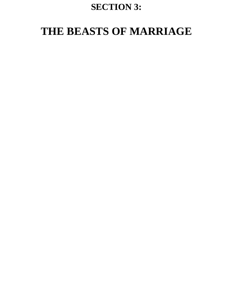# **SECTION 3:**

# **THE BEASTS OF MARRIAGE**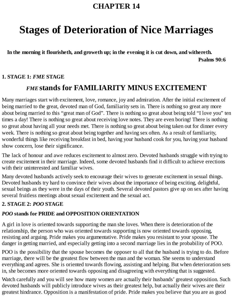# **Stages of Deterioration of Nice Marriages**

**In the morning it flourisheth, and groweth up; in the evening it is cut down, and withereth. Psalms 90:6**

### **1. STAGE 1:** *FME* **STAGE**

## *FME* **stands for FAMILIARITY MINUS EXCITEMENT**

Many marriages start with excitement, love, romance, joy and admiration. After the initial excitement of being married to the great, devoted man of God, familiarity sets in. There is nothing so great any more about being married to this "great man of God". There is nothing so great about being told "I love you" ten times a day! There is nothing so great about receiving love notes. They are even boring! There is nothing so great about having all your needs met. There is nothing so great about being taken out for dinner every week. There is nothing so great about being together and having sex often. As a result of familiarity, wonderful things like receiving breakfast in bed, having your husband cook for you, having your husband show concern, lose their significance.

The lack of honour and awe reduces excitement to almost zero. Devoted husbands struggle with trying to create excitement in their marriage. Indeed, some devoted husbands find it difficult to achieve erections with their uninterested and familiar wives.

Many devoted husbands actively seek to encourage their wives to generate excitement in sexual things. Devoted husbands try hard to convince their wives about the importance of being exciting, delightful, sexual beings as they were in the days of their youth. Several devoted pastors give up on sex after having several fruitless meetings about sexual excitement and the sexual act.

### **2. STAGE 2:** *POO* **STAGE**

### *POO* **stands for PRIDE and OPPOSITION ORIENTATION**

A girl in love is oriented towards supporting the man she loves. When there is deterioration of the relationship, the person who was oriented towards supporting is now oriented towards opposing, resisting and arguing. Pride makes you argumentative. Pride makes you resistant to your spouse. The danger in getting married, and especially getting into a second marriage lies in the probability of POO.

POO is the possibility that the spouse becomes the opposer to all that the husband is trying to do. Before marriage, there will be the greatest flow between the man and the woman. She seems to understand everything and agrees. She is oriented towards flowing, assisting and helping. But when deterioration sets in, she becomes more oriented towards opposing and disagreeing with everything that is suggested.

Watch carefully and you will see how many women are actually their husbands' greatest opposition. Such devoted husbands will publicly introduce wives as their greatest help, but actually their wives are their greatest hindrance. Opposition is a manifestation of pride. Pride makes you believe that you are as good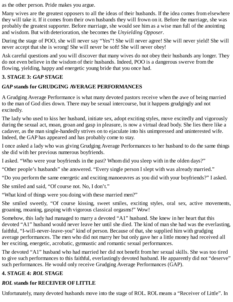as the other person. Pride makes you argue.

Many wives are the greatest opposers to all the ideas of their husbands. If the idea comes from elsewhere they will take it. If it comes from their own husbands they will frown on it. Before the marriage, she was probably the greatest supporter. Before marriage, she would see him as a wise man full of the anointing and wisdom. But with deterioration, she becomes the *Unyielding Opposer*.

During the stage of POO, she will never say "Yes"! She will never agree! She will never yield! She will never accept that she is wrong! She will never be soft! She will never obey!

Ask careful questions and you will discover that many wives do not obey their husbands any longer. They do not even believe in the wisdom of their husbands. Indeed, POO is a dangerous swerve from the flowing, yielding, happy and energetic young bride that you once had.

### **3. STAGE 3:** *GAP* **STAGE**

### *GAP* **stands for GRUDGING AVERAGE PERFORMANCES**

A Grudging Average Performance is what many devoted pastors receive when the awe of being married to the man of God dies down. There may be sexual intercourse, but it happens grudgingly and not excitedly.

The lady who used to kiss her husband, initiate sex, adopt exciting styles, move excitedly and vigorously during the sexual act, moan, groan and gasp in pleasure, is now a virtual dead body. She lies there like a cadaver, as the man single-handedly strives on to ejaculate into his unimpressed and uninterested wife. Indeed, the GAP has appeared and has probably come to stay.

I once asked a lady who was giving Grudging Average Performances to her husband to do the same things she did with her previous numerous boyfriends.

I asked. "Who were your boyfriends in the past? Whom did you sleep with in the olden days?"

"Other people's husbands" she answered. "Every single person I slept with was already married."

"Do you perform the same energetic and exciting manoeuvres as you did with your boyfriends?" I asked.

She smiled and said, "Of course not. No, I don't."

"What kind of things were you doing with these married men?"

She smiled sweetly, "Of course kissing, sweet smiles, exciting styles, oral sex, active movements, groaning, moaning, gasping with vigorous classical orgasms!" Wow!

Somehow, this lady had managed to marry a devoted "A1" husband. She knew in her heart that this devoted "A1" husband would never leave her until she died. The kind of man she had was the everlasting, faithful, "I-will-never-leave-you" kind of person. Because of that, she supplied him with grudging average performances. The men who did not marry her but only gave her a little money had received all her exciting, energetic, acrobatic, gymnastic and romantic sexual performances.

The devoted "A1" husband who had married her did not benefit from her sexual skills. She was too tired to give such performances to this faithful, everlastingly devoted husband. He apparently did not "deserve" such performances. He would only receive Grudging Average Performances (GAP).

### **4. STAGE 4:** *ROL* **STAGE**

### *ROL* **stands for RECEIVER OFLITTLE**

Unfortunately, many devoted husbands move into the stage of ROL. ROLmeans a "Receiver of Little". In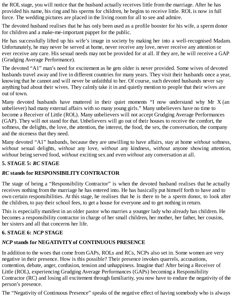the ROL stage, you will notice that the husband actually receives little from the marriage. After he has provided his name, his ring and his sperms for children, he begins to receive little. ROLis now in full force. The wedding pictures are placed in the living room for all to see and admire.

The devoted husband realises that he has only been used as a profile booster for his wife, a sperm donor for children and a make-me-important puppet for the public.

He has successfully lifted up his wife's image in society by making her into a well-recognised Madam. Unfortunately, he may never be served at home, never receive any love, never receive any attention or ever receive any care. His sexual needs may not be provided for at all. If they are, he will receive a GAP (Grudging Average Performance).

The devoted "A1" man's need for excitement as he gets older is never provided. Some wives of devoted husbands travel away and live in different countries for many years. They visit their husbands once a year, knowing that he cannot and will never be unfaithful to her. Of course, such devoted husbands never say anything bad about their wives. They calmly take it in and quietly mention to people that their wives are out of town.

Many devoted husbands have muttered in their quiet moments "I now understand why Mr X (an unbeliever) had many external affairs with so many young girls." Many unbelievers have no time to become a Receiver of Little (ROL). Many unbelievers will not accept Grudging Average Performances (GAP). They will not stand for that. Unbelievers will go out of their houses to receive the comfort, the softness, the delights, the love, the attention, the interest, the food, the sex, the conversation, the company and the niceness that they need.

Many devoted "A1" husbands, because they are unwilling to have affairs, stay at home *without* softness, *without* sexual delights, *without* any love, *without* any kindness, *without* anyone showing attention, *without* being served food, *without* exciting sex and even *without* any conversation at all.

#### **5. STAGE 5:** *RC* **STAGE**

### *RC* **stands for RESPONSIBILITYCONTRACTOR**

The stage of being a "Responsibility Contractor" is when the devoted husband realises that he actually receives nothing from the marriage he has entered into. He has basically put himself forth to have and to own certain responsibilities. At this stage, he realises that he is there to be a sperm donor, to look after the children, to pay their school fees, to get a house for everyone and to get nothing in return.

This is especially manifest in an older pastor who marries a younger lady who already has children. He becomes a responsibility contractor in charge of her small children, her mother, her father, her cousins, her sisters and all that concerns her life.

### **6. STAGE 6:** *NCP* **STAGE**

### *NCP* **stands for NEGATIVITYof CONTINUOUS PRESENCE**

In addition to the woes that come from GAPs, ROLs and RCs, NCPs also set in. Some women are very negative in their presence. How is this possible? Their presence invokes quarrels, accusations, contention, debate, anger, confusion, tension and unhappiness. Imagine that! After being a Receiver of Little (ROL), experiencing Grudging Average Performances (GAPs) becoming a Responsibility Contractor (RC) and losing all excitement through familiarity, you now have to endure the negativity of the person's presence.

The "Negativity of Continuous Presence" speaks of the negative effect of having somebody who is always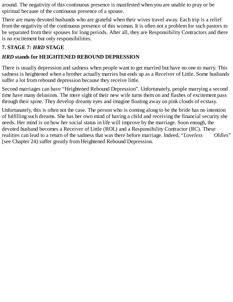around. The negativity of this continuous presence is manifested when you are unable to pray or be spiritual because of the continuous presence of a spouse.

There are many devoted husbands who are grateful when their wives travel away. Each trip is a relief from the negativity of the continuous presence of this woman. It is often not a problem for such pastors to be separated from their spouses for long periods. After all, they are Responsibility Contractors and there is no excitement but only responsibilities.

### **7. STAGE 7:** *HRD* **STAGE**

### *HRD* **stands for HEIGHTENED REBOUND DEPRESSION**

There is usually depression and sadness when people want to get married but have no one to marry. This sadness is heightened when a brother actually marries but ends up as a Receiver of Little. Some husbands suffer a lot from rebound depression because they receive little.

Second marriages can have "Heightened Rebound Depression". Unfortunately, people marrying a second time have many delusions. The mere sight of their new wife turns them on and flashes of excitement pass through their spine. They develop dreamy eyes and imagine floating away on pink clouds of ecstasy.

Unfortunately, this is often not the case. The person who is coming along to be the bride has no intention of fulfilling such dreams. She has her own mind of having a child and receiving the financial security she needs. Her mind is on how her social status in life will improve by the marriage. Soon enough, the devoted husband becomes a Receiver of Little (ROL) and a Responsibility Contractor (RC). These realities can lead to a return of the sadness that was there before marriage. Indeed, "*Loveless Oldies*" (see Chapter 24) suffer greatly from Heightened Rebound Depression.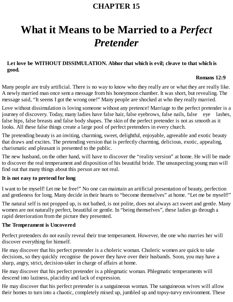# **What it Means to be Married to a** *Perfect Pretender*

### **Let love be WITHOUT DISSIMULATION. Abhor that which is evil; cleave to that which is good.**

### **Romans 12:9**

Many people are truly artificial. There is no way to know who they really are or what they are really like. A newly married man once sent a message from his honeymoon chamber. It was short, but revealing. The message said, "It seems I got the wrong one!" Many people are shocked at who they really married.

Love without dissimulation is loving someone without any pretence! Marriage to the perfect pretender is a journey of discovery. Today, many ladies have false hair, false eyebrows, false nails, false eye lashes, false hips, false breasts and false body shapes. The skin of the perfect pretender is not as smooth as it looks. All these false things create a large pool of perfect pretenders in every church.

The pretending beauty is an inviting, charming, sweet, delightful, enjoyable, agreeable and exotic beauty that draws and excites. The pretending version that is perfectly charming, delicious, exotic, appealing, charismatic and pleasant is presented to the public.

The new husband, on the other hand, will have to discover the "reality version" at home. He will be made to discover the real temperament and disposition of his beautiful bride. The unsuspecting young man will find out that many things about this person are not real.

### **It is not easy to pretend for long**

I want to be myself! Let me be free!" No one can maintain an artificial presentation of beauty, perfection and gentleness for long. Many decide in their hearts to "become themselves" at home. "Let me be myself!"

The natural self is not propped up, is not bathed, is not polite, does not always act sweet and gentle. Many women are not naturally perfect, beautiful or gentle. In "being themselves", these ladies go through a rapid deterioration from the picture they presented.

### **The Temperament is Uncovered**

Perfect pretenders do not easily reveal their true temperament. However, the one who marries her will discover everything for himself.

He may discover that his perfect pretender is a choleric woman. Choleric women are quick to take decisions, so they quickly recognise the power they have over their husbands. Soon, you may have a sharp, angry, strict, decision-taker in charge of affairs at home.

He may discover that his perfect pretender is a phlegmatic woman. Phlegmatic temperaments will descend into laziness, placidity and lack of expression.

He may discover that his perfect pretender is a sanguineous woman. The sanguineous wives will allow their homes to turn into a chaotic, completely mixed up, jumbled up and topsy-turvy environment. These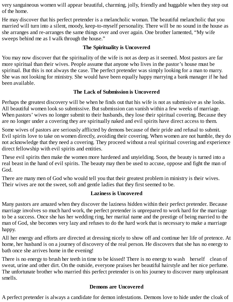very sanguineous women will appear beautiful, charming, jolly, friendly and huggable when they step out of the home.

He may discover that his perfect pretender is a melancholic woman. The beautiful melancholic that you married will turn into a silent, moody, keep-to-myself personality. There will be no sound in the house as she arranges and re-arranges the same things over and over again. One brother lamented, "My wife sweeps behind me as I walk through the house."

### **The Spirituality is Uncovered**

You may now discover that the spirituality of the wife is not as deep as it seemed. Most pastors are far more spiritual than their wives. People assume that anyone who lives in the pastor's house must be spiritual. But this is not always the case. The perfect pretender was simply looking for a man to marry. She was not looking for ministry. She would have been equally happy marrying a bank manager if he had been available.

### **The Lack of Submission is Uncovered**

Perhaps the greatest discovery will be when he finds out that his wife is not as submissive as she looks. All beautiful women look so submissive. But submission can vanish within a few weeks of marriage. When pastors' wives no longer submit to their husbands, they lose their spiritual covering. Because they are no longer under a covering they are spiritually naked and evil spirits have direct access to them.

Some wives of pastors are seriously afflicted by demons because of their pride and refusal to submit. Evil spirits love to take on women directly, avoiding their covering. When women are not humble, they do not acknowledge that they need a covering. They proceed without a real spiritual covering and experience direct fellowship with evil spirits and entities.

These evil spirits then make the women more hardened and unyielding. Soon, the beauty is turned into a real beast in the hand of evil spirits. The beauty may then be used to accuse, oppose and fight the man of God.

There are many men of God who would tell you that their greatest problem in ministry is their wives. Their wives are not the sweet, soft and gentle ladies that they first seemed to be.

### **Laziness is Uncovered**

Many pastors are amazed when they discover the laziness hidden within their perfect pretender. Because marriage involves so much hard work, the perfect pretender is unprepared to work hard for the marriage to be a success. Once she has her wedding ring, her marital name and the prestige of being married to the man of God, she becomes very lazy and refuses to do the hard work that is necessary to make a marriage happy.

All her energy and efforts are directed at dressing nicely to show off and continue her life of pretence. At home, her husband is on a journey of discovery of the real person. He discovers that she has no energy to bath once she arrives home in the evening!

There is no energy to brush her teeth in time to be kissed! There is no energy to wash herself clean of sweat, urine and other dirt. On the outside, everyone praises her beautiful hairstyle and her nice perfume. The unfortunate brother who married this perfect pretender is on his journey to discover many unpleasant smells.

### **Demons are Uncovered**

A perfect pretender is always a candidate for demon infestations. Demons love to hide under the cloak of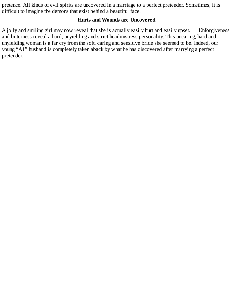pretence. All kinds of evil spirits are uncovered in a marriage to a perfect pretender. Sometimes, it is difficult to imagine the demons that exist behind a beautiful face.

#### **Hurts and Wounds are Uncovered**

A jolly and smiling girl may now reveal that she is actually easily hurt and easily upset. Unforgiveness and bitterness reveal a hard, unyielding and strict headmistress personality. This uncaring, hard and unyielding woman is a far cry from the soft, caring and sensitive bride she seemed to be. Indeed, our young "A1" husband is completely taken aback by what he has discovered after marrying a perfect pretender.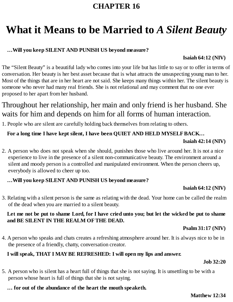# **What it Means to be Married to** *A Silent Beauty*

### **…Will you keep SILENT AND PUNISH US beyond measure?**

### **Isaiah 64:12 (NIV)**

The "Silent Beauty" is a beautiful lady who comes into your life but has little to say or to offer in terms of conversation. Her beauty is her best asset because that is what attracts the unsuspecting young man to her. Most of the things that are in her heart are not said. She keeps many things within her. The silent beauty is someone who never had many real friends. She is not relational and may comment that no one ever proposed to her apart from her husband.

## Throughout her relationship, her main and only friend is her husband. She waits for him and depends on him for all forms of human interaction.

1. People who are silent are carefully holding back themselves from relating to others.

### **For a long time I have kept silent, I have been QUIET AND HELD MYSELFBACK…**

#### **Isaiah 42:14 (NIV)**

2. A person who does not speak when she should, punishes those who live around her. It is not a nice experience to live in the presence of a silent non-communicative beauty. The environment around a silent and moody person is a controlled and manipulated environment. When the person cheers up, everybody is allowed to cheer up too.

### **…Will you keep SILENT AND PUNISH US beyond measure?**

### **Isaiah 64:12 (NIV)**

3. Relating with a silent person is the same as relating with the dead. Your home can be called the realm of the dead when you are married to a silent beauty.

#### Let me not be put to shame Lord, for I have cried unto you; but let the wicked be put to shame **and BE SILENT IN THE REALM OFTHE DEAD.**

### **Psalm 31:17 (NIV)**

4. A person who speaks and chats creates a refreshing atmosphere around her. It is always nice to be in the presence of a friendly, chatty, conversation creator.

### **I will speak, THAT I MAYBE REFRESHED: I will open my lips and answer.**

#### **Job 32:20**

5. A person who is silent has a heart full of things that she is not saying. It is unsettling to be with a person whose heart is full of things that she is not saying.

### **… for out of the abundance of the heart the mouth speaketh.**

#### **Matthew 12:34**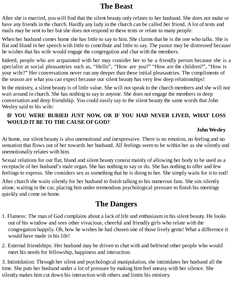## **The Beast**

After she is married, you will find that the silent beauty only relates to her husband. She does not make or have any friends in the church. Hardly any lady in the church can be called her friend. A lot of texts and mails may be sent to her but she does not respond to these texts or relate to many people.

When her husband comes home she has little to say to him. She claims that he is the one who talks. She is flat and bland in her speech with little to contribute and little to say. The pastor may be distressed because he wishes that his wife would engage the congregation and chat with the members.

Indeed, people who are acquainted with her may consider her to be a friendly person because she is a specialist at social pleasantries such as, "Hello", "How are you?" "How are the children?", "How is your wife?" Her conversations never run any deeper than these initial pleasantries. The compliments of the season are what you can expect because our silent beauty has very few deep relationships!

In the ministry, a silent beauty is of little value. She will not speak to the church members and she will not wait around in church. She has nothing to say to anyone. She does not engage the members in deep conversation and deep friendship. You could easily say to the silent beauty the same words that John Wesley said to his wife:

### **IF YOU WERE BURIED JUST NOW, OR IF YOU HAD NEVER LIVED, WHAT LOSS WOULD IT BE TO THE CAUSE OFGOD?**

### **John Wesley**

At home, our silent beauty is also unemotional and inexpressive. There is no emotion, no feeling and no sensation that flows out of her towards her husband. All feelings seem to be within her as she silently and unemotionally relates with him.

Sexual relations for our flat, bland and silent beauty consist mainly of allowing her body to be used as a receptacle of her husband's male organ. She has nothing to say or do. She has nothing to offer and few feelings to express. She considers sex as something that he is doing to her. She simply waits for it to end!

After church she waits silently for her husband to finish talking to his numerous fans. She sits silently alone, waiting in the car, placing him under tremendous psychological pressure to finish his meetings quickly and come on home.

## **The Dangers**

- 1. Flatness: The man of God complains about a lack of life and enthusiasm in his silent beauty. He looks out of his window and sees other vivacious, cheerful and friendly girls who relate with the congregation happily. Oh, how he wishes he had chosen one of those lively gems! What a difference it would have made in his life!
- 2. External friendships: Her husband may be driven to chat with and befriend other people who would meet his needs for fellowship, happiness and interaction.

3. Intimidation: Through her silent and psychological manipulation, she intimidates her husband all the time. She puts her husband under a lot of pressure by making him feel uneasy with her silence. She silently makes him cut down his interaction with others and limits his ministry.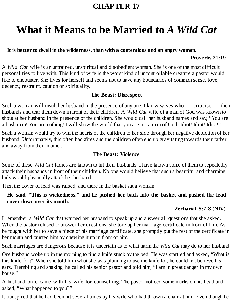# **What it Means to be Married to** *A Wild Cat*

#### **It is better to dwell in the wilderness, than with a contentious and an angry woman.**

#### **Proverbs 21:19**

A *Wild Cat* wife is an untrained, unspiritual and disobedient woman. She is one of the most difficult personalities to live with. This kind of wife is the worst kind of uncontrollable creature a pastor would like to encounter. She lives for herself and seems not to have any boundaries of common sense, love, decency, restraint, caution or spirituality.

### **The Beast: Disrespect**

Such a woman will insult her husband in the presence of any one. I know wives who criticise their husbands and tear them down in front of their children. A *Wild Cat* wife of a man of God was known to shout at her husband in the presence of the children. She would call her husband names and say, "You are a bush man! You are nothing! I will show the world that you are not a man of God! Idiot! Idiot! Idiot!"

Such a woman would try to win the hearts of the children to her side through her negative depiction of her husband. Unfortunately, this often backfires and the children often end up gravitating towards their father and away from their mother.

### **The Beast: Violence**

Some of these *Wild Cat* ladies are known to hit their husbands. I have known some of them to repeatedly attack their husbands in front of their children. No one would believe that such a beautiful and charming lady would physically attack her husband.

Then the cover of lead was raised, and there in the basket sat a woman!

### **He said, "This is wickedness," and he pushed her back into the basket and pushed the lead cover down over its mouth.**

### **Zechariah 5:7-8 (NIV)**

I remember a *Wild Cat* that warned her husband to speak up and answer all questions that she asked. When the pastor refused to answer her questions, she tore up her marriage certificate in front of him. As he fought with her to save a piece of his marriage certificate, she promptly put the rest of the certificate in her mouth and taunted him by chewing it up in front of him.

Such marriages are dangerous because it is uncertain as to what harm the *Wild Cat* may do to her husband.

One husband woke up in the morning to find a knife stuck by the bed. He was startled and asked, "What is this knife for?" When she told him what she was planning to use the knife for, he could not believe his ears. Trembling and shaking, he called his senior pastor and told him, "I am in great danger in my own house."

A husband once came with his wife for counselling. The pastor noticed some marks on his head and asked, "What happened to you?"

It transpired that he had been hit several times by his wife who had thrown a chair at him. Even though he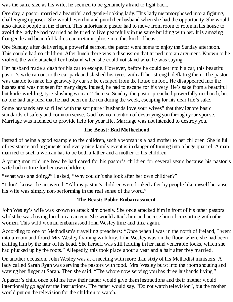was the same size as his wife, he seemed to be genuinely afraid to fight back.

One day, a pastor married a beautiful and gentle-looking lady. This lady metamorphosed into a fighting, challenging opposer. She would even hit and punch her husband when she had the opportunity. She would also attack people in the church. This unfortunate pastor had to move from room to room in his house to avoid the lady he had married as he tried to live peacefully in the same building with her. It is amazing that gentle and beautiful ladies can metamorphose into this kind of beast.

One Sunday, after delivering a powerful sermon, the pastor went home to enjoy the Sunday afternoon. This couple had no children. After lunch there was a discussion that turned into an argument. Known to be violent, the wife attacked her husband when she could not stand what he was saying.

Her husband made a dash for his car to escape. However, before he could get into his car, this beautiful pastor's wife ran out to the car park and slashed his tyres with all her strength deflating them. The pastor was unable to make his getaway by car so he escaped from the house on foot. He disappeared into the bushes and was not seen for many days. Indeed, he had to escape for his very life's sake from a beautiful but knife-wielding, tyre-slashing woman! The next Sunday, the pastor preached powerfully in church, but no one had any idea that he had been on the run during the week, escaping for his dear life's sake.

Some husbands are so filled with the scripture "husbands love your wives" that they ignore basic standards of safety and common sense. God has no intention of destroying you through your spouse. Marriage was intended to provide help for your life. Marriage was not intended to destroy you.

### **The Beast: Bad Motherhood**

Instead of being a good example to the children, such a woman is a bad mother to her children. She is full of resistance and arguments and every nice family event is in danger of turning into a huge quarrel. A man married to such a woman has to be both a father and a mother to his children.

A young man told me how he had cared for his pastor's children for several years because his pastor's wife had no time for her own children.

"What was she doing?" I asked, "Why couldn't she look after her own children?"

"I don't know" he answered. "All my pastor's children were looked after by people like myself because his wife was simply non-performing in the real sense of the word."

### **The Beast: Public Embarrassment**

John Wesley's wife was known to attack him openly. She once attacked him in front of his other pastors whilst he was having lunch in a canteen. She would attack him and accuse him of consorting with other women. This wild woman embarrassed John Wesley time and time again.

According to one of Methodism's travelling preachers: "Once when I was in the north of Ireland, I went into a room and found Mrs Wesley foaming with fury. John Wesley was on the floor, where she had been trailing him by the hair of his head. She herself was still holding in her hand venerable locks, which she had plucked up by the roots." Allegedly, this took place about a year and a half after they married.

On another occasion, John Wesley was at a meeting with more than sixty of his Methodist ministers. A lady called Sarah Ryan was serving the pastors with food. Mrs Wesley burst into the room shouting and waving her finger at Sarah. Then she said, "The whore now serving you has three husbands living."

A pastor's child once told me how their father would give them instructions and their mother would intentionally go against the instructions. The father would say, "Do not watch television", but the mother would put on the television for the children to watch.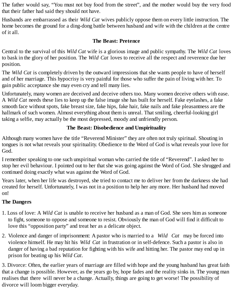The father would say, "You must not buy food from the street", and the mother would buy the very food that their father had said they should not have.

Husbands are embarrassed as their *Wild Cat* wives publicly oppose them on every little instruction. The home becomes the ground for a ding-dong battle between husband and wife with the children at the centre of it all.

#### **The Beast: Pretence**

Central to the survival of this *Wild Cat* wife is a glorious image and public sympathy. The *Wild Cat* loves to bask in the glory of her position. The *Wild Cat* loves to receive all the respect and reverence due her position.

The *Wild Cat* is completely driven by the outward impressions that she wants people to have of herself and of her marriage. This hypocrisy is very painful for those who suffer the pain of living with her. To gain public acceptance she may even cry and tell many lies.

Unfortunately, many women are deceived and deceive others too. Many women deceive others with ease. A *Wild Cat* needs these lies to keep up the false image she has built for herself. Fake eyelashes, a fake smooth face without spots, fake breast size, fake hips, fake hair, fake nails and fake pleasantness are the hallmark of such women. Almost everything about them is unreal. That smiling, cheerful-looking girl taking a selfie, may actually be the most depressed, moody and unfriendly person.

### **The Beast: Disobedience and Unspirituality**

Although many women have the title "Reverend Minister" they are often not truly spiritual. Shouting in tongues is not what reveals your spirituality. Obedience to the Word of God is what reveals your love for God.

I remember speaking to one such unspiritual woman who carried the title of "Reverend". I asked her to stop her evil behaviour. I pointed out to her that she was going against the Word of God. She shrugged and continued doing exactly what was against the Word of God.

Years later, when her life was destroyed, she tried to contact me to deliver her from the darkness she had created for herself. Unfortunately, I was not in a position to help her any more. Her husband had moved on!

### **The Dangers**

- 1. Loss of love: A *Wild Cat* is unable to receive her husband as a man of God. She sees him as someone to fight, someone to oppose and someone to resist. Obviously the man of God will find it difficult to love this "opposition party" and treat her as a delicate object.
- 2. Violence and danger of imprisonment: A pastor who is married to a *Wild Cat* may be forced into violence himself. He may hit his *Wild Cat* in frustration or in self-defence. Such a pastor is also in danger of having a bad reputation for fighting with his wife and hitting her. The pastor may end up in prison for beating up his *Wild Cat*.

3. Divorce: Often, the earlier years of marriage are filled with hope and the young husband has great faith that a change is possible. However, as the years go by, hope fades and the reality sinks in. The young man realises that there will never be a change. Actually, things are going to get worse! The possibility of divorce will loom bigger everyday.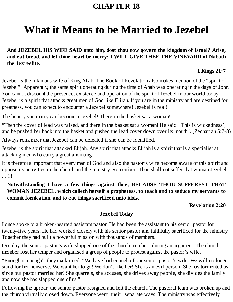# **What it Means to be Married to Jezebel**

**And JEZEBEL HIS WIFE SAID unto him, dost thou now govern the kingdom of Israel? Arise, and eat bread, and let thine heart be merry: I WILL GIVE THEE THE VINEYARD of Naboth the Jezreelite.**

### **1 Kings 21:7**

Jezebel is the infamous wife of King Ahab. The Book of Revelation also makes mention of the "spirit of Jezebel". Apparently, the same spirit operating during the time of Ahab was operating in the days of John. You cannot discount the presence, existence and operation of the spirit of Jezebel in our world today. Jezebel is a spirit that attacks great men of God like Elijah. If you are in the ministry and are destined for greatness, you can expect to encounter a Jezebel somewhere! Jezebel is real!

The beauty you marry can become a Jezebel! There in the basket sat a woman!

"Then the cover of lead was raised, and there in the basket sat a woman! He said, 'This is wickedness', and he pushed her back into the basket and pushed the lead cover down over its mouth". (Zechariah 5:7-8)

Always remember that Jezebel can be defeated if she can be identified.

Jezebel is the spirit that attacked Elijah. Any spirit that attacks Elijah is a spirit that is a specialist at attacking men who carry a great anointing.

It is therefore important that every man of God and also the pastor's wife become aware of this spirit and oppose its activities in the church and the ministry. Remember: Thou shall not suffer that woman Jezebel ... !!!

**Notwithstanding I have a few things against thee, BECAUSE THOU SUFFEREST THAT WOMAN JEZEBEL, which calleth herself a prophetess, to teach and to seduce my servants to commit fornication, and to eat things sacrificed unto idols.**

### **Revelation 2:20**

### **Jezebel Today**

I once spoke to a broken-hearted assistant pastor. He had been the assistant to his senior pastor for twenty-five years. He had worked closely with his senior pastor and faithfully sacrificed for the ministry. Together they had built a powerful mission with thousands of members.

One day, the senior pastor's wife slapped one of the church members during an argument. The church member lost her temper and organised a group of people to protest against the pastor's wife.

"Enough is enough", they exclaimed. "We have had enough of our senior pastor's wife. We will no longer stand for her nonsense. We want her to go! We don't like her! She is an evil person! She has tormented us since our pastor married her! She quarrels, she accuses, she drives away people, she divides the family and now she has slapped one of us."

Following the uproar, the senior pastor resigned and left the church. The pastoral team was broken up and the church virtually closed down. Everyone went their separate ways. The ministry was effectively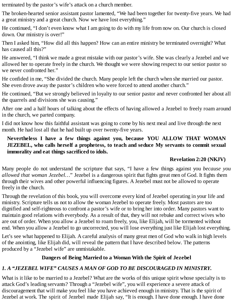terminated by the pastor's wife's attack on a church member.

The broken-hearted senior assistant pastor lamented, "We had been together for twenty-five years. We had a great ministry and a great church. Now we have lost everything."

He continued, "I don't even know what I am going to do with my life from now on. Our church is closed down. Our ministry is over!"

Then I asked him, "How did all this happen? How can an entire ministry be terminated overnight? What has caused all this?"

He answered, "I think we made a great mistake with our pastor's wife. She was clearly a Jezebel and we allowed her to operate freely in the church. We thought we were showing respect to our senior pastor so we never confronted her."

He confided in me, "She divided the church. Many people left the church when she married our pastor. She even drove away the pastor's children who were forced to attend another church."

He continued, "But we strongly believed in loyalty to our senior pastor and never confronted her about all the quarrels and divisions she was causing."

After one and a half hours of talking about the effects of having allowed a Jezebel to freely roam around in the church, we parted company.

I did not know how this faithful assistant was going to come by his next meal and live through the next month. He had lost all that he had built up over twenty-five years.

#### **Nevertheless I have a few things against you, because YOU ALLOW THAT WOMAN JEZEBEL, who calls herself a prophetess, to teach and seduce My servants to commit sexual immorality and eat things sacrificed to idols.**

#### **Revelation 2:20 (NKJV)**

Many people do not understand the scripture that says, "I have a few things against you *because you allowed that woman Jezebel…*" Jezebel is a dangerous spirit that fights great men of God. It fights them through their wives and other powerful influencing figures. A Jezebel must not be allowed to operate freely in the church.

Through the revelation of this book, you will overcome every kind of Jezebel operating in your life and ministry. Scripture tells us not to allow the woman Jezebel to operate freely. Most pastors are too dignified and self-righteous to confront a pastor's wife or to bring her into order. Many pastors want to maintain good relations with everybody. As a result of that, they will not rebuke and correct wives who are out of order. When you allow a Jezebel to roam freely, you, like Elijah, will be tormented without end. When you allow a Jezebel to go uncorrected, you will lose everything just like Elijah lost everything.

Let's see what happened to Elijah. A careful analysis of many great men of God who walk in high levels of the anointing, like Elijah did, will reveal the pattern that I have described below. The patterns produced by a "Jezebel wife" are unmistakable.

#### **Dangers of Being Married to a Woman With the Spirit of Jezebel**

#### *1. A "JEZEBEL WIFE" CAUSES A MAN OF GOD TO BE DISCOURAGED IN MINISTRY.*

What is it like to be married to a Jezebel? What are the works of this unique spirit whose specialty is to attack God's leading servants? Through a "Jezebel wife", you will experience a severe attack of discouragement that will make you feel like you have achieved enough in ministry. That is the spirit of Jezebel at work. The spirit of Jezebel made Elijah say, "It is enough. I have done enough. I have done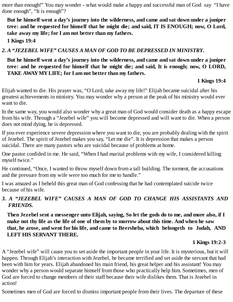more than enough!" You may wonder - what would make a happy and successful man of God say "I have done enough", "It is enough"?

**But he himself went a day's journey into the wilderness, and came and sat down under a juniper tree: and he requested for himself that he might die; and said, IT IS ENOUGH; now, O Lord, take away my life; for I am not better than my fathers.**

**1 Kings 19:4**

*2. A "JEZEBEL WIFE" CAUSES A MAN OF GOD TO BE DEPRESSED IN MINISTRY.*

#### **But he himself went a day's journey into the wilderness, and came and sat down under a juniper tree: and he requested for himself that he might die; and said, It is enough; now, O LORD, TAKE AWAYMYLIFE; for I am not better than my fathers.**

#### **1 Kings 19:4**

Elijah wanted to die. His prayer was, "O Lord, take away my life!" Elijah became suicidal after his greatest achievements in ministry. You may wonder why a person at the peak of his ministry would ever want to die.

In the same way, you would also wonder why a great man of God would consider death as a happy escape from his wife. Through a "Jezebel wife" you will become depressed and will want to die. When a person does not mind dying, he is depressed.

If you ever experience severe depression where you want to die, you are probably dealing with the spirit of Jezebel. The spirit of Jezebel makes you say, "Let me die". It is depression that makes a person suicidal. There are many pastors who are suicidal because of problems at home.

One pastor confided in me. He said, "When I had marital problems with my wife, I considered killing myself twice."

He continued, "Once, I wanted to throw myself down from a tall building. The torment, the accusations and the pressure from my wife were too much for me to handle."

I was amazed as I beheld this great man of God confessing that he had contemplated suicide twice because of his wife.

#### *3. A "JEZEBEL WIFE" CAUSES A MAN OF GOD TO CHANGE HIS ASSISTANTS AND FRIENDS.*

Then Jezebel sent a messenger unto Elijah, saying, So let the gods do to me, and more also, if I make not thy life as the life of one of them by to morrow about this time. And when he saw **that, he arose, and went for his life, and came to Beersheba, which belongeth to Judah, AND LEFT HIS SERVANT THERE.**

#### **1 Kings 19:2-3**

A "Jezebel wife" will cause you to set aside the important people in your life. It is mysterious, but it will happen. Through Elijah's interaction with Jezebel, he became terrified and set aside the servant that had been with him for years. Elijah abandoned his main friend, his great helper and his assistant! You may wonder why a person would separate himself from those who practically help him. Sometimes, men of God are forced to change members of their staff because their wife dislikes them. That is Jezebel in action!

Sometimes men of God are forced to dismiss important people from their lives. The departure of these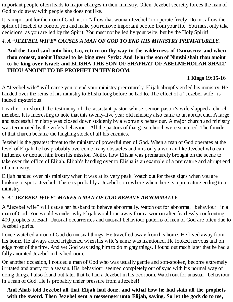important people often leads to major changes in their ministry. Often, Jezebel secretly forces the man of God to do away with people she does not like.

It is important for the man of God not to "allow that woman Jezebel" to operate freely. Do not allow the spirit of Jezebel to control you and make you remove important people from your life. You must only take decisions, as you are led by the Spirit. You must not be led by your wife, but by the Holy Spirit!

#### *4. A "JEZEBEL WIFE" CAUSES A MAN OF GOD TO END HIS MINISTRY PREMATURELY.*

#### **And the Lord said unto him, Go, return on thy way to the wilderness of Damascus: and when thou comest, anoint Hazael to be king over Syria: And Jehu the son of Nimshi shalt thou anoint to be king over Israel: and ELISHA THE SON OF SHAPHAT OF ABELMEHOLAH SHALT THOU ANOINT TO BE PROPHET IN THYROOM.**

#### **1 Kings 19:15-16**

A "Jezebel wife" will cause you to end your ministry prematurely. Elijah abruptly ended his ministry. He handed over the reins of his ministry to Elisha long before he had to. The effect of a "Jezebel wife" is indeed mysterious!

I earlier on shared the testimony of the assistant pastor whose senior pastor's wife slapped a church member. It is interesting to note that this twenty-five year old ministry also came to an abrupt end. A large and successful ministry was closed down suddenly by a woman's behaviour. A major church and ministry was terminated by the wife's behaviour. All the pastors of that great church were scattered. The founder of that church became the laughing stock of all his enemies.

Jezebel is the greatest threat to the ministry of powerful men of God. When a man of God operates at the level of Elijah, he has probably overcome many obstacles and it is only a woman like Jezebel who can influence or detract him from his mission. Notice how Elisha was prematurely brought on the scene to take over the office of Elijah. Elijah's handing over to Elisha is an example of a premature and abrupt end of a ministry.

Elijah handed over his ministry when it was at its very peak! Watch out for these signs when you are looking to spot a Jezebel. There is probably a Jezebel somewhere when there is a premature ending to a ministry.

#### *5. A "JEZEBEL WIFE" MAKES A MAN OF GOD BEHAVE ABNORMALLY.*

A "Jezebel wife" will cause her husband to behave abnormally. Watch out for abnormal behaviour in a man of God. You would wonder why Elijah would run away from a woman after fearlessly confronting 400 prophets of Baal. Unusual occurrences and unusual behaviour patterns of men of God are often due to Jezebel spirits.

I once watched a man of God do unusual things. He travelled away from his home. He lived away from his home. He always acted frightened when his wife's name was mentioned. He looked nervous and on edge most of the time. And yet God was using him to do mighty things. I found out much later that he had a fully anointed Jezebel in his bedroom.

On another occasion, I noticed a man of God who was usually gentle and soft-spoken, become extremely irritated and angry for a season. His behaviour seemed completely out of sync with his normal way of doing things. I also found out later that he had a Jezebel in his bedroom. Watch out for unusual behaviour in a man of God. He is probably under pressure from a Jezebel!

#### **And Ahab told Jezebel all that Elijah had done, and withal how he had slain all the prophets with the sword. Then Jezebel sent a messenger unto Elijah, saying, So let the gods do to me,**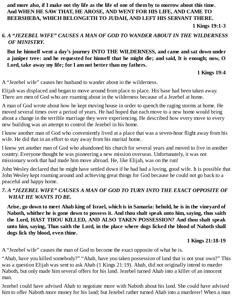and more also, if I make not thy life as the life of one of them by to morrow about this time. **And WHEN HE SAW THAT, HE AROSE, AND WENT FOR HIS LIFE, AND CAME TO BEERSHEBA, WHICH BELONGETH TO JUDAH, AND LEFT HIS SERVANT THERE.**

**1 Kings 19:1-3**

#### *6. A "JEZEBEL WIFE" CAUSES A MAN OF GOD TO WANDER ABOUT IN THE WILDERNESS OF MINISTRY.*

**But he himself went a day's journey INTO THE WILDERNESS, and came and sat down under** a juniper tree: and he requested for himself that he might die; and said, It is enough; now, O **Lord, take away my life; for I am not better than my fathers.**

**1 Kings 19:4**

A "Jezebel wife" causes her husband to wander about in the wilderness.

Elijah was displaced and began to move around from place to place. His base had been taken away. There are men of God who are roaming about in the wilderness because of a Jezebel at home.

A man of God wrote about how he kept moving house in order to quench the raging storms at home. He moved several times over a period of years. He had hoped that each move to a new home would bring about a change in the terrible marriage they were experiencing. He described how every move to every new building was an attempt to control the Jezebel in his home.

I know another man of God who conveniently lived at a place that was a seven-hour flight away from his wife. He did that in an effort to stay away from his marital home.

I know yet another man of God who abandoned his church for several years and moved to live in another country. Everyone thought he was pioneering a new mission overseas. Unfortunately, it was not missionary work that had made him move abroad. He, like Elijah, was on the run!

John Wesley declared that he might have settled down if he had had a loving, good wife. It is possible that John Wesley kept roaming around and achieving great things for God because he could not go back to a peaceful and happy home.

#### *7. A "JEZEBEL WIFE" CAUSES A MAN OF GOD TO TURN INTO THE EXACT OPPOSITE OF WHAT HE WANTS TO BE.*

Arise, go down to meet Ahab king of Israel, which is in Samaria: behold, he is in the vineyard of **Naboth, whither he is gone down to possess it. And thou shalt speak unto him, saying, thus saith the Lord, HAST THOU KILLED, AND ALSO TAKEN POSSESSION? And thou shalt speak unto him, saying, Thus saith the Lord, in the place where dogs licked the blood of Naboth shall dogs lick thy blood, even thine.**

**1 Kings 21:18-19**

A "Jezebel wife" causes the man of God to become the exact opposite of what he is.

"Ahab, have you killed somebody?" "Ahab, have you taken possession of land that is not your own?" This was a question Elijah was sent to ask Ahab (1 Kings 21:19). Ahab, did not originally intend to murder Naboth, but only made him several offers for his land. Jezebel turned Ahab into a killer of an innocent man.

Jezebel could have advised Ahab to negotiate more with Naboth about his land. She could have advised him to offer Naboth more money for his land; but Jezebel rather turned Ahab into a murderer! When a man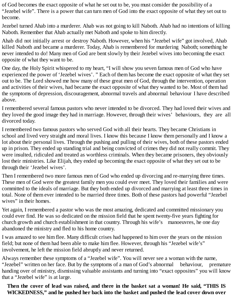of God becomes the exact opposite of what he set out to be, you must consider the possibility of a "Jezebel wife". There is a power that can turn men of God into the exact opposite of what they set out to become.

Jezebel turned Ahab into a murderer. Ahab was not going to kill Naboth. Ahab had no intentions of killing Naboth. Remember that Ahab actually met Naboth and spoke to him directly.

Ahab did not initially arrest or destroy Naboth. However, when his "Jezebel wife" got involved, Ahab killed Naboth and became a murderer. Today, Ahab is remembered for murdering Naboth; something he never intended to do! Many men of God are bent slowly by their Jezebel wives into becoming the exact opposite of what they want to be.

One day, the Holy Spirit whispered to my heart, "I will show you seven famous men of God who have experienced the power of 'Jezebel wives'. " Each of them has become the exact opposite of what they set out to be. The Lord showed me how many of these great men of God, through the intervention, operation and activities of their wives, had became the exact opposite of what they wanted to be. Most of them had the symptoms of depression, discouragement, abnormal travels and abnormal behaviour I have described above.

I remembered several famous pastors who never intended to be divorced. They had loved their wives and they loved the good image they had in marriage. However, through their wives' behaviours, they are all divorced today.

I remembered two famous pastors who served God with all their hearts. They became Christians in school and lived very straight and moral lives. I know this because I know them personally and I know a lot about their personal lives. Through the pushing and pulling of their wives, both of these pastors ended up in prison. They ended up standing trial and being convicted of crimes they did not really commit. They were insulted, ridiculed and treated as worthless criminals. When they became prisoners, they obviously lost their ministries. Like Elijah, they ended up becoming the exact opposite of what they set out to be through their 'Jezebel wives'.

Then I remembered two more famous men of God who ended up divorcing and re-marrying three times. These men of God were the greatest family men you could ever meet. They loved their families and were committed to the ideals of marriage. But they both ended up divorced and marrying at least three times in total. None of them ever intended to be married three times. Both of these pastors had powerful "Jezebel wives" in their homes.

Yet again, I remembered a pastor who was the most amazing, dedicated and committed missionary you could ever find. He was so dedicated on the mission field that he spent twenty-five years fighting for church growth and church establishment in that country. Through his wife's manoeuvres, he one day abandoned the ministry and fled to his home country.

I was amazed to see him flee. Many difficult crises had happened to him over the years on the mission field; but none of them had been able to make him flee. However, through his "Jezebel wife's" involvement, he left the mission field abruptly and never returned.

Always remember these symptoms of a "Jezebel wife". You will never see a woman with the name, "Jezebel" written on her face. But by the symptoms of a man of God's abnormal behaviour, premature handing over of ministry, dismissing valuable assistants and turning into "exact opposites" you will know that a "Jezebel wife" is at large.

**Then the cover of lead was raised, and there in the basket sat a woman! He said, "THIS IS WICKEDNESS," and he pushed her back into the basket and pushed the lead cover down over**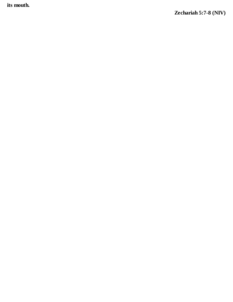**i t s mo ut h .**

**Z e c ha ri a h 5 : 7 - 8 ( N I V )**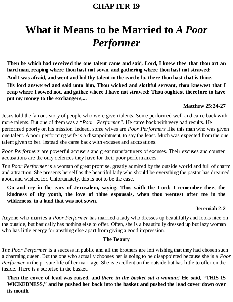### **CHAPTER 19**

# **What it Means to be Married to** *A Poor Performer*

**Then he which had received the one talent came and said, Lord, I knew thee that thou art an hard man, reaping where thou hast not sown, and gathering where thou hast not strawed:** And I was afraid, and went and hid thy talent in the earth: lo, there thou hast that is thine. **His lord answered and said unto him, Thou wicked and slothful servant, thou knewest that I reap where I sowed not, and gather where I have not strawed: Thou oughtest therefore to have put my money to the exchangers,...**

#### **Matthew 25:24-27**

Jesus told the famous story of people who were given talents. Some performed well and came back with more talents. But one of them was a "*Poor Performer"*. He came back with very bad results. He performed poorly on his mission. Indeed, some wives are *Poor Performers* like this man who was given one talent. A poor performing wife is a disappointment, to say the least. Much was expected from the one talent given to her. Instead she came back with excuses and accusations.

*Poor Performers* are powerful accusers and great manufacturers of excuses. Their excuses and counter accusations are the only defences they have for their poor performances.

*The Poor Performer* is a woman of great promise, greatly admired by the outside world and full of charm and attraction. She presents herself as the beautiful lady who should be everything the pastor has dreamed about and wished for. Unfortunately, this is not to be the case.

**Go and cry in the ears of Jerusalem, saying, Thus saith the Lord; I remember thee, the kindness of thy youth, the love of thine espousals, when thou wentest after me in the wilderness, in a land that was not sown.**

#### **Jeremiah 2:2**

Anyone who marries a *Poor Performer* has married a lady who dresses up beautifully and looks nice on the outside, but basically has nothing else to offer. Often, she is a beautifully dressed up but lazy woman who has little energy for anything else apart from giving a good impression.

#### **The Beauty**

*The Poor Performer* is a success in public and all the brothers are left wishing that they had chosen such a charming queen. But the one who actually chooses her is going to be disappointed because she is a *Poor Performer* in the private life of her marriage. She is excellent on the outside but has little to offer on the inside. There is a surprise in the basket.

**Then the cover of lead was raised, and** *there in the basket sat a woman!* **He said, "THIS IS WICKEDNESS," and he pushed her back into the basket and pushed the lead cover down over its mouth.**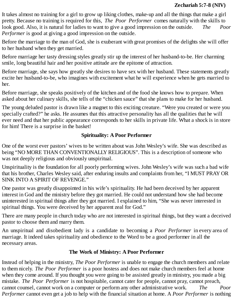It takes almost no training for a girl to grow up liking clothes, make-up and all the things that make a girl pretty. Because no training is required for this, *The Poor Performer* comes naturally with the skills to look good. Also, it is natural for ladies to want to give a good impression on the outside. *The Poor Performer* is good at giving a good impression on the outside.

Before the marriage to the man of God, she is exuberant with great promises of the delights she will offer to her husband when they get married.

Before marriage her tasty dressing styles greatly stir up the interest of her husband-to-be. Her charming smile, long beautiful hair and her positive attitude are the epitome of attraction.

Before marriage, she says how greatly she desires to have sex with her husband. These statements greatly excite her husband-to-be, who imagines with excitement what he will experience when he gets married to her.

Before marriage, she speaks positively of the kitchen and of the food she knows how to prepare. When asked about her culinary skills, she tells of the "chicken sauce" that she plans to make for her husband.

The young deluded pastor is drawn like a magnet to this exciting creature. "Were you created or were you specially crafted?" he asks. He assumes that this attractive personality has all the qualities that he will ever need and that her public appearance corresponds to her skills in private life. What a shock is in store for him! There is a surprise in the basket!

#### **Spirituality: A Poor Performer**

One of the worst ever pastors' wives to be written about was John Wesley's wife. She was described as being "NO MORE THAN CONVENTIONALLY RELIGIOUS". This is a description of someone who was not deeply religious and obviously unspiritual.

Unspirituality is the foundation for all poorly performing wives. John Wesley's wife was such a bad wife that his brother, Charles Wesley said, after enduring insults and complaints from her, "I MUST PRAY OR SINK INTO A SPIRIT OF REVENGE."

One pastor was greatly disappointed in his wife's spirituality. He had been deceived by her apparent interest in God and the ministry before they got married. He could not understand how she had become uninterested in spiritual things after they got married. I explained to him, "She was never interested in spiritual things. You were deceived by her apparent zeal for God."

There are many people in church today who are not interested in spiritual things, but they want a deceived pastor to choose them and marry them.

An unspiritual and disobedient lady is a candidate to becoming a *Poor Performer* in every area of marriage. It indeed takes spirituality and obedience to the Word to be a good performer in all the necessary areas.

#### **The Work of Ministry: A Poor Performer**

Instead of helping in the ministry, *The Poor Performer* is unable to engage the church members and relate to them nicely. *The Poor Performer* is a poor hostess and does not make church members feel at home when they come around. If you thought you were going to be assisted greatly in ministry, you made a big mistake. *The Poor Performer* is not hospitable, cannot cater for people, cannot pray, cannot preach, cannot counsel, cannot work on a computer or perform any other administrative work. *The Poor Performer* cannot even get a job to help with the financial situation at home. A *Poor Performer* is nothing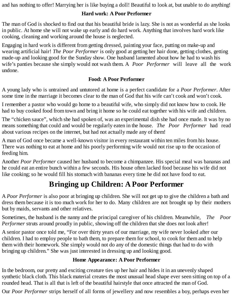and has nothing to offer! Marrying her is like buying a doll! Beautiful to look at, but unable to do anything!

#### **Hard work: A Poor Performer**

The man of God is shocked to find out that his beautiful bride is lazy. She is not as wonderful as she looks in public. At home she will not wake up early and do hard work. Anything that involves hard work like cooking, cleaning and working around the house is neglected.

Engaging in hard work is different from getting dressed, painting your face, putting on make-up and wearing artificial hair! *The Poor Performer* is only good at getting her hair done, getting clothes, getting made-up and looking good for the Sunday show. One husband lamented about how he had to wash his wife's panties because she simply would not wash them. A *Poor Performer* will leave all the work undone.

#### **Food: A Poor Performer**

A young lady who is untrained and untutored at home is a perfect candidate for a *Poor Performer*. After some time in the marriage it becomes clear to the man of God that his wife can't cook and won't cook.

I remember a pastor who would go home to a beautiful wife, who simply did not know how to cook. He had to buy cooked food from town and bring it home so he could eat together with his wife and children.

The "chicken sauce", which she had spoken of, was an experimental dish she had once made. It was by no means something that could and would be regularly eaten in the house. *The Poor Performer* had read about various recipes on the internet, but had not actually made any of them!

A man of God once became a well-known visitor in every restaurant within ten miles from his house. There was nothing to eat at home and his poorly performing wife would not rise up to the occasion of feeding him.

Another *Poor Performer* caused her husband to become a chimpanzee. His special meal was bananas and he could eat an entire bunch within a few seconds. His house often lacked food because his wife did not like cooking; so he would fill his stomach with bananas every time he did not have food to eat.

# **Bringing up Children: A Poor Performer**

A *Poor Performer* is also poor at bringing up children. She will not get up to give the children a bath and dress them because it is too much work for her to do. Many children are not brought up by their mothers but by maids, servants and other relatives.

Sometimes, the husband is the nanny and the principal caregiver of his children. Meanwhile, *The Poor Performer* struts around proudly in public, showing off the children that she does not look after!

A senior pastor once told me, "For over thirty years of our marriage, my wife never looked after our children. I had to employ people to bath them, to prepare them for school, to cook for them and to help them with their homework. She simply would not do any of the domestic things that had to do with bringing up children." She was just interested in dressing up and looking good.

#### **Home Appearance: A Poor Performer**

In the bedroom, our pretty and exciting creature ties up her hair and hides it in an unevenly shaped synthetic black cloth. This black material creates the most unusual head shape ever seen sitting on top of a rounded head. That is all that is left of the beautiful hairstyle that once attracted the man of God.

Our *Poor Performer* strips herself of all forms of jewellery and now resembles a boy, perhaps even her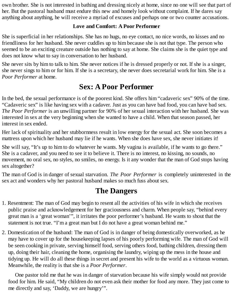own brother. She is not interested in bathing and dressing nicely at home, since no one will see that part of her. But the pastoral husband must endure this new and homely look without complaint. If he dares say anything about anything, he will receive a myriad of excuses and perhaps one or two counter accusations.

#### **Love and Comfort: A Poor Performer**

She is superficial in her relationships. She has no hugs, no eye contact, no nice words, no kisses and no friendliness for her husband. She never cuddles up to him because she is not that type. The person who seemed to be an exciting creature outside has nothing to say at home. She claims she is the quiet type and does not know what to say in conversation to her husband.

She never sits by him to talk to him. She never notices if he is dressed properly or not. If she is a singer, she never sings to him or for him. If she is a secretary, she never does secretarial work for him. She is a *Poor Performer* at home.

# **Sex: A Poor Performer**

In the bed, the sexual performance is of the poorest kind. She offers him "cadaveric sex" 90% of the time. "Cadaveric sex" is like having sex with a cadaver. Just as you can have bad food, you can have bad sex. *The Poor Performer* is an unwilling partner for 90% of her sexual interaction with her husband. She was interested in sex at the very beginning when she wanted to have a child. When that season passed, her interest in sex ended.

Her lack of spirituality and her stubbornness result in low energy for the sexual act. She soon becomes a mattress upon which her husband may lie if he wants. When she does have sex, she never initiates it!

She will say, "It's up to him to do whatever he wants. My vagina is available, if he wants to go there." She is a cadaver, and you need to see it to believe it. There is no interest, no kissing, no sounds, no movement, no oral sex, no styles, no smiles, no energy. Is it any wonder that the man of God stops having sex altogether?

The man of God is in danger of sexual starvation. *The Poor Performer* is completely uninterested in the sex act and wonders why her pastoral husband makes so much fuss about sex.

# **The Dangers**

- 1. Resentment: The man of God may begin to resent all the activities of his wife in which she receives public praise and acknowledgement for her graciousness and charm. When people say, "behind every great man is a 'great woman'", it irritates the poor performer's husband. He wants to shout that the statement is not true. "I'm a great man but I do not have a great woman behind me."
- 2. Domestication of the husband: The man of God is in danger of being domestically overworked, as he may have to cover up for the housekeeping lapses of his poorly performing wife. The man of God will be seen cooking in private, serving himself food, serving others food, bathing children, dressing them up, doing their hair, cleaning the home, organising the laundry, wiping up the mess in the house and tidying up. He will do all these things in secret and present his wife to the world as a virtuous woman. Meanwhile, the reality is that she is a *Poor Performer*.

One pastor told me that he was in danger of starvation because his wife simply would not provide food for him. He said, "My children do not even ask their mother for food any more. They just come to me directly and say, 'Daddy, we are hungry'".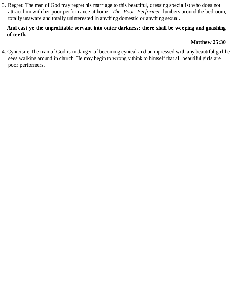3. Regret: The man of God may regret his marriage to this beautiful, dressing specialist who does not attract him with her poor performance at home. *The Poor Performer* lumbers around the bedroom, totally unaware and totally uninterested in anything domestic or anything sexual.

#### **And cast ye the unprofitable servant into outer darkness: there shall be weeping and gnashing of teeth.**

#### **Matthew 25:30**

4. Cynicism: The man of God is in danger of becoming cynical and unimpressed with any beautiful girl he sees walking around in church. He may begin to wrongly think to himself that all beautiful girls are poor performers.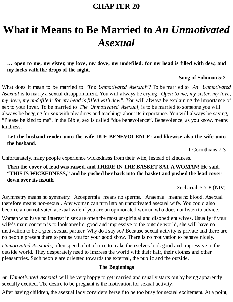### **CHAPTER 20**

# **What it Means to Be Married to** *An Unmotivated Asexual*

#### ... open to me, my sister, my love, my dove, my undefiled: for my head is filled with dew, and **my locks with the drops of the night.**

#### **Song of Solomon 5:2**

What does it mean to be married to "*The Unmotivated Asexual*"? To be married to *An Unmotivated Asexual* is to marry a sexual disappointment. You will always be crying *"Open to me, my sister, my love, my dove, my undefiled: for my head is filled with dew".* You will always be explaining the importance of sex to your lover. To be married to *The Unmotivated Asexual*, is to be married to someone you will always be begging for sex with pleadings and teachings about its importance. You will always be saying, "Please be kind to me". In the Bible, sex is called "due benevolence". Benevolence, as you know, means kindness.

#### **Let the husband render unto the wife DUE BENEVOLENCE: and likewise also the wife unto the husband.**

1 Corinthians 7:3

Unfortunately, many people experience wickedness from their wife, instead of kindness.

#### **Then the cover of lead was raised, and THERE IN THE BASKET SAT A WOMAN! He said, "THIS IS WICKEDNESS," and he pushed her back into the basket and pushed the lead cover down over its mouth**

Zechariah 5:7-8 (NIV)

Asymmetry means no symmetry. Azospermia means no sperms. Anaemia means no blood. Asexual therefore means non-sexual. Any woman can turn into an unmotivated asexual wife. You could also become an unmotivated asexual wife if you are an opinionated woman who does not listen to advice.

Women who have no interest in sex are often the most unspiritual and disobedient wives. Usually if your wife's main concern is to look angelic, good and impressive to the outside world, she will have no motivation to be a great sexual partner. Why do I say so? Because sexual activity is private and there are no people present there to praise you for your good show. There is no motivation to behave nicely.

*Unmotivated Asexuals*, often spend a lot of time to make themselves look good and impressive to the outside world. They desperately need to impress the world with their hair, their clothes and other pleasantries. Such people are oriented towards the external, the public and the outside.

#### **The Beginnings**

*An Unmotivated Asexual* will be very happy to get married and usually starts out by being apparently sexually excited. The desire to be pregnant is the motivation for sexual activity.

After having children, the asexual lady considers herself to be too busy for sexual excitement. At a point,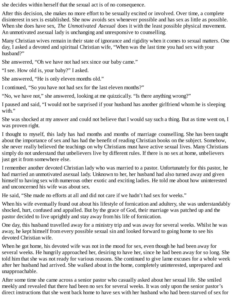she decides within herself that the sexual act is of no consequence.

After this decision, she makes no more effort to be sexually excited or involved. Over time, a complete disinterest in sex is established. She now avoids sex whenever possible and has sex as little as possible. When she does have sex, *The Unmotivated Asexual* does it with the least possible physical movement. An unmotivated asexual lady is unchanging and unresponsive to counselling.

Many Christian wives remain in their state of ignorance and rigidity when it comes to sexual matters. One day, I asked a devoted and spiritual Christian wife, "When was the last time you had sex with your husband?"

She answered, "Oh we have not had sex since our baby came."

"I see. How old is, your baby?" I asked.

She answered, "He is only eleven months old."

I continued, "So you have not had sex for the last eleven months?"

"No, we have not," she answered, looking at me quizzically. "Is there anything wrong?"

I paused and said, "I would not be surprised if your husband has another girlfriend whom he is sleeping with."

She was shocked at my answer and could not believe that I would say such a thing. But as time went on, I was proven right.

I thought to myself, this lady has had months and months of marriage counselling. She has been taught about the importance of sex and has had the benefit of reading Christian books on the subject. Somehow, she never really believed the teachings on why Christians must have active sexual lives. Many Christians simply do not understand that unbelievers live by different rules. If there is no sex at home, unbelievers just get it from somewhere else.

I remember another devoted Christian lady who was married to a pastor. Unfortunately for this pastor, he had married an unmotivated asexual lady. Unknown to her, her husband had also turned away and given himself to having sex with numerous other exotic and exciting ladies. He told me about how uninterested and unconcerned his wife was about sex.

He said, "She made no efforts at all and did not care if we hadn't had sex for weeks."

When his wife eventually found out about his lifestyle of fornication and adultery, she was understandably shocked, hurt, confused and appalled. But by the grace of God, their marriage was patched up and the pastor decided to live uprightly and stay away from his life of fornication.

One day, this husband travelled away for a ministry trip and was away for several weeks. Whilst he was away, he kept himself from every possible sexual sin and looked forward to going home to see his devoted Christian wife.

When he got home, his devoted wife was not in the mood for sex, even though he had been away for several weeks. He hungrily approached her, desiring to have her, since he had been away for so long. She told him that she was not ready for various reasons. She continued to give lame excuses for a whole week after her husband had arrived. She walked about in the home, completely uninterested, unprepared and unapproachable.

After some time she came across a senior pastor who casually asked about her sexual life. She smiled meekly and revealed that there had been no sex for several weeks. It was only upon the senior pastor's direct instructions that she went back home to have sex with her husband who had been starved of sex for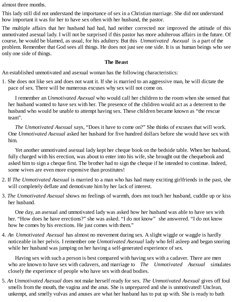almost three months.

This lady still did not understand the importance of sex in a Christian marriage. She did not understand how important it was for her to have sex often with her husband, the pastor.

The multiple affairs that her husband had had, had neither corrected nor improved the attitude of this unmotivated asexual lady. I will not be surprised if this pastor has more adulterous affairs in the future. Of course, he would be blamed, as usual, for his adultery. But this *Unmotivated Asexual* is a part of the problem. Remember that God sees all things. He does not just see one side. It is us human beings who see only one side of things.

#### **The Beast**

An established unmotivated and asexual woman has the following characteristics:

1. She does not like sex and does not want it. If she is married to an aggressive man, he will dictate the pace of sex. There will be numerous excuses why sex will not come on.

I remember an *Unmotivated Asexual* who would call her children to the room when she sensed that her husband wanted to have sex with her. The presence of the children would act as a deterrent to the husband who would be unable to attempt having sex. These children became known as "the rescue team".

*The Unmotivated Asexual* says, "Does it have to come on?" She thinks of excuses that will work. One *Unmotivated Asexual* asked her husband for five hundred dollars before she would have sex with him.

Yet another unmotivated asexual lady kept her cheque book on the bedside table. When her husband, fully charged with his erection, was about to enter into his wife, she brought out the chequebook and asked him to sign a cheque first. The brother had to sign the cheque if he intended to continue. Indeed, some wives are even more expensive than prostitutes!

- 2. If *The Unmotivated Asexual* is married to a man who has had many exciting girlfriends in the past, she will completely deflate and demotivate him by her lack of interest.
- 3. *The Unmotivated Asexual* shows no feelings of warmth, does not touch her husband, cuddle up or kiss her husband.

One day, an asexual and unmotivated lady was asked how her husband was able to have sex with her. "How does he have erections?" she was asked. "I do not know" she answered. "I do not know how he comes by his erections. He just comes with them."

4. *An Unmotivated Asexual* has almost no movement during sex. A slight wiggle or waggle is hardly noticeable in her pelvis. I remember one *Unmotivated Asexual* lady who fell asleep and began snoring while her husband was jumping on her having a self-generated experience of sex.

Having sex with such a person is best compared with having sex with a cadaver. There are men who are known to have sex with cadavers, and marriage to *The Unmotivated Asexual* simulates closely the experience of people who have sex with dead bodies.

5. *An Unmotivated Asexual* does not make herself ready for sex. *The Unmotivated Asexual* gives off foul smells from the mouth, the vagina and the anus. She is unprepared and she is unmotivated! Unclean, unkempt, and smelly vulvas and anuses are what her husband has to put up with. She is ready to bath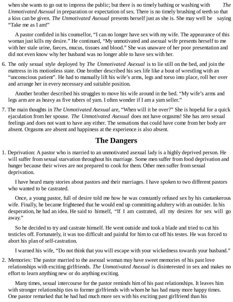when she wants to go out to impress the public; but there is no timely bathing or washing with *The Unmotivated Asexual* in preparation or expectation of sex. There is no timely brushing of teeth so that a kiss can be given. *The Unmotivated Asexual* presents herself just as she is. She may well be saying "Take me as I am!"

A pastor confided in his counsellor, "I can no longer have sex with my wife. The appearance of this woman just kills my desire." He continued, "My unmotivated and asexual wife presents herself to me with her stale urine, faeces, mucus, tissues and blood." She was unaware of her poor presentation and did not even know why her husband was no longer able to have sex with her.

6. The only sexual style deployed by *The Unmotivated Asexual* is to lie still on the bed, and join the mattress in its motionless state. One brother described his sex life like a bout of wrestling with an "unconscious patient". He had to manually lift his wife's arms, legs and torso into place, roll her over and arrange her in every necessary and suitable position.

Another brother described his struggles to move his wife around in the bed. "My wife's arms and legs arm are as heavy as five tubers of yam. I often wonder if I am a yam seller."

7. The main thoughts in *The Unmotivated Asexual* are, "When will it be over?" She is hopeful for a quick ejaculation from her spouse. *The Unmotivated Asexual* does not have orgasms! She has zero sexual feelings and does not want to have any either. The sensations that could have come from her body are absent. Orgasms are absent and happiness at the experience is also absent.

## **The Dangers**

1. Deprivation: A pastor who is married to an unmotivated asexual lady is a highly deprived person. He will suffer from sexual starvation throughout his marriage. Some men suffer from food deprivation and hunger because their wives are not prepared to cook for them. Other men suffer from sexual deprivation.

I have heard many stories about pastors and their marriages. I have spoken to two different pastors who wanted to be castrated.

Once, a young pastor, full of desire told me how he was constantly refused sex by his cantankerous wife. Finally, he became frightened that he would end up committing adultery with an outsider. In his desperation, he had an idea. He said to himself, "If I am castrated, all my desires for sex will go away."

So he decided to try and castrate himself. He went outside and took a blade and tried to cut his testicles off. Fortunately, it was too difficult and painful for him to cut off his testes. He was forced to abort his plan of self-castration.

I warned his wife, "Do not think that you will escape with your wickedness towards your husband."

2. Memories: The pastor married to the asexual woman may have sweet memories of his past love relationships with exciting girlfriends. *The Unmotivated Asexual* is disinterested in sex and makes no effort to learn anything new or do anything exciting.

Many times, sexual intercourse for the pastor reminds him of his past relationships. It leaves him with stronger relationship ties to former girlfriends with whom he has had many more happy times. One pastor remarked that he had had much more sex with his exciting past girlfriend than his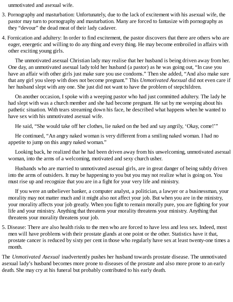unmotivated and asexual wife.

- 3. Pornography and masturbation: Unfortunately, due to the lack of excitement with his asexual wife, the pastor may turn to pornography and masturbation. Many are forced to fantasize with pornography as they "devour" the dead meat of their lady cadaver.
- 4. Fornication and adultery: In order to find excitement, the pastor discovers that there are others who are eager, energetic and willing to do any thing and every thing. He may become embroiled in affairs with other exciting young girls.

The unmotivated asexual Christian lady may realise that her husband is being driven away from her. One day, an unmotivated asexual lady told her husband (a pastor) as he was going out, "In case you have an affair with other girls just make sure you use condoms." Then she added, "And also make sure that any girl you sleep with does not become pregnant." This *Unmotivated Asexual* did not even care if her husband slept with any one. She just did not want to have the problem of stepchildren.

On another occasion, I spoke with a weeping pastor who had just committed adultery. The lady he had slept with was a church member and she had become pregnant. He sat by me weeping about his pathetic situation. With tears streaming down his face, he described what happens when he wanted to have sex with his unmotivated asexual wife.

He said, "She would take off her clothes, lie naked on the bed and say angrily, 'Okay, come!'"

He continued, "An angry naked woman is very different from a smiling naked woman. I had no appetite to jump on this angry naked woman."

Looking back, he realized that he had been driven away from his unwelcoming, unmotivated asexual woman, into the arms of a welcoming, motivated and sexy church usher.

Husbands who are married to unmotivated asexual girls, are in great danger of being subtly driven into the arms of outsiders. It may be happening to you but you may not realize what is going on. You must rise up and recognize that you are in a fight for your very life and ministry.

If you were an unbeliever banker, a computer analyst, a politician, a lawyer or a businessman, your morality may not matter much and it might also not affect your job. But when you are in the ministry, your morality affects your job greatly. When you fight to remain morally pure, you are fighting for your life and your ministry. Anything that threatens your morality threatens your ministry. Anything that threatens your morality threatens your job.

5. Disease: There are also health risks to the men who are forced to have less and less sex. Indeed, most men will have problems with their prostate glands at one point or the other. Statistics have it that, prostate cancer is reduced by sixty per cent in those who regularly have sex at least twenty-one times a month.

The *Unmotivated Asexual* inadvertently pushes her husband towards prostate disease. The unmotivated asexual lady's husband becomes more prone to diseases of the prostate and also more prone to an early death. She may cry at his funeral but probably contributed to his early death.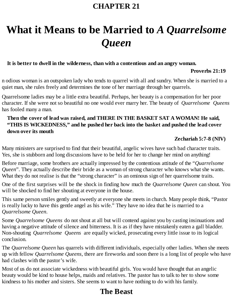### **CHAPTER 21**

# **What it Means to be Married to** *A Quarrelsome Queen*

#### **It is better to dwell in the wilderness, than with a contentious and an angry woman.**

#### **Proverbs 21:19**

n odious woman is an outspoken lady who tends to quarrel with all and sundry. When she is married to a quiet man, she rules freely and determines the tone of her marriage through her quarrels.

Quarrelsome ladies may be a little extra beautiful. Perhaps, her beauty is a compensation for her poor character. If she were not so beautiful no one would ever marry her. The beauty of *Quarrelsome Queens* has fooled many a man.

#### **Then the cover of lead was raised, and THERE IN THE BASKET SAT A WOMAN! He said, "THIS IS WICKEDNESS," and he pushed her back into the basket and pushed the lead cover down over its mouth**

#### **Zechariah 5:7-8 (NIV)**

Many ministers are surprised to find that their beautiful, angelic wives have such bad character traits. Yes, she is stubborn and long discussions have to be held for her to change her mind on anything!

Before marriage, some brothers are actually impressed by the contentious attitude of the "*Quarrelsome Queen*". They actually describe their bride as a woman of strong character who knows what she wants. What they do not realise is that the "strong character" is an ominous sign of her quarrelsome traits.

One of the first surprises will be the shock in finding how much the *Quarrelsome Queen* can shout. You will be shocked to find her shouting at everyone in the house.

This same person smiles gently and sweetly at everyone she meets in church. Many people think, "Pastor is really lucky to have this gentle angel as his wife." They have no idea that he is married to a *Quarrelsome Queen*.

Some *Quarrelsome Queens* do not shout at all but will contend against you by casting insinuations and having a negative attitude of silence and bitterness. It is as if they have mistakenly eaten a gall bladder. Non-shouting *Quarrelsome Queens* are equally wicked, prosecuting every little issue to its logical conclusion.

The *Quarrelsome Queen* has quarrels with different individuals, especially other ladies. When she meets up with fellow *Quarrelsome Queens*, there are fireworks and soon there is a long list of people who have had clashes with the pastor's wife.

Most of us do not associate wickedness with beautiful girls. You would have thought that an angelic beauty would be kind to house helps, maids and relatives. The pastor has to talk to her to show some kindness to his mother and sisters. She seems to want to have nothing to do with his family.

# **The Beast**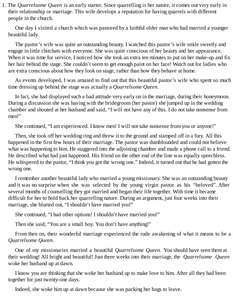1. The *Quarrelsome Queen* is an early starter. Since quarrelling is her nature, it comes out very early in their relationship or marriage. This wife develops a reputation for having quarrels with different people in the church.

One day I visited a church which was pastored by a faithful older man who had married a younger beautiful lady.

The pastor's wife was quite an outstanding beauty. I watched this pastor's wife smile sweetly and engage in little chitchats with everyone. She was quite conscious of her beauty and her appearance. When it was time for service, I noticed how she took an extra ten minutes to put on her make-up and fix her hair behind the stage. She couldn't seem to get enough paint on her face! Watch out for ladies who are extra conscious about how they look on stage, rather than how they behave at home.

As events developed, I was amazed to find out that this beautiful pastor's wife who spent so much time dressing up behind the stage was actually a *Quarrelsome Queen*.

In fact, she had displayed such a bad attitude very early on in the marriage, during their honeymoon. During a discussion she was having with the bridegroom (her pastor) she jumped up in the wedding chamber and shouted at her husband and said, "I will not have any of this. I do not take nonsense from men!"

She continued, "I am experienced. I know men! I will not take nonsense from you or anyone!"

Then, she took off her wedding ring and threw it to the ground and stamped off in a fury. All this happened in the first few hours of their marriage. The pastor was dumbfounded and could not believe what was happening to him. He staggered into the adjoining chamber and made a phone call to a friend. He described what had just happened. His friend on the other end of the line was equally speechless. He whispered to the pastor, "I think you got the wrong one." Indeed, it turned out that he had gotten the wrong one.

I remember another beautiful lady who married a young missionary. She was an outstanding beauty and it was no surprise when she was selected by the young virgin pastor as his "beloved". After several months of counselling they got married and began their life together. With time it became difficult for her to hold back her quarrelling nature. During an argument, just four weeks into their marriage, she blurted out, "I shouldn't have married you!"

She continued, "I had other options! I shouldn't have married you!"

Then she said, "You are a small boy. You don't have anything!"

From then on, their wonderful marriage experienced the rude awakening of what it means to be a *Quarrelsome Queen*.

One of my missionaries married a beautiful *Quarrelsome Queen.* You should have seen them at their wedding! All bright and beautiful! Just three weeks into their marriage, the *Quarrelsome Queen* woke her husband up at dawn.

I know you are thinking that she woke her husband up to make love to him. After all they had been together for just twenty-one days.

Indeed, she woke him up at dawn because she was packing her bags to leave.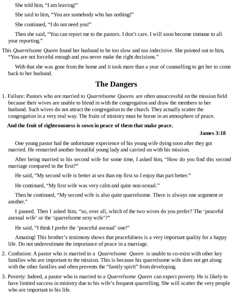She told him, "I am leaving!"

She said to him, "You are somebody who has nothing!"

She continued, "I do not need you!"

Then she said, "You can report me to the pastors. I don't care. I will soon become immune to all your reporting."

This *Quarrelsome Queen* found her husband to be too slow and too indecisive. She pointed out to him, "You are not forceful enough and you never make the right decisions."

With that she was gone from the home and it took more than a year of counselling to get her to come back to her husband.

## **The Dangers**

1. Failure: Pastors who are married to *Quarrelsome Queens* are often unsuccessful on the mission field because their wives are unable to blend in with the congregation and draw the members to her husband. Such wives do not attract the congregation to the church. They actually scatter the congregation in a very real way. The fruits of ministry must be borne in an atmosphere of peace.

#### **And the fruit of righteousness is sown in peace of them that make peace.**

#### **James 3:18**

One young pastor had the unfortunate experience of his young wife dying soon after they got married. He remarried another beautiful young lady and carried on with his mission.

After being married to his second wife for some time, I asked him, "How do you find this second marriage compared to the first?"

He said, "My second wife is better at sex than my first so I enjoy that part better."

He continued, "My first wife was very calm and quite non-sexual."

Then he continued, "My second wife is also quite quarrelsome. There is always one argument or another."

I paused. Then I asked him, "so, over all, which of the two wives do you prefer? The 'peaceful asexual wife' or the 'quarrelsome sexy wife'?"

He said, "I think I prefer the 'peaceful asexual' one!"

Amazing! This brother's testimony shows that peacefulness is a very important quality for a happy life. Do not underestimate the importance of peace in a marriage.

- 2. Confusion: A pastor who is married to a *Quarrelsome Queen* is unable to co-exist with other key families who are important to the mission. This is because his quarrelsome wife does not get along with the other families and often prevents the "family spirit" from developing.
- 3. Poverty: Indeed, a pastor who is married to a *Quarrelsome Queen* can expect poverty. He is likely to have limited success in ministry due to his wife's frequent quarrelling. She will scatter the very people who are important to his life.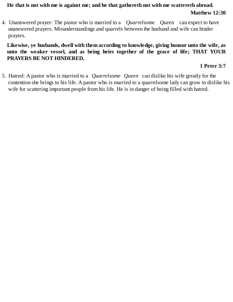#### **He that is not with me is against me; and he that gathereth not with me scattereth abroad. Matthew 12:30**

4. Unanswered prayer: The pastor who is married to a *Quarrelsome Queen* can expect to have unanswered prayers. Misunderstandings and quarrels between the husband and wife can hinder prayers.

**Likewise, ye husbands, dwell with them according to knowledge, giving honour unto the wife, as unto the weaker vessel, and as being heirs together of the grace of life; THAT YOUR PRAYERS BE NOT HINDERED.**

#### **1 Peter 3:7**

5. Hatred: A pastor who is married to a *Quarrelsome Queen* can dislike his wife greatly for the contention she brings to his life. A pastor who is married to a quarrelsome lady can grow to dislike his wife for scattering important people from his life. He is in danger of being filled with hatred.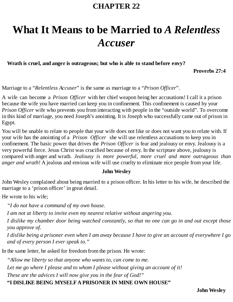### **CHAPTER 22**

# **What It Means to be Married to** *A Relentless Accuser*

**Wrath is cruel, and anger is outrageous; but who is able to stand before envy?**

**Proverbs 27:4**

Marriage to a "*Relentless Accuser*" is the same as marriage to a "*Prison Officer*".

A wife can become a *Prison Officer* with her chief weapon being her accusations! I call it a prison because the wife you have married can keep you in confinement. This confinement is caused by your *Prison Officer* wife who prevents you from interacting with people in the "outside world". To overcome in this kind of marriage, you need Joseph's anointing. It is Joseph who successfully came out of prison in Egypt.

You will be unable to relate to people that your wife does not like or does not want you to relate with. If your wife has the anointing of a *Prison Officer* she will use relentless accusations to keep you in confinement. The basic power that drives the *Prison Officer* is fear and jealousy or envy. Jealousy is a very powerful force. Jesus Christ was crucified because of envy. In the scripture above, jealousy is compared with anger and wrath. *Jealousy is more powerful, more cruel and more outrageous than anger and wrath!* A jealous and envious wife will use cruelty to eliminate nice people from your life.

#### **John Wesley**

John Wesley complained about being married to a prison officer. In his letter to his wife, he described the marriage to a 'prison officer' in great detail.

He wrote to his wife;

*"I do not have a command of my own house.*

*I am not at liberty to invite even my nearest relative without angering you.*

I dislike my chamber door being watched constantly, so that no one can go in and out except those *you approve of.*

I dislike being a prisoner even when I am away because I have to give an account of everywhere I go *and of every person I ever speak to."*

In the same letter, he asked for freedom from the prison. He wrote:

*"Allow me liberty so that anyone who wants to, can come to me.*

*Let me go where I please and to whom I please without giving an account of it!*

*These are the advices I will now give you in the fear of God!"*

#### **"I DISLIKE BEING MYSELFA PRISONER IN MINE OWN HOUSE"**

**John Wesley**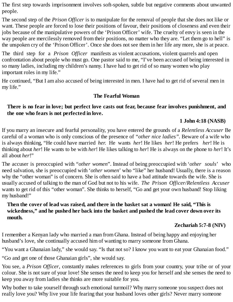The first step towards imprisonment involves soft-spoken, subtle but negative comments about unwanted people.

The second step of the *Prison Officer* is to manipulate for the removal of people that she does not like or want. These people are forced to lose their positions of favour, their positions of closeness and even their jobs because of the manipulative powers of the 'Prison Officer' wife. The cruelty of envy is seen in the way people are mercilessly removed from their positions, no matter who they are. "Let them go to hell" is the unspoken cry of the 'Prison Officer'. Once she does not see them in her life any more, she is at peace.

The third step for a *Prison Officer* manifests as violent accusations, violent quarrels and open confrontation about people who must go. One pastor said to me, "I've been accused of being interested in so many ladies, including my children's nanny. I have had to get rid of so many women who play important roles in my life."

He continued, "But I am also accused of being interested in men. I have had to get rid of several men in my life."

#### **The Fearful Woman**

#### **There is no fear in love; but perfect love casts out fear, because fear involves punishment, and the one who fears is not perfected in love.**

#### **1 John 4:18 (NASB)**

If you marry an insecure and fearful personality, you have entered the grounds of a *Relentless Accuser* Be careful of a woman who is only conscious of the presence of *"other nice ladies"*. Beware of a wife who is always thinking, "He could have married *her.* He wants *her*! He likes *her*! He prefers *her*! He is thinking about *her*! He wants to be with *her*! He likes talking to *her*! He is always on the phone to *her*! It's all about *her*!"

The accuser is preoccupied with "*other women*". Instead of being preoccupied with '*other souls*' who need salvation, she is preoccupied with '*other women*' who "like" her husband! Usually, there is a reason why the "other woman" is of concern. She is often said to have a bad attitude towards the wife. She is usually accused of talking to the man of God but not to his wife. *The Prison Officer/Relentless Accuser* wants to get rid of this "other woman". She thinks to herself, "Go and get your own husband! Stop liking my husband!"

#### **Then the cover of lead was raised, and there in the basket sat a woman! He said, "This is wickedness," and he pushed her back into the basket and pushed the lead cover down over its mouth.**

#### **Zechariah 5:7-8 (NIV)**

I remember a Kenyan lady who married a man from Ghana. Instead of being happy and enjoying her husband's love, she continually accused him of wanting to marry someone from Ghana.

"You want a Ghanaian lady," she would say. "Is that not so? I know you want to eat your Ghanaian food."

"Go and get one of those Ghanaian girls", she would say.

You see, a *Prison Officer*, constantly makes references to girls from your country, your tribe or of your colour. She is not sure of your love! She senses the need to keep you for herself and she senses the need to keep you away from ladies she thinks are more suitable for you.

Why bother to take yourself through such emotional turmoil? Why marry someone you suspect does not really love you? Why live your life fearing that your husband loves other girls? Never marry someone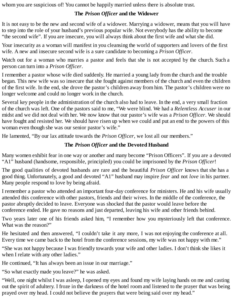whom you are suspicious of! You cannot be happily married unless there is absolute trust.

#### **The** *Prison Officer* **and the Widower**

It is not easy to be the new and second wife of a widower. Marrying a widower, means that you will have to step into the role of your husband's previous popular wife. Not everybody has the ability to become "the second wife". If you are insecure, you will always think about the first wife and what she did.

Your insecurity as a woman will manifest in you cleansing the world of supporters and lovers of the first wife. A new and insecure second wife is a sure candidate to becoming a *Prison Officer*.

Watch out for a woman who marries a pastor and feels that she is not accepted by the church. Such a person can turn into a *Prison Officer*.

I remember a pastor whose wife died suddenly. He married a young lady from the church and the trouble began. This new wife was so insecure that she fought against members of the church and even the children of the first wife. In the end, she drove the pastor's children away from him. The pastor's children were no longer welcome and could no longer work in the church.

Several key people in the administration of the church also had to leave. In the end, a very small fraction of the church was left. One of the pastors said to me, "We were blind. We had a *Relentless Accuser* in our midst and we did not deal with her. We now know that our pastor's wife was a *Prison Officer*. We should have fought and resisted her. We should have risen up when we could and put an end to the powers of this woman even though she was our senior pastor's wife."

He lamented, "By our lax attitude towards the *Prison Officer*, we lost all our members."

#### **The** *Prison Officer* **and the Devoted Husband**

Many women exhibit fear in one way or another and many become "Prison Officers". If you are a devoted "A1" husband (handsome, responsible, principled) you could be imprisoned by the *Prison Officer*!

The good qualities of devoted husbands are rare and the beautiful *Prison Officer* knows that she has a good thing. Unfortunately, a good and devoted "A1" husband may inspire *fear* and not *love* in his partner. Many people respond to love by being afraid.

I remember a pastor who attended an important four-day conference for ministers. He and his wife usually attended this conference with other pastors, friends and their wives. In the middle of the conference, the pastor abruptly decided to leave. Everyone was shocked that the pastor would leave before the conference ended. He gave no reasons and just departed, leaving his wife and other friends behind.

Two years later one of his friends asked him, "I remember how you mysteriously left that conference. What was the reason?"

He hesitated and then answered, "I couldn't take it any more, I was not enjoying the conference at all. Every time we came back to the hotel from the conference sessions, my wife was not happy with me."

"She was not happy because I was friendly towards your wife and other ladies. I don't think she likes it when I relate with any other ladies."

He continued, "It has always been an issue in our marriage."

"So what exactly made you leave?" he was asked.

"Well, one night whilst I was asleep, I opened my eyes and found my wife laying hands on me and casting out the spirit of adultery. I froze in the darkness of the hotel room and listened to the prayer that was being prayed over my head. I could not believe the prayers that were being said over my head."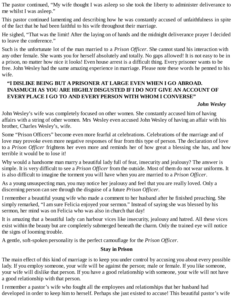The pastor continued, "My wife thought I was asleep so she took the liberty to administer deliverance to me whilst I was asleep."

This pastor continued lamenting and describing how he was constantly accused of unfaithfulness in spite of the fact that he had been faithful to his wife throughout their marriage.

He sighed, "That was the limit! After the laying on of hands and the midnight deliverance prayer I decided to leave the conference."

Such is the unfortunate lot of the man married to a *Prison Officer*. She cannot stand his interaction with any other female. She wants you for herself absolutely and totally. No gaps allowed! It is not easy to be in a prison, no matter how nice it looks! Even house arrest is a difficult thing. Every prisoner wants to be free. John Wesley had the same amazing experience in marriage. Please note these words he penned to his wife.

#### **"I DISLIKE BEING BUT A PRISONER AT LARGE EVEN WHEN I GO ABROAD. INASMUCH AS YOU ARE HIGHLYDISGUSTED IFI DO NOT GIVE AN ACCOUNT OF EVERYPLACE I GO TO AND EVERYPERSON WITH WHOM I CONVERSE"**

#### *John Wesley*

John Wesley's wife was completely focused on other women. She constantly accused him of having affairs with a string of other women. Mrs Wesley even accused John Wesley of having an affair with his brother, Charles Wesley's, wife.

Some "Prison Officers" become even more fearful at celebrations. Celebrations of the marriage and of love may provoke even more negative responses of fear from this type of person. The declaration of love to a *Prison Officer* frightens her even more and reminds her of how great a blessing she has, and how terrible it would be to lose it!

Why would a handsome man marry a beautiful lady full of fear, insecurity and jealousy? The answer is simple. It is very difficult to see a *Prison Officer* from the outside. Most of them do not wear uniforms. It is also difficult to imagine the torment you will have when you are married to a *Prison Officer*.

As a young unsuspecting man, you may notice her jealousy and feel that you are really loved. Only a discerning person can see through the disguise of a future *Prison Officer*.

I remember a beautiful young wife who made a comment to her husband after he finished preaching. She simply remarked, "I am sure Felicia enjoyed your sermon." Instead of saying she was blessed by his sermon, her mind was on Felicia who was also in church that day!

It is amazing that a beautiful lady can harbour vices like insecurity, jealousy and hatred. All these vices exist within the beauty but are completely submerged beneath the charm. Only the trained eye will notice the signs of looming trouble.

A gentle, soft-spoken personality is the perfect camouflage for the *Prison Officer*.

#### **Stay in Prison**

The main effect of this kind of marriage is to keep you under control by accusing you about every possible lady. If you employ someone, your wife will be against the person; male or female. If you like someone, your wife will dislike that person. If you have a good relationship with someone, your wife will not have a good relationship with that person.

I remember a pastor's wife who fought all the employees and relationships that her husband had developed in order to keep him to herself. Perhaps she just existed to accuse! This beautiful pastor's wife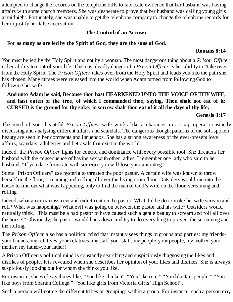attempted to change the records on the telephone bills to fabricate evidence that her husband was having affairs with some church members. She was desperate to prove that her husband was calling young girls at midnight. Fortunately, she was unable to get the telephone company to change the telephone records for her to justify her false accusation.

#### **The Control of an Accuser**

#### **For as many as are led by the Spirit of God, they are the sons of God.**

#### **Romans 8:14**

You must be led by the Holy Spirit and not by a woman. The most dangerous thing about a *Prison Officer* is her ability to control your life. The most deadly danger of a *Prison Officer* is her ability to "take over" from the Holy Spirit. The *Prison Officer* takes over from the Holy Spirit and leads you into the path she has chosen. Many curses were released into the world when Adam turned from following God to following his wife.

#### **And unto Adam he said, Because thou hast HEARKENED UNTO THE VOICE OFTHYWIFE, and hast eaten of the tree, of which I commanded thee, saying, Thou shalt not eat of it:** CURSED is the ground for thy sake; in sorrow shalt thou eat of it all the days of thy life;

#### **Genesis 3:17**

The mind of your beautiful *Prison Officer* wife works like a character in a soap opera, constantly discussing and analysing different affairs and scandals. The dangerous thought patterns of the soft-spoken beauty are seen in her comments and innuendos. She has a strong awareness of the ever-present love affairs, scandals, adulteries and betrayals that exist in the world.

Indeed, the *Prison Officer* fights for control and dominance with every possible tool. She threatens her husband with the consequence of having sex with other ladies. I remember one lady who said to her husband, "If you dare fornicate with someone you will lose your anointing."

Some "Prison Officers" use hysteria to threaten the poor pastor. A certain wife was known to throw herself on the floor, screaming and rolling all over the living room floor. Outsiders would run into the house to find out what was happening, only to find the man of God's wife on the floor, screaming and rolling.

Indeed, what an embarrassment and indictment on the pastor. What did he do to make his wife scream and roll? What was happening? What evil was going on between the pastor and his wife? Outsiders would naturally think, "This must be a bad pastor to have caused such a gentle beauty to scream and roll all over the house!" Obviously, the pastor would back down and try to do everything to prevent the screaming and the rolling.

The *Prison Officer* also has a political mind that instantly sees things in groups and parties: my friendsyour friends, my relatives-your relatives, my staff-your staff, my people-your people, my mother-your mother, my father-your father!

A Prison Officer's political mind is constantly searching and suspiciously diagnosing the likes and dislikes of people. It is revealed when she describes her opinion of your likes and dislikes. She is always suspiciously looking out for whom she thinks you like.

For instance, she will say things like; "You like chicken". "You like rice." "You like fair people." "You like boys from Spartan College." "You like girls from Victoria Girls' High School".

Such a person will notice the different tribes or groupings within a group. For instance, such a person may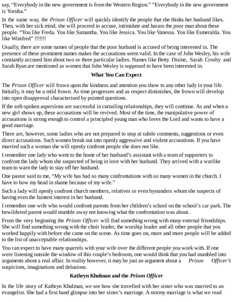say, "Everybody in the new government is from the Western Region." "Everybody in the new government is Yoruba."

In the same way, the *Prison Officer* will quickly identify the people that she thinks her husband likes. Then, with her sick mind, she will proceed to accuse, intimidate and harass the poor man about these people. "You like Freda. You like Samantha. You like Jessica. You like Vanessa. You like Esmeralda. You like Winifred" !!!!!!!

Usually, there are some names of people that the poor husband is accused of being interested in. The presence of these prominent names makes the accusations seem valid. In the case of John Wesley, his wife constantly accused him about two or three particular ladies. Names like Betty Disine, Sarah Crosby and Sarah Ryan are mentioned as women that John Wesley is supposed to have been interested in.

#### **What You Can Expect**

The *Prison Officer* will frown upon the kindness and attention you show to any other lady in your life. Initially, it may be a mild frown. As time progresses and as respect diminishes, the frown will develop into open disapproval characterised by pointed questions.

If the soft-spoken aspersions are successful in curtailing relationships, they will continue. As and when a new girl shows up, these accusations will be revived. Most of the time, the manipulative power of accusations is strong enough to control a principled young man who loves the Lord and wants to have a good marriage.

There are, however, some ladies who are not prepared to stop at subtle comments, suggestions or even direct accusations. Such women break out into openly aggressive and violent accusations. If you have married such a woman she will openly confront people she does not like.

I remember one lady who went to the home of her husband's assistant with a team of supporters to confront the lady whom she suspected of being in love with her husband. They arrived with a warlike team to warn the lady to stay off her husband.

One pastor said to me, "My wife has had so many confrontations with so many women in the church. I have to bow my head in shame because of my wife."

Such a lady will openly confront church members, relatives or even bystanders whom she suspects of having even the faintest interest in her husband.

I remember one wife who would confront parents from her children's school on the school's car park. The bewildered parent would stumble away not knowing what the confrontation was about.

From the very beginning the *Prison Officer* will find something wrong with many external friendships. She will find something wrong with the choir leader, the worship leader and all other people that you worked happily with before she came on the scene. As time goes on, more and more people will be added to the list of unacceptable relationships.

You can expect to have many quarrels with your wife over the different people you work with. If one were listening outside the window of this couple's bedroom, one would think that you had stumbled into arguments about a real affair. In reality however, it may be just an argument about a *Prison Officer's* suspicions, imaginations and delusions.

#### **Kathryn Khulman and the** *Prison Officer*

In the life story of Kathryn Khulman, we see how she travelled with her sister who was married to an evangelist. She had a first hand glimpse into her sister's marriage. A stormy marriage is what we read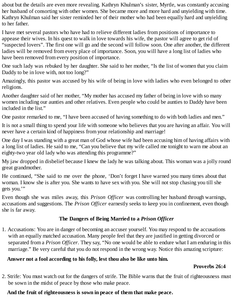about but the details are even more revealing. Kathryn Khulman's sister, Myrtle, was constantly accusing her husband of consorting with other women. She became more and more hard and unyielding with time. Kathryn Khulman said her sister reminded her of their mother who had been equally hard and unyielding to her father.

I have met several pastors who have had to relieve different ladies from positions of importance to appease their wives. In his quest to walk in love towards his wife, the pastor will agree to get rid of "suspected lovers". The first one will go and the second will follow soon. One after another, the different ladies will be removed from every place of importance. Soon, you will have a long list of ladies who have been removed from every position of importance.

One such lady was rebuked by her daughter. She said to her mother, "Is the list of women that you claim Daddy to be in love with, not too long?"

Amazingly, this pastor was accused by his wife of being in love with ladies who even belonged to other religions.

Another daughter said of her mother, "My mother has accused my father of being in love with so many women including our aunties and other relatives. Even people who could be aunties to Daddy have been included in the list."

One pastor remarked to me, "I have been accused of having something to do with both ladies and men."

It is not a small thing to spend your life with someone who believes that you are having an affair. You will never have a certain kind of happiness from your relationship and marriage!

One day I was standing with a great man of God whose wife had been accusing him of having affairs with a long list of ladies. He said to me, "Can you believe that my wife called me tonight to warn me about an eighty-two year old lady who was attending this programme?"

My jaw dropped in disbelief because I knew the lady he was talking about. This woman was a jolly round great grandmother.

He continued, "She said to me over the phone, 'Don't forget I have warned you many times about that woman. I know she is after you. She wants to have sex with you. She will not stop chasing you till she gets you.'"

Even though she was miles away, this *Prison Officer* was controlling her husband through warnings, accusations and suggestions. The *Prison Officer* earnestly seeks to keep you in confinement, even though she is far away.

#### **The Dangers of Being Married to a** *Prison Officer*

1. Accusations: You are in danger of becoming an accuser yourself. You may respond to the accusations with an equally matched accusation. Many people feel that they are justified in getting divorced or separated from a *Prison Officer*. They say, "No one would be able to endure what I am enduring in this marriage." Be very careful that you do not respond in the wrong way. Notice this amazing scripture:

#### **Answer not a fool according to his folly, lest thou also be like unto him.**

#### **Proverbs 26:4**

2. Strife: You must watch out for the dangers of strife. The Bible warns that the fruit of righteousness must be sown in the midst of peace by those who make peace.

#### **And the fruit of righteousness is sown in peace of them that make peace.**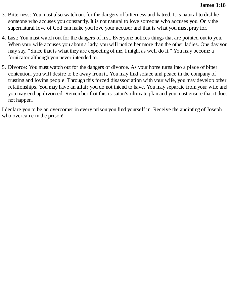- 3. Bitterness: You must also watch out for the dangers of bitterness and hatred. It is natural to dislike someone who accuses you constantly. It is not natural to love someone who accuses you. Only the supernatural love of God can make you love your accuser and that is what you must pray for.
- 4. Lust: You must watch out for the dangers of lust. Everyone notices things that are pointed out to you. When your wife accuses you about a lady, you will notice her more than the other ladies. One day you may say, "Since that is what they are expecting of me, I might as well do it." You may become a fornicator although you never intended to.
- 5. Divorce: You must watch out for the dangers of divorce. As your home turns into a place of bitter contention, you will desire to be away from it. You may find solace and peace in the company of trusting and loving people. Through this forced disassociation with your wife, you may develop other relationships. You may have an affair you do not intend to have. You may separate from your wife and you may end up divorced. Remember that this is satan's ultimate plan and you must ensure that it does not happen.

I declare you to be an overcomer in every prison you find yourself in. Receive the anointing of Joseph who overcame in the prison!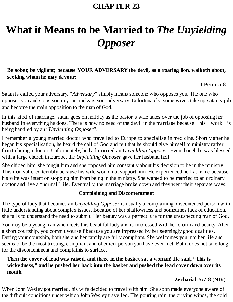### **CHAPTER 23**

# **What it Means to be Married to** *The Unyielding Opposer*

#### **Be sober, be vigilant; because YOUR ADVERSARY the devil, as a roaring lion, walketh about, seeking whom he may devour:**

#### **1 Peter 5:8**

Satan is called your adversary. "*Adversary*" simply means someone who opposes you. The one who opposes you and stops you in your tracks is your adversary. Unfortunately, some wives take up satan's job and become the main opposition to the man of God.

In this kind of marriage, satan goes on holiday as the pastor's wife takes over the job of opposing her husband in everything he does. There is now no need of the devil in the marriage because his work is being handled by an "*Unyielding Opposer*".

I remember a young married doctor who travelled to Europe to specialise in medicine. Shortly after he began his specialisation, he heard the call of God and felt that he should give himself to ministry rather than to being a doctor. Unfortunately, he had married an *Unyielding Opposer*. Even though he was blessed with a large church in Europe, the *Unyielding Opposer* gave her husband hell.

She chided him, she fought him and she opposed him constantly about his decision to be in the ministry. This man suffered terribly because his wife would not support him. He experienced hell at home because his wife was intent on stopping him from being in the ministry. She wanted to be married to an ordinary doctor and live a "normal" life. Eventually, the marriage broke down and they went their separate ways.

#### **Complaining and Discontentment**

The type of lady that becomes an *Unyielding Opposer* is usually a complaining, discontented person with little understanding about complex issues. Because of her shallowness and sometimes lack of education, she fails to understand the need to submit. Her beauty was a perfect lure for the unsuspecting man of God.

You may be a young man who meets this beautiful lady and is impressed with her charm and beauty. After a short courtship, you commit yourself because you are impressed by her seemingly good qualities. During your courtship, both she and her family are fully compliant. She welcomes you into her life and seems to be the most trusting, compliant and obedient person you have ever met. But it does not take long for the discontentment and complaints to surface.

#### **Then the cover of lead was raised, and there in the basket sat a woman! He said, "This is wickedness," and he pushed her back into the basket and pushed the lead cover down over its mouth.**

#### **Zechariah 5:7-8 (NIV)**

When John Wesley got married, his wife decided to travel with him. She soon made everyone aware of the difficult conditions under which John Wesley travelled. The pouring rain, the driving winds, the cold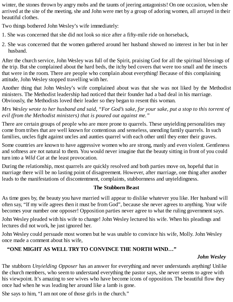winter, the stones thrown by angry mobs and the taunts of jeering antagonists! On one occasion, when she arrived at the site of the meeting, she and John were met by a group of adoring women, all arrayed in their beautiful clothes.

Two things bothered John Wesley's wife immediately:

- 1. She was concerned that she did not look so nice after a fifty-mile ride on horseback,
- 2. She was concerned that the women gathered around her husband showed no interest in her but in her husband.

After the church service, John Wesley was full of the Spirit, praising God for all the spiritual blessings of the trip. But she complained about the hard beds, the itchy bed covers that were too small and the insects that were in the room. There are people who complain about everything! Because of this complaining attitude, John Wesley stopped travelling with her.

Another thing that John Wesley's wife complained about was that she was not liked by the Methodist ministers. The Methodist leadership had noticed that their founder had a bad deal in his marriage. Obviously, the Methodists loved their leader so they began to resent this woman.

Mrs Wesley wrote to her husband and said, "For God's sake, for your sake, put a stop to this torrent of *evil (from the Methodist ministers) that is poured out against me."*

There are certain groups of people who are more prone to quarrels. These unyielding personalities may come from tribes that are well known for contentious and senseless, unending family quarrels. In such families, uncles fight against uncles and aunties quarrel with each other until they enter their graves.

Some countries are known to have aggressive women who are strong, manly and even violent. Gentleness and softness are not natural to them. You would never imagine that the beauty sitting in front of you could turn into a *Wild Cat* at the least provocation.

During the relationship, most quarrels are quickly resolved and both parties move on, hopeful that in marriage there will be no lasting point of disagreement. However, after marriage, one thing after another leads to the manifestations of discontentment, complaints, stubbornness and unyieldingness.

#### **The Stubborn Beast**

As time goes by, the beauty you have married will appear to dislike whatever you like. Her husband will often say, "If my wife agrees then it must be from God", because she never agrees to anything. Your wife becomes your number one opposer! Opposition parties never agree to what the ruling government says.

John Wesley pleaded with his wife to change! John Wesley lectured his wife. When his pleadings and lectures did not work, he just ignored her.

John Wesley could persuade most women but he was unable to convince his wife, Molly. John Wesley once made a comment about his wife,

#### **"ONE MIGHT AS WELL TRYTO CONVINCE THE NORTH WIND…"**

#### *John Wesley*

The stubborn *Unyielding Opposer* has an answer for everything and never understands anything! Unlike the church members, who seem to understand everything the pastor says, she never seems to agree with his viewpoint. It's amazing to see wives who have become icons of opposition. The beautiful flow they once had when he was leading her around like a lamb is gone.

She says to him, "I am not one of those girls in the church."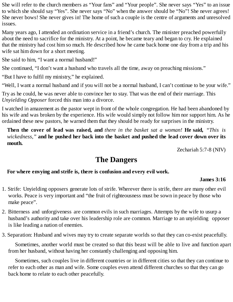She will refer to the church members as "Your fans" and "Your people". She never says "Yes" to an issue to which she should say "Yes". She never says "No" when the answer should be "No"! She never agrees! She never bows! She never gives in! The home of such a couple is the centre of arguments and unresolved issues.

Many years ago, I attended an ordination service in a friend's church. The minister preached powerfully about the need to sacrifice for the ministry. At a point, he became teary and began to cry. He explained that the ministry had cost him so much. He described how he came back home one day from a trip and his wife sat him down for a short meeting.

She said to him, "I want a normal husband!"

She continued, "I don't want a husband who travels all the time, away on preaching missions."

"But I have to fulfil my ministry," he explained.

"Well, I want a normal husband and if you will not be a normal husband, I can't continue to be your wife."

Try as he could, he was never able to convince her to stay. That was the end of their marriage. This *Unyielding Opposer* forced this man into a divorce.

I watched in amazement as the pastor wept in front of the whole congregation. He had been abandoned by his wife and was broken by the experience. His wife would simply not follow him nor support him. As he ordained these new pastors, he warned them that they should be ready for surprises in the ministry.

**Then the cover of lead was raised, and** *there in the basket sat a woman!* **He said,** *"This is wickedness,"* **and he pushed her back into the basket and pushed the lead cover down over its mouth.**

Zechariah 5:7-8 (NIV)

## **The Dangers**

#### **For where envying and strife is, there is confusion and every evil work.**

#### **James 3:16**

- 1. Strife: Unyielding opposers generate lots of strife. Wherever there is strife, there are many other evil works. Peace is very important and "the fruit of righteousness must be sown in peace by those who make peace".
- 2. Bitterness and unforgiveness are common evils in such marriages. Attempts by the wife to usurp a husband's authority and take over his leadership role are common. Marriage to an unyielding opposer is like leading a nation of enemies.

3. Separation: Husband and wives may try to create separate worlds so that they can co-exist peacefully.

Sometimes, another world must be created so that this beast will be able to live and function apart from her husband, without having her constantly challenging and opposing him.

Sometimes, such couples live in different countries or in different cities so that they can continue to refer to each other as man and wife. Some couples even attend different churches so that they can go back home to relate to each other peacefully.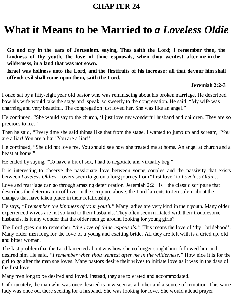### **CHAPTER 24**

# **What it Means to be Married to** *a Loveless Oldie*

**Go and cry in the ears of Jerusalem, saying, Thus saith the Lord; I remember thee, the kindness of thy youth, the love of thine espousals, when thou wentest after me in the wilderness, in a land that was not sown.**

**Israel was holiness unto the Lord, and the firstfruits of his increase: all that devour him shall offend; evil shall come upon them, saith the Lord.**

#### **Jeremiah 2:2-3**

I once sat by a fifty-eight year old pastor who was reminiscing about his broken marriage. He described how his wife would take the stage and speak so sweetly to the congregation. He said, "My wife was charming and very beautiful. The congregation just loved her. She was like an angel."

He continued, "She would say to the church, 'I just love my wonderful husband and children. They are so precious to me.'"

Then he said, "Every time she said things like that from the stage, I wanted to jump up and scream, 'You are a liar! You are a liar! You are a liar!'"

He continued, "She did not love me. You should see how she treated me at home. An angel at church and a beast at home!"

He ended by saying, "To have a bit of sex, I had to negotiate and virtually beg."

It is interesting to observe the passionate love between young couples and the passivity that exists between *Loveless Oldies*. Lovers seem to go on a long journey from "first love" to *Loveless Oldies*.

Love and marriage can go through amazing deterioration. Jeremiah 2:2 is the classic scripture that describes the deterioration of love. In the scripture above, the Lord laments to Jerusalem about the changes that have taken place in their relationship.

He says, *"I remember the kindness of your youth."* Many ladies are very kind in their youth. Many older experienced wives are not so kind to their husbands. They often seem irritated with their troublesome husbands. Is it any wonder that the older men go around looking for young girls?

The Lord goes on to remember *"the love of thine espousals."* This means the love of 'thy bridehood'. Many older men long for the love of a young and exciting bride. All they are left with is a dried up, old and bitter woman.

The last problem that the Lord lamented about was how she no longer sought him, followed him and desired him. He said, *"I remember when thou wentest after me in the wilderness."* How nice it is for the girl to go after the man she loves. Many pastors desire their wives to initiate love as it was in the days of the first love.

Many men long to be desired and loved. Instead, they are tolerated and accommodated.

Unfortunately, the man who was once desired is now seen as a bother and a source of irritation. This same lady was once out there seeking for a husband. She was looking for love. She would attend prayer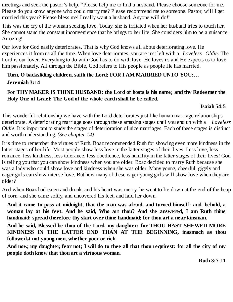meetings and seek the pastor's help. "Please help me to find a husband. Please choose someone for me. Please do you know anyone who could marry me? Please recommend me to someone. Pastor, will I get married this year? Please bless me! I really want a husband. Anyone will do!"

This was the cry of the woman seeking love. Today, she is irritated when her husband tries to touch her. She cannot stand the constant inconvenience that he brings to her life. She considers him to be a nuisance. Amazing!

Our love for God easily deteriorates. That is why God knows all about deteriorating love. He experiences it from us all the time. When love deteriorates, you are just left with a *Loveless Oldie*. The Lord is our lover. Everything to do with God has to do with love. He loves us and He expects us to love him passionately. All through the Bible, God refers to His people as people He has married.

#### **Turn, O backsliding children, saith the Lord; FOR I AM MARRIED UNTO YOU:… Jeremiah 3:14**

#### **For THYMAKER IS THINE HUSBAND; the Lord of hosts is his name; and thy Redeemer the Holy One of Israel; The God of the whole earth shall he be called.**

#### **Isaiah 54:5**

This wonderful relationship we have with the Lord deteriorates just like human marriage relationships deteriorate. A deteriorating marriage goes through these amazing stages until you end up with a *Loveless Oldie*. It is important to study the stages of deterioration of nice marriages. Each of these stages is distinct and worth understanding. *(See chapter 14)*

It is time to remember the virtues of Ruth. Boaz recommended Ruth for showing even more kindness in the latter stages of her life. Most people show less love in the latter stages of their lives. Less love, less romance, less kindness, less tolerance, less obedience, less humility in the latter stages of their lives! God is telling you that you can show kindness when you are older. Boaz decided to marry Ruth because she was a lady who could show love and kindness when she was older. Many young, cheerful, giggly and eager girls can show intense love. But how many of these eager young girls will show love when they are older?

And when Boaz had eaten and drunk, and his heart was merry, he went to lie down at the end of the heap of corn: and she came softly, and uncovered his feet, and laid her down.

**And it came to pass at midnight, that the man was afraid, and turned himself: and, behold, a woman lay at his feet. And he said, Who art thou? And she answered, I am Ruth thine handmaid: spread therefore thy skirt over thine handmaid; for thou art a near kinsman.**

**And he said, Blessed be thou of the Lord, my daughter: for THOU HAST SHEWED MORE KINDNESS IN THE LATTER END THAN AT THE BEGINNING, inasmuch as thou followedst not young men, whether poor or rich.**

And now, my daughter, fear not; I will do to thee all that thou requirest: for all the city of my **people doth know that thou art a virtuous woman.**

**Ruth 3:7-11**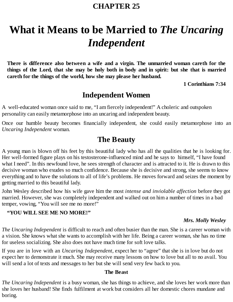### **CHAPTER 25**

# **What it Means to be Married to** *The Uncaring Independent*

**There is difference also between a wife and a virgin. The unmarried woman careth for the** things of the Lord, that she may be holy both in body and in spirit: but she that is married **careth for the things of the world, how she may please her husband.**

**1 Corinthians 7:34**

## **Independent Women**

A well-educated woman once said to me, "I am fiercely independent!" A choleric and outspoken personality can easily metamorphose into an uncaring and independent beauty.

Once our humble beauty becomes financially independent, she could easily metamorphose into an *Uncaring Independent* woman.

## **The Beauty**

A young man is blown off his feet by this beautiful lady who has all the qualities that he is looking for. Her well-formed figure plays on his testosterone-influenced mind and he says to himself, "I have found what I need". In this newfound love, he sees strength of character and is attracted to it. He is drawn to this decisive woman who exudes so much confidence. Because she is decisive and strong, she seems to know everything and to have the solutions to all of life's problems. He moves forward and seizes the moment by getting married to this beautiful lady.

John Wesley described how his wife gave him the most *intense and inviolable affection* before they got married. However, she was completely independent and walked out on him a number of times in a bad temper, vowing, "You will see me no more!"

#### **"YOU WILL SEE ME NO MORE!"**

#### *Mrs. Molly Wesley*

*The Uncaring Independent* is difficult to reach and often busier than the man. She is a career woman with a vision. She knows what she wants to accomplish with her life. Being a career woman, she has no time for useless socializing. She also does not have much time for soft love talks.

If you are in love with an *Uncaring Independent*, expect her to "agree" that she is in love but do not expect her to demonstrate it much. She may receive many lessons on how to love but all to no avail. You will send a lot of texts and messages to her but she will send very few back to you.

#### **The Beast**

*The Uncaring Independent* is a busy woman, she has things to achieve, and she loves her work more than she loves her husband! She finds fulfilment at work but considers all her domestic chores mundane and boring.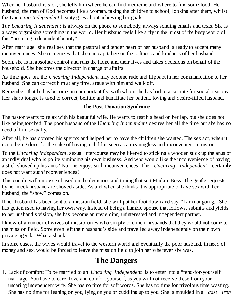When her husband is sick, she tells him where he can find medicine and where to find some food. Her husband, the man of God becomes like a woman, taking the children to school, looking after them, whilst the *Uncaring Independent* beauty goes about achieving her goals.

*The Uncaring Independent* is always on the phone to somebody, always sending emails and texts. She is always organizing something in the world. Her husband feels like a fly in the midst of the busy world of this "uncaring independent beauty".

After marriage, she realises that the pastoral and tender heart of her husband is ready to accept many inconveniences. She recognizes that she can capitalize on the softness and kindness of her husband.

Soon, she is in absolute control and runs the home and their lives and takes decisions on behalf of the household. She becomes the director in charge of affairs.

As time goes on, the *Uncaring Independent* may become rude and flippant in her communication to her husband. She can correct him at any time, argue with him and walk off.

Remember, that he has become an unimportant fly, with whom she has had to associate for social reasons. Her sharp tongue is used to correct, belittle and humiliate her patient, loving and desire-filled husband.

#### **The Post-Donation Syndrome**

The pastor wants to relax with his beautiful wife. He wants to rest his head on her lap, but she does not like being touched. The poor husband of the *Uncaring Independent* desires her all the time but she has no need of him sexually.

After all, he has donated his sperms and helped her to have the children she wanted. The sex act, when it is not being done for the sake of having a child is seen as a meaningless and inconvenient intrusion.

To the *Uncaring Independent*, sexual intercourse may be likened to sticking a wooden stick up the anus of an individual who is politely minding his own business. And who would like the inconvenience of having a stick shoved up his anus? No one enjoys such inconveniences! The *Uncaring Independent* certainly does not want such inconveniences!

This couple will enjoy sex based on the decisions and timing that suit Madam Boss. The gentle requests by her meek husband are shoved aside. As and when she thinks it is appropriate to have sex with her husband, the "show" comes on.

If her husband has been sent to a mission field, she will put her foot down and say, "I am not going." She has gotten used to having her own way. Instead of being a humble spouse that follows, submits and yields to her husband's vision, she has become an unyielding, uninterested and independent partner.

I know of a number of wives of missionaries who simply told their husbands that they would not come to the mission field. Some even left their husband's side and travelled away independently on their own private agenda. What a shock!

In some cases, the wives would travel to the western world and eventually the poor husband, in need of money and sex, would be forced to leave the mission field to join her wherever she was.

# **The Dangers**

1. Lack of comfort: To be married to an *Uncaring Independent* is to enter into a "fend-for-yourself" marriage. You have to care, love and comfort yourself, as you will not receive these from your uncaring independent wife. She has no time for soft words. She has no time for frivolous time wasting. She has no time for leaning on you, lying on you or cuddling up to you. She is moulded in a *cast iron*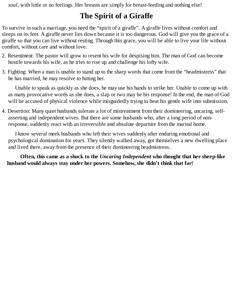*soul*, with little or no feelings. Her breasts are simply for breast-feeding and nothing else!

# **The Spirit of a Giraffe**

To survive in such a marriage, you need the "spirit of a giraffe". A giraffe lives without comfort and sleeps on its feet. A giraffe never lies down because it is too dangerous. God will give you the grace of a giraffe so that you can live without resting. Through this grace, you will be able to live your life without comfort, without care and without love.

- 2. Resentment: The pastor will grow to resent his wife for despising him. The man of God can become hostile towards his wife, as he tries to rise up and challenge his lofty wife.
- 3. Fighting: When a man is unable to stand up to the sharp words that come from the "headmistress" that he has married, he may resolve to hitting her.

Unable to speak as quickly as she does, he may use his hands to strike her. Unable to come up with as many provocative words as she does, a slap or two may be his response! In the end, the man of God will be accused of physical violence while misguidedly trying to beat his gentle wife into submission.

4. Desertion: Many quiet husbands tolerate a lot of mistreatment from their domineering, uncaring, selfasserting and independent wives. But there are some husbands who, after a long period of nonresponse, suddenly react with an irreversible and absolute departure from the marital home.

I know several meek husbands who left their wives suddenly after enduring emotional and psychological domination for years. They silently walked away, got themselves a new dwelling place and lived there, away from the presence of their domineering headmistress.

**Often, this came as a shock to the** *Uncaring Independent* **who thought that her sheep-like husband would always stay under her powers. Somehow, she didn't think that far!**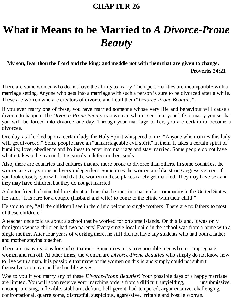# **What it Means to be Married to** *A Divorce-Prone Beauty*

## **My son, fear thou the Lord and the king: and meddle not with them that are given to change. Proverbs 24:21**

There are some women who do not have the ability to marry. Their personalities are incompatible with a marriage setting. Anyone who gets into a marriage with such a person is sure to be divorced after a while. These are women who are creators of divorce and I call them "*Divorce-Prone Beauties*".

If you ever marry one of these, you have married someone whose very life and behaviour will cause a divorce to happen. The *Divorce-Prone Beauty* is a woman who is sent into your life to marry you so that you will be forced into divorce one day. Through your marriage to her, you are certain to become a divorcee.

One day, as I looked upon a certain lady, the Holy Spirit whispered to me, "Anyone who marries this lady will get divorced." Some people have an "unmarriageable evil spirit" in them. It takes a certain spirit of humility, love, obedience and holiness to enter into marriage and stay married. Some people do not have what it takes to be married. It is simply a defect in their souls.

Also, there are countries and cultures that are more prone to divorce than others. In some countries, the women are very strong and very independent. Sometimes the women are like strong aggressive men. If you look closely, you will find that the women in these places rarely get married. They may have sex and they may have children but they do not get married.

A doctor friend of mine told me about a clinic that he runs in a particular community in the United States. He said, "It is rare for a couple (husband and wife) to come to the clinic with their child."

He said to me, "All the children I see in the clinic belong to single mothers. There are no fathers to most of these children."

A teacher once told us about a school that he worked for on some islands. On this island, it was only foreigners whose children had two parents! Every single local child in the school was from a home with a single mother. After four years of working there, he still did not have any students who had both a father and mother staying together.

There are many reasons for such situations. Sometimes, it is irresponsible men who just impregnate women and run off. At other times, the women are *Divorce-Prone Beauties* who simply do not know how to live with a man. It is possible that many of the women on this island simply could not submit themselves to a man and be humble wives.

Woe to you if you marry any of these *Divorce-Prone Beauties*! Your possible days of a happy marriage are limited. You will soon receive your marching orders from a difficult, unyielding, unsubmissive, uncompromising, inflexible, stubborn, defiant, belligerent, bad-tempered, argumentative, challenging, confrontational, quarrelsome, distrustful, suspicious, aggressive, irritable and hostile woman.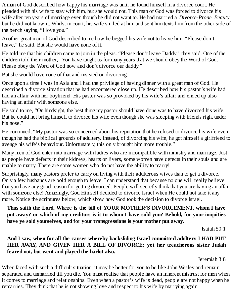A man of God described how happy his marriage was until he found himself in a divorce court. He pleaded with his wife to stay with him, but she would not. This man of God was forced to divorce his wife after ten years of marriage even though he did not want to. He had married a *Divorce-Prone Beauty* but he did not know it. Whilst in court, his wife smiled at him and sent him texts him from the other side of the bench saying, "I love you."

Another great man of God described to me how he begged his wife not to leave him. "Please don't leave," he said. But she would have none of it.

He told me that his children came to join in the pleas. "Please don't leave Daddy" they said. One of the children told their mother, "You have taught us for many years that we should obey the Word of God. Please obey the Word of God now and don't divorce our daddy."

But she would have none of that and insisted on divorcing.

Once upon a time I was in Asia and I had the privilege of having dinner with a great man of God. He described a divorce situation that he had encountered close up. He described how his pastor's wife had had an affair with her boyfriend. His pastor was so provoked by his wife's affair and ended up also having an affair with someone else.

He said to me, "On hindsight, the best thing my pastor should have done was to have divorced his wife. But he could not bring himself to divorce his wife even though she was sleeping with friends right under his nose."

He continued, "My pastor was so concerned about his reputation that he refused to divorce his wife even though he had the biblical grounds of adultery. Instead, of divorcing his wife, he got himself a girlfriend to avenge his wife's behaviour. Unfortunately, this only brought him more trouble."

Many men of God enter into marriage with ladies who are incompatible with ministry and marriage. Just as people have defects in their kidneys, hearts or livers, some women have defects in their souls and are unable to marry. There are some women who do not have the ability to marry!

Surprisingly, many pastors prefer to carry on living with their adulterous wives than to get a divorce. Only a few husbands are bold enough to leave. I can understand that because no one will really believe that you have any good reason for getting divorced. People will secretly think that you are having an affair with someone else! Amazingly, God Himself decided to divorce Israel when He could not take it any more. Notice the scriptures below, which show how God took the decision to divorce Israel.

**Thus saith the Lord, Where is the bill of YOUR MOTHER'S DIVORCEMENT, whom I have** put away? or which of my creditors is it to whom I have sold you? Behold, for your iniquities **have ye sold yourselves, and for your transgressions is your mother put away.**

Isaiah 50:1

**And I saw, when for all the causes whereby backsliding Israel committed adultery I HAD PUT HER AWAY, AND GIVEN HER A BILL OF DIVORCE; yet her treacherous sister Judah feared not, but went and played the harlot also.**

Jeremiah 3:8

When faced with such a difficult situation, it may be better for you to be like John Wesley and remain separated and unmarried till you die. You must realise that people have an inherent mistrust for men when it comes to marriage and relationships. Even when a pastor's wife is dead, people are not happy when he remarries. They think that he is not showing love and respect to his wife by marrying again.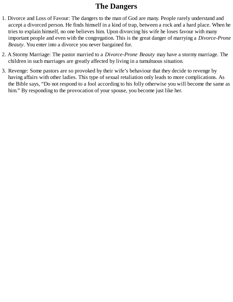# **The Dangers**

- 1. Divorce and Loss of Favour: The dangers to the man of God are many. People rarely understand and accept a divorced person. He finds himself in a kind of trap, between a rock and a hard place. When he tries to explain himself, no one believes him. Upon divorcing his wife he loses favour with many important people and even with the congregation. This is the great danger of marrying a *Divorce-Prone Beauty*. You enter into a divorce you never bargained for.
- 2. A Stormy Marriage: The pastor married to a *Divorce-Prone Beauty* may have a stormy marriage. The children in such marriages are greatly affected by living in a tumultuous situation.
- 3. Revenge: Some pastors are so provoked by their wife's behaviour that they decide to revenge by having affairs with other ladies. This type of sexual retaliation only leads to more complications. As the Bible says, "Do not respond to a fool according to his folly otherwise you will become the same as him." By responding to the provocation of your spouse, you become just like her.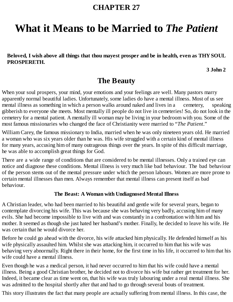# **What it Means to be Married to** *The Patient*

**Beloved, I wish above all things that thou mayest prosper and be in health, even as THY SOUL PROSPERETH.**

**3 John 2**

## **The Beauty**

When your soul prospers, your mind, your emotions and your feelings are well. Many pastors marry apparently normal beautiful ladies. Unfortunately, some ladies do have a mental illness. Most of us see mental illness as something in which a person walks around naked and lives in a cemetery, speaking gibberish to everyone she meets. Most mentally ill people do not live in cemeteries! So, do not look in the cemetery for a mental patient. A mentally ill woman may be living in your bedroom with you. Some of the most famous missionaries who changed the face of Christianity were married to "*The Patient*."

William Carey, the famous missionary to India, married when he was only nineteen years old. He married a woman who was six years older than he was. His wife struggled with a certain kind of mental illness for many years, accusing him of many outrageous things over the years. In spite of this difficult marriage, he was able to accomplish great things for God.

There are a wide range of conditions that are considered to be mental illnesses. Only a trained eye can notice and diagnose these conditions. Mental illness is very much like bad behaviour. The bad behaviour of the person stems out of the mental pressure under which the person labours. Women are more prone to certain mental illnesses than men. Always remember that mental illness can present itself as bad behaviour.

#### **The Beast: A Woman with Undiagnosed Mental Illness**

A Christian leader, who had been married to his beautiful and gentle wife for several years, began to contemplate divorcing his wife. This was because she was behaving very badly, accusing him of many evils. She had become impossible to live with and was constantly in a confrontation with him and his mother. It seemed as though she just hated her husband's mother. Finally, he decided to leave his wife. He was certain that he would divorce her.

Before he could go ahead with the divorce, his wife attacked him physically. He defended himself as his wife physically assaulted him. Whilst she was attacking him, it occurred to him that his wife was behaving very abnormally. Right there in their home, for the first time in his life, it occurred to him that his wife could have a mental illness.

Even though he was a medical person, it had never occurred to him that his wife could have a mental illness. Being a good Christian brother, he decided not to divorce his wife but rather get treatment for her. Indeed, it became clear as time went on, that his wife was truly labouring under a real mental illness. She was admitted to the hospital shortly after that and had to go through several bouts of treatment.

This story illustrates the fact that many people are actually suffering from mental illness. In this case, the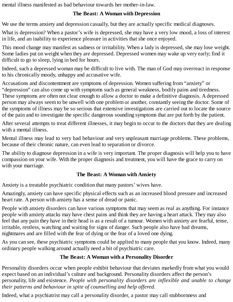mental illness manifested as bad behaviour towards her mother-in-law.

## **The Beast: A Woman with Depression**

We use the terms anxiety and depression casually, but they are actually specific medical diagnoses.

What is depression? When a pastor's wife is depressed, she may have a very low mood, a loss of interest in life, and an inability to experience pleasure in activities that she once enjoyed.

This mood change may manifest as sadness or irritability. When a lady is depressed, she may lose weight. Some ladies put on weight when they are depressed. Depressed women may wake up very early; find it difficult to go to sleep, lying in bed for hours.

Indeed, such a depressed woman may be difficult to live with. The man of God may overreact in response to his chronically moody, unhappy and accusative wife.

Accusations and discontentment are symptoms of depression. Women suffering from "anxiety" or "depression" can also come up with symptoms such as general weakness, bodily pains and tiredness. These symptoms are often not clear enough to allow a doctor to make a definitive diagnosis. A depressed person may always seem to be unwell with one problem or another, constantly seeing the doctor. Some of the symptoms of illness may be so serious that extensive investigations are carried out to locate the source of the pain and to investigate the specific dangerous sounding symptoms that are put forth by the patient.

After several attempts to treat different illnesses, it may begin to occur to the doctors that they are dealing with a mental illness.

Mental illness may lead to very bad behaviour and very unpleasant marriage problems. These problems, because of their chronic nature, can even lead to separation or divorce.

The ability to diagnose depression in a wife is very important. The proper diagnosis will help you to have compassion on your wife. With the proper diagnosis and treatment, you will have the grace to carry on with your marriage.

## **The Beast: A Woman with Anxiety**

Anxiety is a treatable psychiatric condition that many pastors' wives have.

Amazingly, anxiety can have specific physical effects such as an increased blood pressure and increased heart rate. A person with anxiety has a sense of dread or panic.

People with anxiety disorders can have various symptoms that may seem as real as anything. For instance people with anxiety attacks may have chest pains and think they are having a heart attack. They may also feel that any pain they have in their head is as a result of a tumour. Women with anxiety are fearful, tense, irritable, restless, watching and waiting for signs of danger. Such people also have bad dreams, nightmares and are filled with the fear of dying or the fear of a loved one dying.

As you can see, these psychiatric symptoms could be applied to many people that you know. Indeed, many ordinary people walking around actually need a bit of psychiatric care.

## **The Beast: A Woman with a Personality Disorder**

Personality disorders occur when people exhibit behaviour that deviates markedly from what you would expect based on an individual's culture and background. Personality disorders affect the person's personality, life and existence. *People with personality disorders are inflexible and unable to change their patterns and behaviour in spite of counselling and help offered.*

Indeed, what a psychiatrist may call a personality disorder, a pastor may call stubbornness and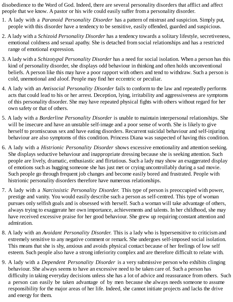disobedience to the Word of God. Indeed, there are several personality disorders that afflict and affect people that we know. A pastor or his wife could easily suffer from a personality disorder.

- 1. A lady with a *Paranoid Personality Disorder* has a pattern of mistrust and suspicion. Simply put, people with this disorder have a tendency to be sensitive, easily offended, guarded and suspicious.
- 2. A lady with a *Schizoid Personality Disorder* has a tendency towards a solitary lifestyle, secretiveness, emotional coldness and sexual apathy. She is detached from social relationships and has a restricted range of emotional expression.
- 3. A lady with a *Schizotypal Personality Disorder* has a need for social isolation. When a person has this kind of personality disorder, she displays odd behaviour in thinking and often holds unconventional beliefs. A person like this may have a poor rapport with others and tend to withdraw. Such a person is cold, unemotional and aloof. People may find her eccentric or peculiar.
- 4. A lady with an *Antisocial Personality Disorder* fails to conform to the law and repeatedly performs acts that could lead to his or her arrest. Deception, lying, irritability and aggressiveness are symptoms of this personality disorder. She may have repeated physical fights with others without regard for her own safety or that of others.
- 5. A lady with a *Borderline Personality Disorder* is unable to maintain interpersonal relationships. She will be insecure and have an unstable self-image and a poor sense of worth. She is likely to give herself to promiscuous sex and have eating disorders. Recurrent suicidal behaviour and self-injuring behaviour are also symptoms of this condition. Princess Diana was suspected of having this condition.
- 6. A lady with a *Histrionic Personality Disorder* shows excessive emotionality and attention seeking. She displays seductive behaviour and inappropriate dressing because she is seeking attention. Such people are lively, dramatic, enthusiastic and flirtatious. Such a lady may show an exaggerated display of emotions such as hugging someone she has just met or crying uncontrollably during a sad movie. Such people go through frequent job changes and become easily bored and frustrated. People with histrionic personality disorders therefore have numerous relationships.
- 7. A lady with a *Narcissistic Personality Disorder.* This type of person is preoccupied with power, prestige and vanity. You would easily describe such a person as self-centred. This type of woman pursues only selfish goals and is obsessed with herself. Such a woman will take advantage of others, always trying to exaggerate her own importance, achievements and talents. In her childhood, she may have received excessive praise for her good behaviour. She grew up requiring constant attention and admiration.
- 8. A lady with an *Avoidant Personality Disorder.* This is a lady who is hypersensitive to criticism and extremely sensitive to any negative comment or remark. She undergoes self-imposed social isolation. This means that she is shy, anxious and avoids physical contact because of her feelings of low self esteem. Such people also have a strong inferiority complex and are therefore difficult to relate with.
- 9. A lady with a *Dependent Personality Disorder* is a very submissive person who exhibits clinging behaviour. She always seems to have an excessive need to be taken care of. Such a person has difficulty in taking everyday decisions unless she has a lot of advice and reassurance from others. Such a person can easily be taken advantage of by men because she always needs someone to assume responsibility for the major areas of her life. Indeed, she cannot initiate projects and lacks the drive and energy for them.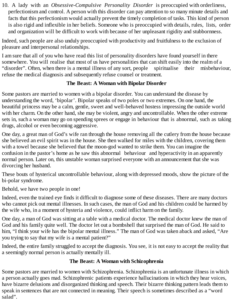10. A lady with an *Obsessive-Compulsive Personality Disorder* is preoccupied with orderliness, perfectionism and control. A person with this disorder can pay attention to so many minute details and facts that this perfectionism would actually prevent the timely completion of tasks. This kind of person is also rigid and inflexible in her beliefs. Someone who is preoccupied with details, rules, lists, order and organization will be difficult to work with because of her unpleasant rigidity and stubbornness.

Indeed, such people are also unduly preoccupied with productivity and fruitfulness to the exclusion of pleasure and interpersonal relationships.

I am sure that all of you who have read this list of personality disorders have found yourself in there somewhere. You will realise that most of us have personalities that can shift easily into the realm of a "disorder". Often, when there is a mental illness of any sort, people spiritualise their misbehaviour, refuse the medical diagnosis and subsequently refuse counsel or treatment.

## **The Beast: A Woman with Bipolar Disorder**

Some pastors are married to women with a bipolar disorder. You can understand the disease by understanding the word, 'bipolar'. Bipolar speaks of two poles or two extremes. On one hand, the beautiful princess may be a calm, gentle, sweet and well-behaved hostess impressing the outside world with her charm. On the other hand, she may be violent, angry and uncontrollable. When the other extreme sets in, such a woman may go on spending sprees or engage in behaviour that is abnormal, such as taking drugs, alcohol or even becoming aggressive.

One day, a great man of God's wife ran through the house removing all the cutlery from the house because she believed an evil spirit was in the house. She then walked for miles with the children, covering them with a towel because she believed that the moon-god wanted to strike them. You can imagine the confusion in the pastor's home as he saw this abnormal behaviour and hyperactivity in an apparently normal person. Later on, this unstable woman surprised everyone with an announcement that she was divorcing her husband.

These bouts of hysterical uncontrollable behaviour, along with depressed moods, show the picture of the bi-polar syndrome.

Behold, we have two people in one!

Indeed, even the trained eye finds it difficult to diagnose some of these diseases. There are many doctors who cannot pick out mental illnesses. In such cases, the man of God and his children could be harmed by the wife who, in a moment of hysteria and violence, could inflict harm on the family.

One day, a man of God was sitting at a table with a medical doctor. The medical doctor knew the man of God and his family quite well. The doctor let out a bombshell that surprised the man of God. He said to him, "I think your wife has the bipolar mental illness." The man of God was taken aback and asked, "Are you trying to say that my wife is a mental patient?"

Indeed, the entire family struggled to accept the diagnosis. You see, it is not easy to accept the reality that a seemingly normal person is actually mentally ill.

## **The Beast: A Woman with Schizophrenia**

Some pastors are married to women with Schizophrenia. Schizophrenia is an unfortunate illness in which a person actually goes mad. Schizophrenic patients experience hallucinations in which they hear voices, have bizarre delusions and disorganized thinking and speech. Their bizarre thinking pattern leads them to speak in sentences that are not connected in meaning. Their speech is sometimes described as a "word salad".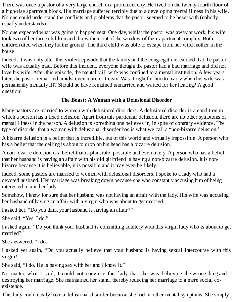There was once a pastor of a very large church in a prominent city. He lived on the twenty-fourth floor of a high-rise apartment block. His marriage suffered terribly due to a developing mental illness in his wife. No one could understand the conflicts and problems that the pastor seemed to be beset with (nobody usually understands).

No one expected what was going to happen next. One day, whilst the pastor was away at work, his wife took two of her three children and threw them out of the window of their apartment complex. Both children died when they hit the ground. The third child was able to escape from her wild mother in the house.

Indeed, it was only after this violent episode that the family and the congregation realised that the pastor's wife was actually mad. Before this incident, everyone thought the pastor had a bad marriage and did not love his wife. After this episode, the mentally ill wife was confined to a mental institution. A few years later, the pastor remarried amidst even more criticism. Was it right for him to marry when his wife was permanently mentally ill? Should he have remained unmarried and waited for her healing? A good question!

## **The Beast: A Woman with a Delusional Disorder**

Many pastors are married to women with delusional disorders. A delusional disorder is a condition in which a person has a fixed delusion. Apart from this particular delusion, there are no other symptoms of mental illness in the person. A delusion is something one believes in, in spite of contrary evidence. The type of disorder that a woman with delusional disorder has is what we call a "non-bizarre delusion.'

A bizarre delusion is a belief that is incredible, out of this world and virtually impossible. A person who has a belief that the ceiling is about to drop on his head has a bizarre delusion.

A non-bizarre delusion is a belief that is plausible, possible and even likely. A person who has a belief that her husband is having an affair with his old girlfriend is having a non-bizarre delusion. It is nonbizarre because it is believable, it is possible and it may even be likely.

Indeed, some pastors are married to women with delusional disorders. I spoke to a lady who had a devoted husband. Her marriage was breaking down because she was constantly accusing him of being interested in another lady.

Somehow, I knew for sure that her husband was not having an affair with the lady. His wife was accusing her husband of having an affair with a virgin who was about to get married.

I asked her, "Do you think your husband is having an affair?"

She said, "Yes, I do."

I asked again, "Do you think your husband is committing adultery with this virgin lady who is about to get married?"

She answered, "I do."

I asked yet again, "Do you actually believe that your husband is having sexual intercourse with this virgin?"

She said, "I do. He is having sex with her and I know it."

No matter what I said, I could not convince this lady that she was believing the wrong thing and destroying her marriage. She maintained her stand, thereby reducing her marriage to a mere social coexistence.

This lady could easily have a delusional disorder because she had no other mental symptoms. She simply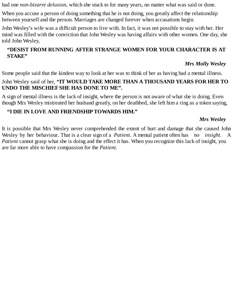had one *non-bizarre delusion*, which she stuck to for many years, no matter what was said or done.

When you accuse a person of doing something that he is not doing, you greatly affect the relationship between yourself and the person. Marriages are changed forever when accusations begin.

John Wesley's wife was a difficult person to live with. In fact, it was not possible to stay with her. Her mind was filled with the conviction that John Wesley was having affairs with other women. One day, she told John Wesley,

## **"DESIST FROM RUNNING AFTER STRANGE WOMEN FOR YOUR CHARACTER IS AT STAKE"**

## *Mrs Molly Wesley*

Some people said that the kindest way to look at her was to think of her as having had a mental illness.

### John Wesley said of her, **"IT WOULD TAKE MORE THAN A THOUSAND YEARS FOR HER TO UNDO THE MISCHIEFSHE HAS DONE TO ME".**

A sign of mental illness is the lack of insight, where the person is not aware of what she is doing. Even though Mrs Wesley mistreated her husband greatly, on her deathbed, she left him a ring as a token saying,

## **"I DIE IN LOVE AND FRIENDSHIP TOWARDS HIM."**

## *Mrs Wesley*

It is possible that Mrs Wesley never comprehended the extent of hurt and damage that she caused John Wesley by her behaviour. That is a clear sign of a *Patient*. A mental patient often has *no insight.* A *Patient* cannot grasp what she is doing and the effect it has. When you recognize this lack of insight, you are far more able to have compassion for the *Patient*.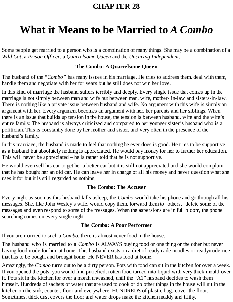# **What it Means to be Married to** *A Combo*

Some people get married to a person who is a combination of many things. She may be a combination of a *Wild Cat*, a *Prison Officer*, a *Quarrelsome Queen* and the *Uncaring Independent*.

## **The Combo: A Quarrelsome Queen**

The husband of the "*Combo"* has many issues in his marriage. He tries to address them, deal with them, handle them and negotiate with her for years but he still does not win her love.

In this kind of marriage the husband suffers terribly and deeply. Every single issue that comes up in the marriage is not simply between man and wife but between man, wife, mother- in-law and sisters-in-law. There is nothing like a private issue between husband and wife. No argument with this wife is simply an argument with her. Every argument becomes an argument with her, her parents and her siblings. When there is an issue that builds up tension in the house, the tension is between husband, wife and the wife's entire family. The husband is always criticized and compared to her younger sister's husband who is a politician. This is constantly done by her mother and sister, and very often in the presence of the husband's family.

In this marriage, the husband is made to feel that nothing he ever does is good. He tries to be supportive as a husband but absolutely nothing is appreciated. He would pay money for her to further her education. This will never be appreciated – he is rather told that he is not supportive.

He would even sell his car to get her a better car but it is still not appreciated and she would complain that he has bought her an old car. He can leave her in charge of all his money and never question what she uses it for but it is still regarded as nothing.

## **The Combo: The Accuser**

Every night as soon as this husband falls asleep, the *Combo* would take his phone and go through all his messages. She, like John Wesley's wife, would copy them, forward them to others, delete some of the messages and even respond to some of the messages. When the aspersions are in full bloom, the phone searching comes on every single night.

## **The Combo: A Poor Performer**

If you are married to such a *Combo*, there is almost never food in the house.

The husband who is married to a *Combo* is ALWAYS buying food or one thing or the other but never having food made for him at home. This husband exists on a diet of readymade noodles or readymade rice that has to be bought and brought home! He NEVER has food at home.

Amazingly, the *Combo* turns out to be a dirty person. Pots with food can sit in the kitchen for over a week. If you opened the pots, you would find putrefied, rotten food turned into liquid with very thick mould over it. Pots sit in the kitchen for over a month unwashed, until the "A1" husband decides to wash them himself. Hundreds of sachets of water that are used to cook or do other things in the house will sit in the kitchen on the sink, counter, floor and everywhere. HUNDREDS of plastic bags cover the floor. Sometimes, thick dust covers the floor and water drops make the kitchen muddy and filthy.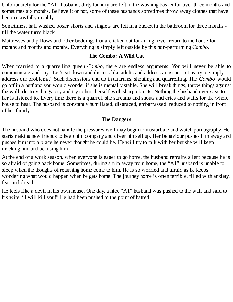Unfortunately for the "A1" husband, dirty laundry are left in the washing basket for over three months and sometimes six months. Believe it or not, some of these husbands sometimes throw away clothes that have become awfully mouldy.

Sometimes, half washed boxer shorts and singlets are left in a bucket in the bathroom for three months till the water turns black.

Mattresses and pillows and other beddings that are taken out for airing never return to the house for months and months and months. Everything is simply left outside by this non-performing *Combo*.

### **The Combo: A Wild Cat**

When married to a quarrelling queen *Combo*, there are endless arguments. You will never be able to communicate and say "Let's sit down and discuss like adults and address an issue. Let us try to simply address our problems." Such discussions end up in tantrums, shouting and quarrelling. The *Combo* would go off in a huff and you would wonder if she is mentally stable. She will break things, throw things against the wall, destroy things, cry and try to hurt herself with sharp objects. Nothing the husband ever says to her is listened to. Every time there is a quarrel, she screams and shouts and cries and wails for the whole house to hear. The husband is constantly humiliated, disgraced, embarrassed, reduced to nothing in front of her family.

#### **The Dangers**

The husband who does not handle the pressures well may begin to masturbate and watch pornography. He starts making new friends to keep him company and cheer himself up. Her behaviour pushes him away and pushes him into a place he never thought he could be. He will try to talk with her but she will keep mocking him and accusing him.

At the end of a work season, when everyone is eager to go home, the husband remains silent because he is so afraid of going back home. Sometimes, during a trip away from home, the "A1" husband is unable to sleep when the thoughts of returning home come to him. He is so worried and afraid as he keeps wondering what would happen when he gets home. The journey home is often terrible, filled with anxiety, fear and dread.

He feels like a devil in his own house. One day, a nice "A1" husband was pushed to the wall and said to his wife, "I will kill you!" He had been pushed to the point of hatred.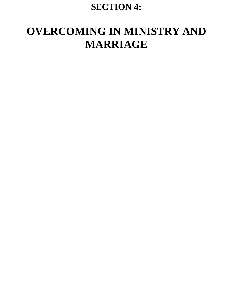# **SECTION 4:**

# **OVERCOMING IN MINISTRY AND MARRIAGE**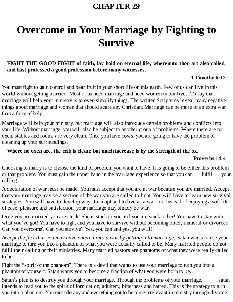# **Overcome in Your Marriage by Fighting to Survive**

## **FIGHT THE GOOD FIGHT of faith, lay hold on eternal life, whereunto thou art also called, and hast professed a good profession before many witnesses.**

### **1 Timothy 6:12**

You must fight to gain control and bear fruit in your short life on this earth. Few of us can live in this world without getting married. Most of us need marriage and need women in our lives. To say that marriage will help your ministry is to over-simplify things. The written Scriptures reveal many negative things about marriage and women that should scare any Christian. Marriage can be more of an extra war than a form of help.

Marriage will help your ministry, but marriage will also introduce certain problems and conflicts into your life. Without marriage, you will also be subject to another group of problems. Where there are no oxen, stables and rooms are very clean. Once you have cows, you are going to have the problem of cleaning up your surroundings.

### **Where no oxen are, the crib is clean: but much increase is by the strength of the ox.**

#### **Proverbs 14:4**

Choosing to marry is to choose the kind of problem you want to have. It is going to be either this problem or that problem. You must gain the upper hand in the marriage experience so that you can fulfil your calling.

A declaration of war must be made. You must accept that you are at war because you are married. Accept that your marriage may be a section of the war you are called to fight. You will have to learn new survival strategies. You will have to develop ways to adapt and to live as a warrior. Instead of enjoying a soft life of ease, pleasure and satisfaction, your marriage may simply be war.

Once you are married you are stuck! She is stuck to you and you are stuck to her! You have to stay with what you've got! You have to fight and you have to survive without becoming bitter, immoral or divorced. Can you overcome? Can you survive? Yes, you can and yes, you will!

*Accept the fact that you may have entered into a war by getting into marriage.* Satan wants to use your marriage to turn you into a phantom of what you were actually called to be. Many married people do not fulfil their calling or their ministries. Many married pastors are phantoms of what they were really called to be.

Fight the "spirit of the phantom"! There is a devil that wants to use your marriage to turn you into a phantom of yourself. Satan wants you to become a fraction of what you were born to be.

Satan's plan is to destroy you through your marriage. Through the problems of your marriage, satan intends to lead you to the spirit of fornication, adultery, bitterness and hatred. This is the strategy to turn you into a phantom. You must do any and everything not to become irrelevant in ministry through divorce.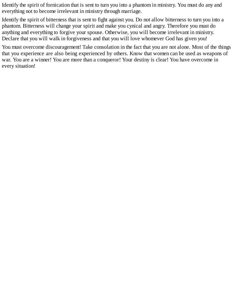Identify the spirit of fornication that is sent to turn you into a phantom in ministry. You must do any and everything not to become irrelevant in ministry through marriage.

Identify the spirit of bitterness that is sent to fight against you. Do not allow bitterness to turn you into a phantom. Bitterness will change your spirit and make you cynical and angry. Therefore you must do anything and everything to forgive your spouse. Otherwise, you will become irrelevant in ministry. Declare that you will walk in forgiveness and that you will love whomever God has given you!

You must overcome discouragement! Take consolation in the fact that you are not alone. Most of the things that you experience are also being experienced by others. Know that women can be used as weapons of war. You are a winner! You are more than a conqueror! Your destiny is clear! You have overcome in every situation!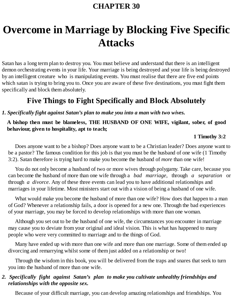# **Overcome in Marriage by Blocking Five Specific Attacks**

Satan has a long term plan to destroy you. You must believe and understand that there is an intelligent demon orchestrating events in your life. Your marriage is being destroyed and your life is being destroyed by an intelligent creature who is manipulating events. You must realise that there are five end points which satan is trying to bring you to. Once you are aware of these five destinations, you must fight them specifically and block them absolutely.

## **Five Things to Fight Specifically and Block Absolutely**

#### *1. Specifically fight against Satan's plan to make you into a man with two wives.*

### **A bishop then must be blameless, THE HUSBAND OF ONE WIFE, vigilant, sober, of good behaviour, given to hospitality, apt to teach;**

#### **1 Timothy 3:2**

Does anyone want to be a bishop? Does anyone want to be a Christian leader? Does anyone want to be a pastor? The famous condition for this job is that you must be the husband of one wife (1 Timothy 3:2). Satan therefore is trying hard to make you become the husband of *more* than one wife!

You do not only become a husband of two or more wives through polygamy. Take care, because you can become the husband of more than one wife through a *bad marriage*, through *a separation* or through *a divorce*. Any of these three events can lead you to have additional relationships and marriages in your lifetime. Most ministers start out with a vision of being a husband of one wife.

What would make you become the husband of more than one wife? How does that happen to a man of God? Whenever a relationship fails, a door is opened for a new one. Through the bad experiences of your marriage, you may be forced to develop relationships with more than one woman.

Although you set out to be the husband of one wife, the circumstances you encounter in marriage may cause you to deviate from your original and ideal vision. This is what has happened to many people who were very committed to marriage and to the things of God.

Many have ended up with more than one wife and more than one marriage. Some of them ended up divorcing and remarrying whilst some of them just added on a relationship or two!

Through the wisdom in this book, you will be delivered from the traps and snares that seek to turn you into the husband of more than one wife.

#### *2. Specifically fight against Satan's plan to make you cultivate unhealthy friendships and relationships with the opposite sex.*

Because of your difficult marriage, you can develop amazing relationships and friendships. You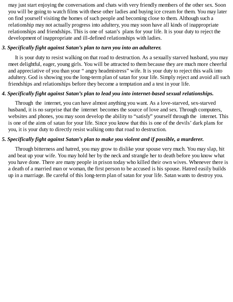may just start enjoying the conversations and chats with very friendly members of the other sex. Soon you will be going to watch films with these other ladies and buying ice cream for them. You may later on find yourself visiting the homes of such people and becoming close to them. Although such a relationship may not actually progress into adultery, you may soon have all kinds of inappropriate relationships and friendships. This is one of satan's plans for your life. It is your duty to reject the development of inappropriate and ill-defined relationships with ladies.

### *3. Specifically fight against Satan's plan to turn you into an adultere***r.**

It is your duty to resist walking on that road to destruction. As a sexually starved husband, you may meet delightful, eager, young girls. You will be attracted to them because they are much more cheerful and appreciative of you than your " angry headmistress" wife. It is your duty to reject this walk into adultery. God is showing you the long-term plan of satan for your life. Simply reject and avoid all such friendships and relationships before they become a temptation and a test in your life.

## *4. Specifically fight against Satan's plan to lead you into internet-based sexual relationships.*

Through the internet, you can have almost anything you want. As a love-starved, sex-starved husband, it is no surprise that the internet becomes the source of love and sex. Through computers, websites and phones, you may soon develop the ability to "satisfy" yourself through the internet. This is one of the aims of satan for your life. Since you know that this is one of the devils' dark plans for you, it is your duty to directly resist walking onto that road to destruction.

## *5. Specifically fight against Satan's plan to make you violent and if possible, a murderer.*

Through bitterness and hatred, you may grow to dislike your spouse very much. You may slap, hit and beat up your wife. You may hold her by the neck and strangle her to death before you know what you have done. There are many people in prison today who killed their own wives. Whenever there is a death of a married man or woman, the first person to be accused is his spouse. Hatred easily builds up in a marriage. Be careful of this long-term plan of satan for your life. Satan wants to destroy you.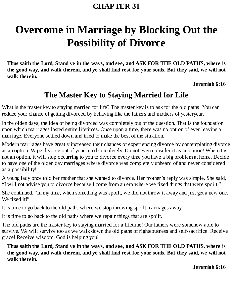# **Overcome in Marriage by Blocking Out the Possibility of Divorce**

**Thus saith the Lord, Stand ye in the ways, and see, and ASK FOR THE OLD PATHS, where is** the good way, and walk therein, and ye shall find rest for your souls. But they said, we will not **walk therein.**

**Jeremiah 6:16**

# **The Master Key to Staying Married for Life**

What is the master key to staying married for life? The master key is to ask for the old paths! You can reduce your chance of getting divorced by behaving like the fathers and mothers of yesteryear.

In the olden days, the idea of being divorced was completely out of the question. That is the foundation upon which marriages lasted entire lifetimes. Once upon a time, there was no option of ever leaving a marriage. Everyone settled down and tried to make the best of the situation.

Modern marriages have greatly increased their chances of experiencing divorce by contemplating divorce as an option. Wipe divorce out of your mind completely. Do not even consider it as an option! When it is not an option, it will stop occurring to you to divorce every time you have a big problem at home. Decide to have one of the olden day marriages where divorce was completely unheard of and never considered as a possibility!

A young lady once told her mother that she wanted to divorce. Her mother's reply was simple. She said, "I will not advise you to divorce because I come from an era where we fixed things that were spoilt."

She continued, "In my time, when something was spoilt, we did not throw it away and just get a new one. We fixed it!"

It is time to go back to the old paths where we stop throwing spoilt marriages away.

It is time to go back to the old paths where we repair things that are spoilt.

The old paths are the master key to staying married for a lifetime! Our fathers were somehow able to survive. We will survive too as we walk down the old paths of righteousness and self-sacrifice. Receive grace! Receive wisdom! God is helping you!

**Thus saith the Lord, Stand ye in the ways, and see, and ASK FOR THE OLD PATHS, where is** the good way, and walk therein, and ye shall find rest for your souls. But they said, we will not **walk therein.**

**Jeremiah 6:16**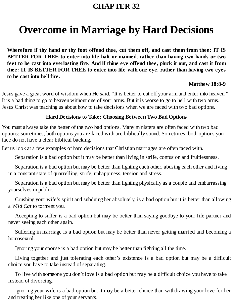# **Overcome in Marriage by Hard Decisions**

**Wherefore if thy hand or thy foot offend thee, cut them off, and cast them from thee: IT IS BETTER FOR THEE to enter into life halt or maimed, rather than having two hands or two** feet to be cast into everlasting fire. And if thine eye offend thee, pluck it out, and cast it from **thee: IT IS BETTER FOR THEE to enter into life with one eye, rather than having two eyes to be cast into hell fire.**

### **Matthew 18:8-9**

Jesus gave a great word of wisdom when He said, "It is better to cut off your arm and enter into heaven." It is a bad thing to go to heaven without one of your arms. But it is worse to go to hell with two arms. Jesus Christ was teaching us about how to take decisions when we are faced with two bad options.

## **Hard Decisions to Take: Choosing Between Two Bad Options**

You must always take the better of the two bad options. Many ministers are often faced with two bad options: sometimes, both options you are faced with are biblically sound. Sometimes, both options you face do not have a clear biblical backing.

Let us look at a few examples of hard decisions that Christian marriages are often faced with.

Separation is a bad option but it may be better than living in strife, confusion and fruitlessness.

Separation is a bad option but may be better than fighting each other, abusing each other and living in a constant state of quarrelling, strife, unhappiness, tension and stress.

Separation is a bad option but may be better than fighting physically as a couple and embarrassing yourselves in public.

Crushing your wife's spirit and subduing her absolutely, is a bad option but it is better than allowing a *Wild Cat* to torment you.

Accepting to suffer is a bad option but may be better than saying goodbye to your life partner and never seeing each other again.

Suffering in marriage is a bad option but may be better than never getting married and becoming a homosexual.

Ignoring your spouse is a bad option but may be better than fighting all the time.

Living together and just tolerating each other's existence is a bad option but may be a difficult choice you have to take instead of separating.

To live with someone you don't love is a bad option but may be a difficult choice you have to take instead of divorcing.

Ignoring your wife is a bad option but it may be a better choice than withdrawing your love for her and treating her like one of your servants.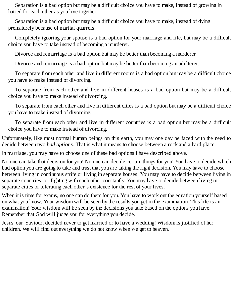Separation is a bad option but may be a difficult choice you have to make, instead of growing in hatred for each other as you live together.

Separation is a bad option but may be a difficult choice you have to make, instead of dying prematurely because of marital quarrels.

Completely ignoring your spouse is a bad option for your marriage and life, but may be a difficult choice you have to take instead of becoming a murderer.

Divorce and remarriage is a bad option but may be better than becoming a murderer

Divorce and remarriage is a bad option but may be better than becoming an adulterer.

To separate from each other and live in different rooms is a bad option but may be a difficult choice you have to make instead of divorcing.

To separate from each other and live in different houses is a bad option but may be a difficult choice you have to make instead of divorcing.

To separate from each other and live in different cities is a bad option but may be a difficult choice you have to make instead of divorcing.

To separate from each other and live in different countries is a bad option but may be a difficult choice you have to make instead of divorcing.

Unfortunately, like most normal human beings on this earth, you may one day be faced with the need to decide between two *bad options.* That is what it means to choose between a rock and a hard place.

In marriage, you may have to choose one of these bad options I have described above.

No one can take that decision for you! No one can decide certain things for you! You have to decide which bad option you are going to take and trust that you are taking the right decision. You may have to choose between living in continuous strife or living in separate houses! You may have to decide between living in separate countries or fighting with each other constantly. You may have to decide between living in separate cities or tolerating each other's existence for the rest of your lives.

When it is time for exams, no one can do them for you. You have to work out the equation yourself based on what you know. Your wisdom will be seen by the results you get in the examination. This life is an examination! Your wisdom will be seen by the decisions you take based on the options you have. Remember that God will judge you for everything you decide.

Jesus our Saviour, decided never to get married or to have a wedding! Wisdom is justified of her children. We will find out everything we do not know when we get to heaven.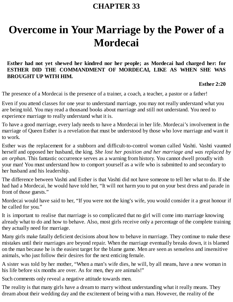# **Overcome in Your Marriage by the Power of a Mordecai**

## **Esther had not yet shewed her kindred nor her people; as Mordecai had charged her: for ESTHER DID THE COMMANDMENT OF MORDECAI, LIKE AS WHEN SHE WAS BROUGHT UP WITH HIM.**

**Esther 2:20**

The presence of a Mordecai is the presence of a trainer, a coach, a teacher, a pastor or a father!

Even if you attend classes for one year to understand marriage, you may not really understand what you are being told. You may read a thousand books about marriage and still not understand. You need to experience marriage to really understand what it is.

To have a good marriage, every lady needs to have a Mordecai in her life. Mordecai's involvement in the marriage of Queen Esther is a revelation that must be understood by those who love marriage and want it to work.

Esther was the replacement for a stubborn and difficult-to-control woman called Vashti. Vashti vaunted herself and opposed her husband, the king. *She lost her position and her marriage and was replaced by an orphan*. This fantastic occurrence serves as a warning from history. You cannot dwell proudly with your man! You must understand how to comport yourself as a wife who is submitted to and secondary to her husband and his leadership.

The difference between Vashti and Esther is that Vashti did not have someone to tell her what to do. If she had had a Mordecai, he would have told her, "It will not harm you to put on your best dress and parade in front of those guests."

Mordecai would have said to her, "If you were not the king's wife, you would consider it a great honour if he called for you."

It is important to realise that marriage is so complicated that no girl will come into marriage knowing already what to do and how to behave. Also, most girls receive only a percentage of the complete training they actually need for marriage.

Many girls make fatally deficient decisions about how to behave in marriage. They continue to make these mistakes until their marriages are beyond repair. When the marriage eventually breaks down, it is blamed on the man because he is the easiest target for the blame game. Men are seen as senseless and insensitive animals, who just follow their desires for the next enticing female.

A sister was told by her mother, "When a man's wife dies, he will, by all means, have a new woman in his life before six months are over. As for men, they are animals!"

Such comments only reveal a negative attitude towards men.

The reality is that many girls have a dream to marry without understanding what it really means. They dream about their wedding day and the excitement of being with a man. However, the reality of the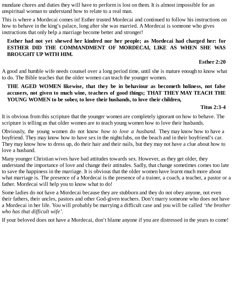mundane chores and duties they will have to perform is lost on them. It is almost impossible for an unspiritual woman to understand how to relate to a real man.

This is where a Mordecai comes in! Esther trusted Mordecai and continued to follow his instructions on how to behave in the king's palace, long after she was married. A Mordecai is someone who gives instructions that only help a marriage become better and stronger!

### **Esther had not yet shewed her kindred nor her people; as Mordecai had charged her: for ESTHER DID THE COMMANDMENT OF MORDECAI, LIKE AS WHEN SHE WAS BROUGHT UP WITH HIM.**

**Esther 2:20**

A good and humble wife needs counsel over a long period time, until she is mature enough to know what to do. The Bible teaches that the older women can teach the younger women.

## **THE AGED WOMEN likewise, that they be in behaviour as becometh holiness, not false accusers, not given to much wine, teachers of good things; THAT THEY MAY TEACH THE YOUNG WOMEN to be sober, to love their husbands, to love their children,**

## **Titus 2:3-4**

It is obvious from this scripture that the younger women are completely ignorant on how to behave. The scripture is telling us that older women are to teach young women how to love their husbands.

Obviously, the young women do not know *how to love a husband.* They may know how to have a boyfriend. They may know how to have sex in the nightclubs, on the beach and in their boyfriend's car. They may know how to dress up, do their hair and their nails, but they may not have a clue about how to love a husband.

Many younger Christian wives have bad attitudes towards sex. However, as they get older, they understand the importance of love and change their attitudes. Sadly, that change sometimes comes too late to save the happiness in the marriage. It is obvious that the older women have learnt much more about what marriage is. The presence of a Mordecai is the presence of a trainer, a coach, a teacher, a pastor or a father. Mordecai will help you to know what to do!

Some ladies do not have a Mordecai because they are stubborn and they do not obey anyone, not even their fathers, their uncles, pastors and other God-given teachers. Don't marry someone who does not have a Mordecai in her life. You will probably be marrying a difficult case and you will be called *'the brother who has that difficult wife'.*

If your beloved does not have a Mordecai, don't blame anyone if you are distressed in the years to come!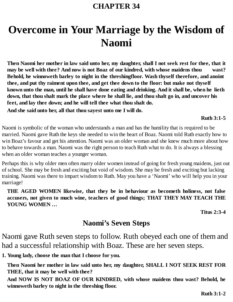# **Overcome in Your Marriage by the Wisdom of Naomi**

Then Naomi her mother in law said unto her, my daughter, shall I not seek rest for thee, that it **may be well with thee? And now is not Boaz of our kindred, with whose maidens thou wast? Behold, he winnoweth barley to night in the threshingfloor. Wash thyself therefore, and anoint thee, and put thy raiment upon thee, and get thee down to the floor: but make not thyself** known unto the man, until he shall have done eating and drinking. And it shall be, when he lieth down, that thou shalt mark the place where he shall lie, and thou shalt go in, and uncover his **feet, and lay thee down; and he will tell thee what thou shalt do.**

**And she said unto her, all that thou sayest unto me I will do.**

#### **Ruth 3:1-5**

Naomi is symbolic of the woman who understands a man and has the humility that is required to be married. Naomi gave Ruth the keys she needed to win the heart of Boaz. Naomi told Ruth exactly how to win Boaz's favour and get his attention. Naomi was an older woman and she knew much more about how to behave towards a man. Naomi was the right person to teach Ruth what to do. It is always a blessing when an older woman teaches a younger woman.

Perhaps this is why older men often marry older women instead of going for fresh young maidens, just out of school. She may be fresh and exciting but void of wisdom. She may be fresh and exciting but lacking training. Naomi was there to impart wisdom to Ruth. May you have a 'Naomi' who will help you in your marriage!

**THE AGED WOMEN likewise, that they be in behaviour as becometh holiness, not false accusers, not given to much wine, teachers of good things; THAT THEY MAY TEACH THE YOUNG WOMEN …**

**Titus 2:3-4**

## **Naomi's Seven Steps**

Naomi gave Ruth seven steps to follow. Ruth obeyed each one of them and had a successful relationship with Boaz. These are her seven steps.

**1. Young lady, choose the man that I choose for you.**

**Then Naomi her mother in law said unto her, my daughter, SHALL I NOT SEEK REST FOR THEE, that it may be well with thee?**

**And NOW IS NOT BOAZ OF OUR KINDRED, with whose maidens thou wast? Behold, he winnoweth barley to night in the threshing floor.**

**Ruth 3:1-2**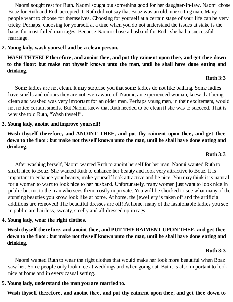Naomi sought rest for Ruth. Naomi sought out something good for her daughter-in-law. Naomi chose Boaz for Ruth and Ruth accepted it. Ruth did not say that Boaz was an old, unexciting man. Many people want to choose for themselves. Choosing for yourself at a certain stage of your life can be very tricky. Perhaps, choosing for yourself at a time when you do not understand the issues at stake is the basis for most failed marriages. Because Naomi chose a husband for Ruth, she had a successful marriage.

### **2. Young lady, wash yourself and be a clean person.**

## **WASH THYSELFtherefore, and anoint thee, and put thy raiment upon thee, and get thee down to the floor: but make not thyself known unto the man, until he shall have done eating and drinking.**

### **Ruth 3:3**

Some ladies are not clean. It may surprise you that some ladies do not like bathing. Some ladies have smells and odours they are not even aware of. Naomi, an experienced woman, knew that being clean and washed was very important for an older man. Perhaps young men, in their excitement, would not notice certain smells. But Naomi knew that Ruth needed to be clean if she was to succeed. That is why she told Ruth, "Wash thyself".

## **3. Young lady, anoint and improve yourself!**

**Wash thyself therefore, and ANOINT THEE, and put thy raiment upon thee, and get thee** down to the floor: but make not thyself known unto the man, until he shall have done eating and **drinking.**

#### **Ruth 3:3**

After washing herself, Naomi wanted Ruth to anoint herself for her man. Naomi wanted Ruth to smell nice to Boaz. She wanted Ruth to enhance her beauty and look very attractive to Boaz. It is important to enhance your beauty, make yourself look attractive and be nice. You may think it is natural for a woman to want to look nice to her husband. Unfortunately, many women just want to look nice in public but not to the man who sees them mostly in private. You will be shocked to see what many of the stunning beauties you know look like at home. At home, the jewellery is taken off and the artificial additions are removed! The beautiful dresses are off! At home, many of the fashionable ladies you see in public are hairless, sweaty, smelly and all dressed up in rags.

## **4. Young lady, wear the right clothes.**

## **Wash thyself therefore, and anoint thee, and PUT THY RAIMENT UPON THEE, and get thee** down to the floor: but make not thyself known unto the man, until he shall have done eating and **drinking.**

## **Ruth 3:3**

Naomi wanted Ruth to wear the right clothes that would make her look more beautiful when Boaz saw her. Some people only look nice at weddings and when going out. But it is also important to look nice at home and in every casual setting.

## **5. Young lady, understand the man you are married to.**

**Wash thyself therefore, and anoint thee, and put thy raiment upon thee, and get thee down to**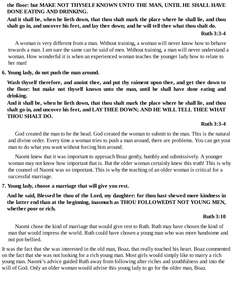## **the floor: but MAKE NOT THYSELF KNOWN UNTO THE MAN, UNTIL HE SHALL HAVE DONE EATING AND DRINKING.**

## And it shall be, when he lieth down, that thou shalt mark the place where he shall lie, and thou shalt go in, and uncover his feet, and lay thee down; and he will tell thee what thou shalt do.

#### **Ruth 3:3-4**

A woman is very different from a man. Without training, a woman will never know how to behave towards a man. I am sure the same can be said of men. Without training, a man will never understand a woman. How wonderful it is when an experienced woman teaches the younger lady how to relate to her man!

#### **6. Young lady, do not push the man around.**

**Wash thyself therefore, and anoint thee, and put thy raiment upon thee, and get thee down to the floor: but make not thyself known unto the man, until he shall have done eating and drinking.**

And it shall be, when he lieth down, that thou shalt mark the place where he shall lie, and thou **shalt go in, and uncover his feet, and LAYTHEE DOWN; AND HE WILL TELL THEE WHAT THOU SHALT DO.**

### **Ruth 3:3-4**

God created the man to be the head. God created the woman to submit to the man. This is the natural and divine order. Every time a woman tries to push a man around, there are problems. You can get your man to do what you want without forcing him around.

Naomi knew that it was important to approach Boaz gently, humbly and submissively. A younger woman may not know how important that is. But the older woman certainly knew this truth! This is why the counsel of Naomi was so important. This is why the teaching of an older woman is critical for a successful marriage.

## **7. Young lady, choose a marriage that will give you rest.**

**And he said, Blessed be thou of the Lord, my daughter: for thou hast shewed more kindness in the latter end than at the beginning, inasmuch as THOU FOLLOWEDST NOT YOUNG MEN, whether poor or rich.**

#### **Ruth 3:10**

Naomi chose the kind of marriage that would give rest to Ruth. Ruth may have chosen the kind of man that would impress the world. Ruth could have chosen a young man who was more handsome and not pot-bellied.

It was the fact that she was interested in the old man, Boaz, that really touched his heart. Boaz commented on the fact that she was not looking for a rich young man. Most girls would simply like to marry a rich young man. Naomi's advice guided Ruth away from following after riches and youthfulness and into the will of God. Only an older woman would advise this young lady to go for the older man, Boaz.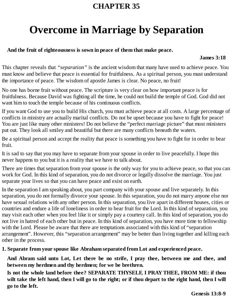# **Overcome in Marriage by Separation**

## **And the fruit of righteousness is sown in peace of them that make peace.**

#### **James 3:18**

This chapter reveals that *"separation"* is the ancient wisdom that many have used to achieve peace. You must know and believe that peace is essential for fruitfulness. As a spiritual person, you must understand the importance of peace. The wisdom of apostle James is clear. No peace, no fruit!

No one has borne fruit without peace. The scripture is very clear on how important peace is for fruitfulness. Because David was fighting all the time, he could not build the temple of God. God did not want him to touch the temple because of his continuous conflicts.

If you want God to use you to build His church, you must achieve peace at all costs. A large percentage of conflicts in ministry are actually marital conflicts. Do not be upset because you have to fight for peace! You are just like many other ministers! Do not believe the "perfect marriage picture" that most ministers put out. They look all smiley and beautiful but there are many conflicts beneath the waters.

Be a spiritual person and accept the reality that peace is something you have to fight for in order to bear fruit.

It is sad to say that you may have to separate from your spouse in order to live peacefully. I hope this never happens to you but it is a reality that we have to talk about.

There are times that separation from your spouse is the only way for you to achieve peace, so that you can work for God. In this kind of separation, you do not divorce or legally dissolve the marriage. You just separate your lives so that you can have peace and exist on earth.

In the separation I am speaking about, you part company with your spouse and live separately. In this separation, you do not formally divorce your spouse. In this separation, you do not marry anyone else nor have sexual relations with any other person. In this separation, you live apart in different houses, cities or countries and endure a life of loneliness in order to bear fruit for the Lord. In this kind of separation, you may visit each other when you feel like it or simply pay a courtesy call. In this kind of separation, you do not live in hatred of each other but in peace. In this kind of separation, you have more time to fellowship with the Lord. Please be aware that there are temptations associated with this kind of "separation arrangement". However, this "separation arrangement" may be better than living together and killing each other in the process.

#### **1. Separate from your spouse like Abraham separated from Lot and experienced peace.**

**And Abram said unto Lot, Let there be no strife, I pray thee, between me and thee, and between my herdmen and thy herdmen; for we be brethren.**

**Is not the whole land before thee? SEPARATE THYSELF, I PRAY THEE, FROM ME: if thou** wilt take the left hand, then I will go to the right; or if thou depart to the right hand, then I will **go to the left.**

**Genesis 13:8-9**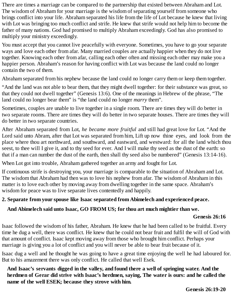There are times a marriage can be compared to the partnership that existed between Abraham and Lot. The wisdom of Abraham for your marriage is the wisdom of separating yourself from someone who brings conflict into your life. Abraham separated his life from the life of Lot because he knew that living with Lot was bringing too much conflict and strife. He knew that strife would not help him to become the father of many nations. God had promised to multiply Abraham exceedingly. God has also promised to multiply your ministry exceedingly.

You must accept that you cannot live peacefully with everyone. Sometimes, you have to go your separate ways and love each other from afar. Many married couples are actually happier when they do not live together. Knowing each other from afar, calling each other often and missing each other may make you a happier person. Abraham's reason for having conflict with Lot was because the land could no longer contain the two of them.

Abraham separated from his nephew because the land could no longer carry them or keep them together.

"And the land was not able to bear them, that they might dwell together: for their substance was great, so that they could not dwell together" (Genesis 13:6). One of the meanings in Hebrew of the phrase, "The land could no longer bear them" is "the land could no longer *marry* them".

Sometimes, couples are unable to live together in a single room. There are times they will do better in two separate rooms. There are times they will do better in two separate houses. There are times they will do better in two separate countries.

After Abraham separated from Lot, *he became more fruitful* and still had great love for Lot. "And the Lord said unto Abram, after that Lot was separated from him, Lift up now thine eyes, and look from the place where thou art northward, and southward, and eastward, and westward: for all the land which thou seest, to thee will I give it, and to thy seed for ever. And I will make thy seed as the dust of the earth: so that if a man can number the dust of the earth, then shall thy seed also be numbered" (Genesis 13:14-16).

When Lot got into trouble, Abraham gathered together an army and fought for Lot.

If continuous strife is destroying you, your marriage is comparable to the situation of Abraham and Lot. The wisdom that Abraham had then was to love his nephew from afar. The wisdom of Abraham in this matter is to love each other by moving away from dwelling together in the same space. Abraham's wisdom for peace was to live separate lives contentedly and happily.

## **2. Separate from your spouse like Isaac separated from Abimelech and experienced peace.**

## **And Abimelech said unto Isaac, GO FROM US; for thou art much mightier than we.**

## **Genesis 26:16**

Isaac followed the wisdom of his father, Abraham. He knew that he had been called to be fruitful. Every time he dug a well, there was conflict. He knew that he could not bear fruit and fulfil the will of God with that amount of conflict. Isaac kept moving away from those who brought him conflict. Perhaps your marriage is giving you a lot of conflict and you will never be able to bear fruit because of it.

Isaac dug a well and he thought he was going to have a great time enjoying the well he had laboured for. But to his amazement there was only conflict. He called that well Esek.

**And Isaac's servants digged in the valley, and found there a well of springing water. And the herdmen of Gerar did strive with Isaac's herdmen, saying, The water is ours: and he called the name of the well ESEK; because they strove with him.**

**Genesis 26:19-20**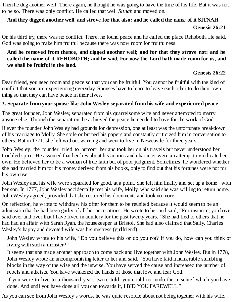Then he dug another well. There again, he thought he was going to have the time of his life. But it was not to be so. There was only conflict. He called that well *Sitnah* and moved on.

## **And they digged another well, and strove for that also: and he called the name of it SITNAH.**

### **Genesis 26:21**

On his third try, there was no conflict. There, he found peace and he called the place Rehoboth. He said, God was going to make him fruitful because there was now room for fruitfulness.

## **And he removed from thence, and digged another well; and for that they strove not: and he called the name of it REHOBOTH; and he said, For now the Lord hath made room for us, and we shall be fruitful in the land.**

## **Genesis 26:22**

Dear friend, you need room and peace so that you can be fruitful. You cannot be fruitful with the kind of conflict that you are experiencing everyday. Spouses have to learn to leave each other to do their own thing so that they can have peace in their lives.

## **3. Separate from your spouse like John Wesley separated from his wife and experienced peace.**

The great founder, John Wesley, separated from his quarrelsome wife and never attempted to marry anyone else. Through the separation, he achieved the peace he needed to have for the work of God.

If ever the founder John Wesley had grounds for depression, one at least was the unfortunate breakdown of his marriage to Molly. She stole or burned his papers and constantly criticized him in conversation to others. But in 1771, she left without warning and went to live in Newcastle for three years.

John Wesley, the founder, tried to humour her and took her on his travels but never understood her troubled spirit. He assumed that her lies about his actions and character were an attempt to vindicate her own. He believed her to be a woman of true faith but of poor judgment. Sometimes, he wondered whether she had married him for his money derived from his books, only to find out that his fortunes were not for his own use.

John Wesley and his wife were separated for good, at a point. She left him finally and set up a home with her son. In 1777, John Wesley accidentally met his wife, Molly, who said she was willing to return home. John Wesley agreed, provided that she restored his documents and took no more.

On reflection, he wrote to withdraw his offer for them to be reunited because it would seem to be an admission that he had been guilty of all her accusations. He wrote to her and said, "For instance, you have said over and over that I have lived in adultery for the past twenty years." She had lied to others that he had had an affair with Sarah Ryan, the housekeeper at Bristol. She had also claimed that Sally, Charles Wesley's happy and devoted wife was his mistress (girlfriend).

John Wesley wrote to his wife, "Do you believe this or do you not? If you do, how can you think of living with such a monster?"

It seems that she made another approach to come back and live together with John Wesley. But in 1778, John Wesley wrote an uncompromising letter to her and said, "You have laid innumerable stumbling blocks in the way of the wise and the unwise. You have served the cause and increased the number of rebels and atheists. You have weakened the hands of those that love and fear God.

If you were to live to a thousand years twice told, you could not undo the mischief which you have done. And until you have done all you can towards it, I BID YOU FAREWELL."

As you can see from John Wesley's words, he was quite resolute about not being together with his wife.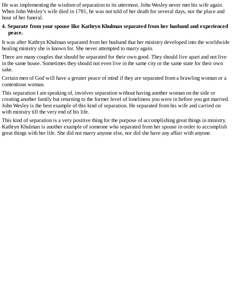He was implementing the wisdom of separation to its uttermost. John Wesley never met his wife again. When John Wesley's wife died in 1781, he was not told of her death for several days, nor the place and hour of her funeral.

## **4. Separate from your spouse like Kathryn Khulman separated from her husband and experienced peace.**

It was after Kathryn Khulman separated from her husband that her ministry developed into the worldwide healing ministry she is known for. She never attempted to marry again.

There are many couples that should be separated for their own good. They should live apart and not live in the same house. Sometimes they should not even live in the same city or the same state for their own sake.

Certain men of God will have a greater peace of mind if they are separated from a brawling woman or a contentious woman.

This separation I am speaking of, involves separation without having another woman on the side or creating another family but returning to the former level of loneliness you were in before you got married. John Wesley is the best example of this kind of separation. He separated from his wife and carried on with ministry till the very end of his life.

This kind of separation is a very positive thing for the purpose of accomplishing great things in ministry. Kathryn Khulman is another example of someone who separated from her spouse in order to accomplish great things with her life. She did not marry anyone else, nor did she have any affair with anyone.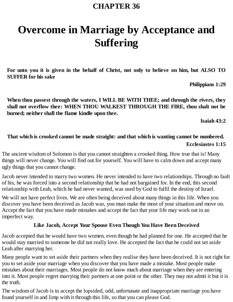# **Overcome in Marriage by Acceptance and Suffering**

For unto you it is given in the behalf of Christ, not only to believe on him, but ALSO TO **SUFFER for his sake**

**Philippians 1:29**

**When thou passest through the waters, I WILL BE WITH THEE; and through the rivers, they shall not overflow thee: WHEN THOU WALKEST THROUGH THE FIRE, thou shalt not be burned; neither shall the flame kindle upon thee.**

**Isaiah 43:2**

## **That which is crooked cannot be made straight: and that which is wanting cannot be numbered. Ecclesiastes 1:15**

The ancient wisdom of Solomon is that you cannot straighten a crooked thing. How true that is! Many things will never change. You will find out for yourself. You will have to calm down and accept many ugly things that you cannot change.

Jacob never intended to marry two women. He never intended to have two relationships. Through no fault of his, he was forced into a second relationship that he had not bargained for. In the end, this second relationship with Leah, which he had never wanted, was used by God to fulfil the destiny of Israel.

We will not have perfect lives. We are often being deceived about many things in this life. When you discover you have been deceived as Jacob was, you must make the most of your situation and move on. Accept the fact that you have made mistakes and accept the fact that your life may work out in an imperfect way.

#### **Like Jacob, Accept Your Spouse Even Though You Have Been Deceived**

Jacob accepted that he would have two women, even though he had planned for one. He accepted that he would stay married to someone he did not really love. He accepted the fact that he could not set aside Leah after marrying her.

Many people want to set aside their partners when they realise they have been deceived. It is not right for you to set aside your marriage when you discover that you have made a mistake. Most people make mistakes about their marriages. Most people do not know much about marriage when they are entering into it. Most people regret marrying their partners at one point or the other. They may not admit it but it is the truth.

The wisdom of Jacob is to accept the lopsided, odd, unfortunate and inappropriate marriage you have found yourself in and limp with it through this life, so that you can please God.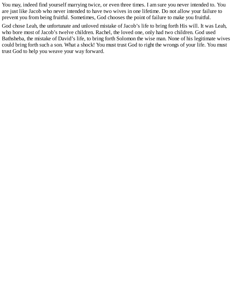You may, indeed find yourself marrying twice, or even three times. I am sure you never intended to. You are just like Jacob who never intended to have two wives in one lifetime. Do not allow your failure to prevent you from being fruitful. Sometimes, God chooses the point of failure to make you fruitful.

God chose Leah, the unfortunate and unloved mistake of Jacob's life to bring forth His will. It was Leah, who bore most of Jacob's twelve children. Rachel, the loved one, only had two children. God used Bathsheba, the mistake of David's life, to bring forth Solomon the wise man. None of his legitimate wives could bring forth such a son. What a shock! You must trust God to right the wrongs of your life. You must trust God to help you weave your way forward.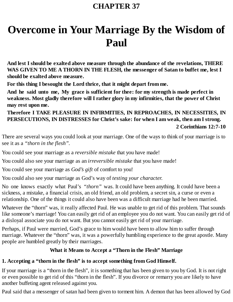# **Overcome in Your Marriage By the Wisdom of Paul**

**And lest I should be exalted above measure through the abundance of the revelations, THERE WAS GIVEN TO ME A THORN IN THE FLESH, the messenger of Satan to buffet me, lest I should be exalted above measure.**

**For this thing I besought the Lord thrice, that it might depart from me.**

**And he said unto me, My grace is sufficient for thee: for my strength is made perfect in weakness. Most gladly therefore will I rather glory in my infirmities, that the power of Christ may rest upon me.**

**Therefore I TAKE PLEASURE IN INFIRMITIES, IN REPROACHES, IN NECESSITIES, IN PERSECUTIONS, IN DISTRESSES for Christ's sake: for when I am weak, then am I strong. 2 Corinthians 12:7-10**

There are several ways you could look at your marriage. One of the ways to think of your marriage is to see it as a *"thorn in the flesh".*

You could see your marriage as a *reversible mistake* that you have made!

You could also see your marriage as an *irreversible mistake* that you have made!

You could see your marriage as *God's gift* of comfort to you!

You could also see your marriage as God's way of *testing your character.*

No one knows exactly what Paul's *"thorn"* was. It could have been anything. It could have been a sickness, a mistake, a financial crisis, an old friend, an old problem, a secret sin, a curse or even a relationship. One of the things it could also have been was a difficult marriage had he been married.

Whatever the "thorn" was, it really affected Paul. He was unable to get rid of this problem. That sounds like someone's marriage! You can easily get rid of an employee you do not want. You can easily get rid of a disloyal associate you do not want. But you cannot easily get rid of your marriage.

Perhaps, if Paul were married, God's grace to him would have been to allow him to suffer through marriage. Whatever the "thorn" was, it was a powerfully humbling experience to the great apostle. Many people are humbled greatly by their marriages.

## **What it Means to Accept a "Thorn in the Flesh" Marriage**

## **1. Accepting a "thorn in the flesh" is to accept something from God Himself.**

If your marriage is a "thorn in the flesh", it is something that has been given to you by God. It is not right or even possible to get rid of this "thorn in the flesh". If you divorce or remarry you are likely to have another buffeting agent released against you.

Paul said that a messenger of satan had been given to torment him. A demon that has been allowed by God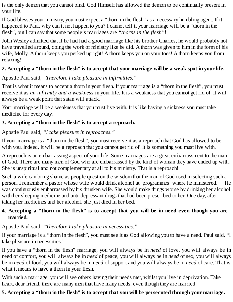is the only demon that you cannot bind. God Himself has allowed the demon to be continually present in your life.

If God blesses your ministry, you must expect a "thorn in the flesh" as a necessary humbling agent. If it happened to Paul, why can it not happen to you? I cannot tell if your marriage will be a "thorn in the flesh", but I can say that some people's marriages are *"thorns in the flesh"*!

John Wesley admitted that if he had had a good marriage like his brother Charles, he would probably not have travelled around, doing the work of ministry like he did. A thorn was given to him in the form of his wife, Molly. A thorn keeps you perked upright! A thorn keeps you on your toes! A thorn keeps you from relaxing!

## 2. Accepting a "thorn in the flesh" is to accept that your marriage will be a weak spot in your life.

Apostle Paul said, *"Therefore I take pleasure in infirmities."*

That is what it means to accept a thorn in your flesh. If your marriage is a "thorn in the flesh", you must receive it as *an infirmity and a weakness* in your life. It is a weakness that you cannot get rid of. It will always be a weak point that satan will attack.

Your marriage will be a weakness that you must live with. It is like having a sickness you must take medicine for every day.

## **3. Accepting a "thorn in the flesh" is to accept a reproach.**

Apostle Paul said, *"I take pleasure in reproaches."*

If your marriage is a "thorn in the flesh", you must receive it as a reproach that God has allowed to be with you. Indeed, it will be a reproach that you cannot get rid of. It is something you must live with.

A reproach is an embarrassing aspect of your life. Some marriages are a great embarrassment to the man of God. There are many men of God who are embarrassed by the kind of woman they have ended up with. She is unspiritual and not complementary at all to his ministry. That is a reproach!

Such a wife can bring shame as people question the wisdom that the man of God used in selecting such a person. I remember a pastor whose wife would drink alcohol at programmes where he ministered. He was continuously embarrassed by his drunken wife. She would make things worse by drinking her alcohol with her sleeping medicine and anti-depressant drugs that had been prescribed to her. One day, after taking her medicines and her alcohol, she just died in her bed.

## 4. Accepting a "thorn in the flesh" is to accept that you will be in need even though you are **married.**

Apostle Paul said, *"Therefore I take pleasure in necessities."*

If your marriage is a "thorn in the flesh", you must see it as God allowing you to have a need. Paul said, "I take pleasure in necessities."

If you have a "thorn in the flesh" marriage, you will always be in *need* of love, you will always be in need of comfort, you will always be in *need* of peace, you will always be in *need* of sex, you will always be in *need* of food, you will always be in *need* of support and you will always be in *need* of care. That is what it means to have a thorn in your flesh.

With such a marriage, you will see others having their needs met, whilst you live in deprivation. Take heart, dear friend, there are many men that have many needs, even though they are married.

## 5. Accepting a "thorn in the flesh" is to accept that you will be persecuted through your marriage.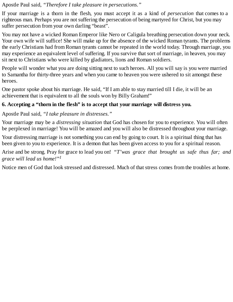Apostle Paul said, *"Therefore I take pleasure in persecutions."*

If your marriage is a thorn in the flesh, you must accept it as a kind of *persecution* that comes to a righteous man. Perhaps you are not suffering the persecution of being martyred for Christ, but you may suffer persecution from your own darling "beast".

You may not have a wicked Roman Emperor like Nero or Caligula breathing persecution down your neck. Your own wife will suffice! She will make up for the absence of the wicked Roman tyrants. The problems the early Christians had from Roman tyrants cannot be repeated in the world today. Through marriage, you may experience an equivalent level of suffering. If you survive that sort of marriage, in heaven, you may sit next to Christians who were killed by gladiators, lions and Roman soldiers.

People will wonder what you are doing sitting next to such heroes. All you will say is you were married to Samantha for thirty-three years and when you came to heaven you were ushered to sit amongst these heroes.

One pastor spoke about his marriage. He said, "If I am able to stay married till I die, it will be an achievement that is equivalent to all the souls won by Billy Graham!"

## **6. Accepting a "thorn in the flesh" is to accept that your marriage will distress you.**

Apostle Paul said, *"I take pleasure in distresses."*

Your marriage may be a *distressing situation* that God has chosen for you to experience. You will often be perplexed in marriage! You will be amazed and you will also be distressed throughout your marriage.

Your distressing marriage is not something you can end by going to court. It is a spiritual thing that has been given to you to experience. It is a demon that has been given access to you for a spiritual reason.

Arise and be strong. Pray for grace to lead you on! *"T'was grace that brought us safe thus far; and grace will lead us home!" 1*

Notice men of God that look stressed and distressed. Much of that stress comes from the troubles at home.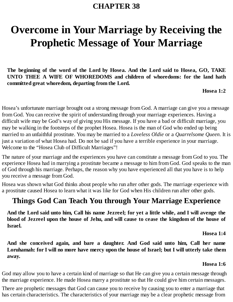# **Overcome in Your Marriage by Receiving the Prophetic Message of Your Marriage**

**The beginning of the word of the Lord by Hosea. And the Lord said to Hosea, GO, TAKE UNTO THEE A WIFE OF WHOREDOMS and children of whoredoms: for the land hath committed great whoredom, departing from the Lord.**

**Hosea 1:2**

Hosea's unfortunate marriage brought out a strong message from God. A marriage can give you a message from God. You can receive the spirit of understanding through your marriage experiences. Having a difficult wife may be God's way of giving you His message. If you have a bad or difficult marriage, you may be walking in the footsteps of the prophet Hosea. Hosea is the man of God who ended up being married to an unfaithful prostitute. You may be married to a *Loveless Oldie* or a *Quarrelsome Queen*. It is just a variation of what Hosea had. Do not be sad if you have a terrible experience in your marriage. Welcome to the "Hosea Club of Difficult Marriages"!

The nature of your marriage and the experiences you have can constitute a message from God to you. The experience Hosea had in marrying a prostitute became a message to him from God. God speaks to the man of God through his marriage. Perhaps, the reason why you have experienced all that you have is to help you receive a message from God.

Hosea was shown what God thinks about people who run after other gods. The marriage experience with a prostitute caused Hosea to learn what it was like for God when His children run after other gods.

# **Things God Can Teach You through Your Marriage Experience**

And the Lord said unto him, Call his name Jezreel; for yet a little while, and I will avenge the blood of Jezreel upon the house of Jehu, and will cause to cease the kingdom of the house of **Israel.**

**Hosea 1:4**

**And she conceived again, and bare a daughter. And God said unto him, Call her name** Loruhamah: for I will no more have mercy upon the house of Israel; but I will utterly take them **away.**

#### **Hosea 1:6**

God may allow you to have a certain kind of marriage so that He can give you a certain message through the marriage experience. He made Hosea marry a prostitute so that He could give him certain messages.

There are prophetic messages that God can cause you to receive by causing you to enter a marriage that has certain characteristics. The characteristics of your marriage may be a clear prophetic message from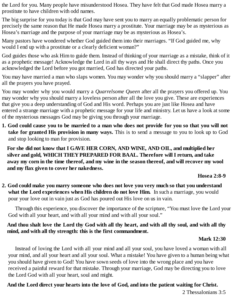the Lord for you. Many people have misunderstood Hosea. They have felt that God made Hosea marry a prostitute to have children with odd names.

The big surprise for you today is that God may have sent you to marry an equally problematic person for precisely the same reason that He made Hosea marry a prostitute. Your marriage may be as mysterious as Hosea's marriage and the purpose of your marriage may be as mysterious as Hosea's.

Many pastors have wondered whether God guided them into their marriages. "If God guided me, why would I end up with a prostitute or a clearly deficient woman?"

God guides those who ask Him to guide them. Instead of thinking of your marriage as a mistake, think of it as a prophetic message! Acknowledge the Lord in all thy ways and He shall direct thy paths. Once you acknowledged the Lord before you got married, God has directed your paths.

You may have married a man who slaps women. You may wonder why you should marry a "slapper" after all the prayers you have prayed.

You may wonder why you would marry a *Quarrelsome Queen* after all the prayers you offered up. You may wonder why you should marry a loveless person after all the love you give. These are experiences that give you a deep understanding of God and His word. Perhaps you are just like Hosea and have entered a strange marriage with a prophetic message for your life and ministry. Let us have a look at some of the mysterious messages God may be giving you through your marriage.

1. God could cause you to be married to a man who does not provide for you so that you will not **take for granted His provision in many ways.** This is to send a message to you to look up to God and stop looking to man for provision.

**For she did not know that I GAVE HER CORN, AND WINE, AND OIL, and multiplied her silver and gold, WHICH THEYPREPARED FOR BAAL. Therefore will I return, and take** away my corn in the time thereof, and my wine in the season thereof, and will recover my wool **and my flax given to cover her nakedness.**

**Hosea 2:8-9**

**2. God could make you marry someone who does not love you very much so that you understand what the Lord experiences when His children do not love Him.** In such a marriage, you would pour your love out in vain just as God has poured out His love on us in vain.

Through this experience, you discover the importance of the scripture, "You must love the Lord your God with all your heart, and with all your mind and with all your soul."

## And thou shalt love the Lord thy God with all thy heart, and with all thy soul, and with all thy **mind, and with all thy strength: this is the first commandment.**

## **Mark 12:30**

Instead of loving the Lord with all your mind and all your soul, you have loved a woman with all your mind, and all your heart and all your soul. What a mistake! You have given to a human being what you should have given to God! You have sown seeds of love into the wrong place and you have received a painful reward for that mistake. Through your marriage, God may be directing you to love the Lord God with all your heart, soul and might.

## **And the Lord direct your hearts into the love of God, and into the patient waiting for Christ.**

2 Thessalonians 3:5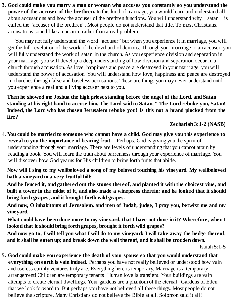**3. God could make you marry a man or woman who accuses you constantly so you understand the power of the accuser of the brethren.** In this kind of marriage, you would learn and understand all about accusations and how the accuser of the brethren functions. You will understand why satan is called the "accuser of the brethren". Most people do not understand that title. To most Christians, accusations sound like a nuisance rather than a real problem.

You may not fully understand the word "accuser" but when you experience it in marriage, you will get the full revelation of the work of the devil and of demons. Through your marriage to an accuser, you will fully understand the work of satan in the church. As you experience division and separation in your marriage, you will develop a deep understanding of how division and separation occur in a church through accusation. As love, happiness and peace are destroyed in your marriage, you will understand the power of accusation. You will understand how love, happiness and peace are destroyed in churches through false and baseless accusations. These are things you may never understand until you experience a real and a living accuser next to you.

**Then he showed me Joshua the high priest standing before the angel of the Lord, and Satan** standing at his right hand to accuse him. The Lord said to Satan, "The Lord rebuke you, Satan! **Indeed, the Lord who has chosen Jerusalem rebuke you! Is this not a brand plucked from the fire?**

**Zechariah 3:1-2 (NASB)**

4. **You could be married to someone who cannot have a child. God may give you this experience to reveal to you the importance of bearing fruit.** Perhaps, God is giving you the spirit of understanding through your marriage. There are levels of understanding that you cannot attain by reading a book. You will learn the truth about barrenness through your experience of marriage. You will discover how God yearns for His children to bring forth fruits that abide.

**Now will I sing to my wellbeloved a song of my beloved touching his vineyard. My wellbeloved hath a vineyard in a very fruitful hill:**

**And he fenced it, and gathered out the stones thereof, and planted it with the choicest vine, and** built a tower in the midst of it, and also made a winepress therein: and he looked that it should **bring forth grapes, and it brought forth wild grapes.**

**And now, O inhabitants of Jerusalem, and men of Judah, judge, I pray you, betwixt me and my vineyard.**

What could have been done more to my vineyard, that I have not done in it? Wherefore, when I **looked that it should bring forth grapes, brought it forth wild grapes?**

And now go to; I will tell you what I will do to my vineyard: I will take away the hedge thereof, **and it shall be eaten up; and break down the wall thereof, and it shall be trodden down.**

**5. God could make you experience the death of your spouse so that you would understand that everything on earth is vain indeed.** Perhaps you have not really believed or understood how vain and useless earthly ventures truly are. Everything here is temporary. Marriage is a temporary arrangement! Children are temporary tenants! Human love is transient! Your buildings are vain attempts to create eternal dwellings. Your gardens are a phantom of the eternal "Gardens of Eden" that we look forward to. But perhaps you have not believed all these things. Most people do not believe the scripture. Many Christians do not believe the Bible at all. Solomon said it all!

Isaiah 5:1-5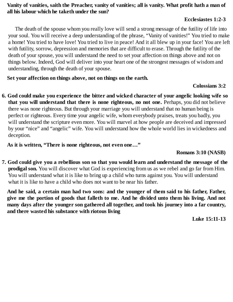## Vanity of vanities, saith the Preacher, vanity of vanities; all is vanity. What profit hath a man of **all his labour which he taketh under the sun?**

#### **Ecclesiastes 1:2-3**

The death of the spouse whom you really love will send a strong message of the futility of life into your soul. You will receive a deep understanding of the phrase, "Vanity of vanities!" You tried to make a home! You tried to have love! You tried to live in peace! And it all blew up in your face! You are left with futility, sorrow, depression and memories that are difficult to erase. Through the futility of the death of your spouse, you will understand the need to set your affection on things above and not on things below. Indeed, God will deliver into your heart one of the strongest messages of wisdom and understanding, through the death of your spouse.

**Set your affection on things above, not on things on the earth.**

#### **Colossians 3:2**

**6. God could make you experience the bitter and wicked character of your angelic looking wife so that you will understand that there is none righteous, no not one.** Perhaps, you did not believe there was none righteous. But through your marriage you will understand that no human being is perfect or righteous. Every time your angelic wife, whom everybody praises, treats you badly, you will understand the scripture even more. You will marvel at how people are deceived and impressed by your "nice" and "angelic" wife. You will understand how the whole world lies in wickedness and deception.

**As it is written, "There is none righteous, not even one…"**

#### **Romans 3:10 (NASB)**

7. God could give you a rebellious son so that you would learn and understand the message of the **prodigal son.** You will discover what God is experiencing from us as we rebel and go far from Him. You will understand what it is like to bring up a child who turns against you. You will understand what it is like to have a child who does not want to be near his father.

And he said, a certain man had two sons: and the younger of them said to his father, Father, give me the portion of goods that falleth to me. And he divided unto them his living. And not **many days after the younger son gathered all together, and took his journey into a far country, and there wasted his substance with riotous living**

**Luke 15:11-13**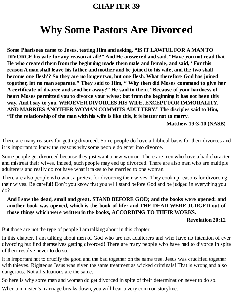# **CHAPTER 39**

# **Why Some Pastors Are Divorced**

**Some Pharisees came to Jesus, testing Him and asking, "IS IT LAWFUL FOR A MAN TO DIVORCE his wife for any reason at all?" And He answered and said, "Have you not read that He who created them from the beginning made them male and female, and said, ' For this reason A man shall leave his father and mother and be joined to his wife, and the two shall become one flesh'? So they are no longer two, but one flesh. What therefore God has joined together, let no man separate." They said to Him, " Why then did Moses command to give her A certificate of divorce and send her away?" He said to them, "Because of your hardness of heart Moses permitted you to divorce your wives; but from the beginning it has not been this way. And I say to you, WHOEVER DIVORCES HIS WIFE, EXCEPT FOR IMMORALITY, AND MARRIES ANOTHER WOMAN COMMITS ADULTERY." The disciples said to Him, "If the relationship of the man with his wife is like this, it is better not to marry.**

**Matthew 19:3-10 (NASB)**

There are many reasons for getting divorced. Some people do have a biblical basis for their divorces and it is important to know the reasons why some people do enter into divorce.

Some people get divorced because they just want a new woman. There are men who have a bad character and mistreat their wives. Indeed, such people may end up divorced. There are also men who are multiple adulterers and really do not have what it takes to be married to one woman.

There are also people who want a pretext for divorcing their wives. They cook up reasons for divorcing their wives. Be careful! Don't you know that you will stand before God and be judged in everything you do?

**And I saw the dead, small and great, STAND BEFORE GOD; and the books were opened: and another book was opened, which is the book of life: and THE DEAD WERE JUDGED out of those things which were written in the books, ACCORDING TO THEIR WORKS.**

#### **Revelation 20:12**

But those are not the type of people I am talking about in this chapter.

In this chapter, I am talking about men of God who are not adulterers and who have no intention of ever divorcing but find themselves getting divorced! There are many people who have had to divorce in spite of their resolve never to do so.

It is important not to crucify the good and the bad together on the same tree. Jesus was crucified together with thieves. Righteous Jesus was given the same treatment as wicked criminals! That is wrong and also dangerous. Not all situations are the same.

So here is why some men and women do get divorced in spite of their determination never to do so.

When a minister's marriage breaks down, you will hear a very common storyline.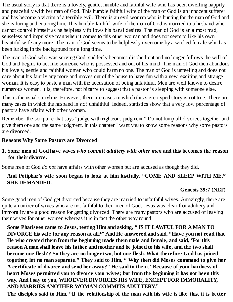The usual story is that there is a lovely, gentle, humble and faithful wife who has been dwelling happily and peacefully with her man of God. This humble faithful wife of the man of God is an innocent sufferer and has become a victim of a terrible evil. There is an evil woman who is hunting for the man of God and she is luring and enticing him. This humble faithful wife of the man of God is married to a husband who cannot control himself as he helplessly follows his banal desires. The man of God is an almost mad, senseless and impulsive man when it comes to this other woman and does not seem to like his own beautiful wife any more. The man of God seems to be helplessly overcome by a wicked female who has been lurking in the background for a long time.

The man of God who was serving God, suddenly becomes disobedient and no longer follows the will of God and begins to act like someone who is possessed and out of his mind. The man of God then abandons his lovely, gentle and faithful woman who could harm no one. The man of God is unfeeling and does not care about his family any more and moves out of the house to have fun with a new, exciting and strange woman. It is easy to paste a man with the accusation of being unfaithful. Men are well known to desire numerous women. It is, therefore, not bizarre to suggest that a pastor is sleeping with someone else.

This is the usual storyline. However, there are cases in which this stereotyped story is not true. There are many cases in which the husband is *not* unfaithful. Indeed, statistics show that a very low percentage of pastors have affairs with other women.

Remember the scripture that says "judge with righteous judgment." Do not lump all divorces together and give them one and the same judgment. In this chapter I want you to know some reasons why some pastors are divorced.

### **Reasons Why Some Pastors are Divorced**

### **1. Some men of God have wives** *who commit adultery with other men* **and this becomes the reason for their divorce.**

Some men of God *do not* have affairs with other women but are accused as though they did.

## **And Potiphar's wife soon began to look at him lustfully. "COME AND SLEEP WITH ME," SHE DEMANDED.**

### **Genesis 39:7 (NLT)**

Some good men of God get divorced because they are married to unfaithful wives. Amazingly, there are quite a number of wives who are not faithful to their men of God. Jesus was clear that adultery and immorality are a good reason for getting divorced. There are many pastors who are accused of leaving their wives for other women whereas it is in fact the other way round.

**Some Pharisees came to Jesus, testing Him and asking, " IS IT LAWFUL FOR A MAN TO DIVORCE his wife for any reason at all?" And He answered and said, "Have you not read that He who created them from the beginning made them male and female, and said, 'For this reason A man shall leave his father and mother and be joined to his wife, and the two shall become one flesh'? So they are no longer two, but one flesh. What therefore God has joined together, let no man separate." They said to Him, " Why then did Moses command to give her A certificate of divorce and send her away?" He said to them, "Because of your hardness of heart Moses permitted you to divorce your wives; but from the beginning it has not been this way. And I say to you, WHOEVER DIVORCES HIS WIFE, EXCEPT FOR IMMORALITY, AND MARRIES ANOTHER WOMAN COMMITS ADULTERY."**

The disciples said to Him, "If the relationship of the man with his wife is like this, it is better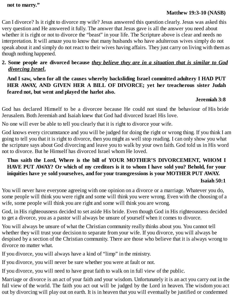#### **not to marry."**

#### **Matthew 19:3-10 (NASB)**

Can I divorce? Is it right to divorce my wife? Jesus answered this question clearly. Jesus was asked this very question and He answered it fully. The answer that Jesus gave is all the answer you need about whether it is right or not to divorce the "beast" in your life. The Scripture above is clear and needs no interpretation. It will amaze you to know that many husbands who have adulterous wives simply do not speak about it and simply do not react to their wives having affairs. They just carry on living with them as though nothing happened.

### **2. Some people are divorced because** *they believe they are in a situation that is similar to God divorcing Israel***.**

**And I saw, when for all the causes whereby backsliding Israel committed adultery I HAD PUT HER AWAY, AND GIVEN HER A BILL OF DIVORCE; yet her treacherous sister Judah feared not, but went and played the harlot also.**

#### **Jeremiah 3:8**

God has declared Himself to be a divorcee because He could not stand the behaviour of His bride Jerusalem. Both Jeremiah and Isaiah knew that God had divorced Israel His love.

No one will ever be able to tell you clearly that it is right to divorce your wife.

God knows every circumstance and you will be judged for doing the right or wrong thing. If you think I am going to tell you that it is right to divorce, then you might as well stop reading. I can only show you what the scripture says about God divorcing and leave you to walk by your own faith. God told us in His word not to divorce. But he Himself has divorced Israel whom He loved.

## **Thus saith the Lord, Where is the bill of YOUR MOTHER'S DIVORCEMENT, WHOM I HAVE PUT AWAY? Or which of my creditors is it to whom I have sold you? Behold, for your iniquities have ye sold yourselves, and for your transgressions is your MOTHER PUT AWAY.**

#### **Isaiah 50:1**

You will never have everyone agreeing with one opinion on a divorce or a marriage. Whatever you do, some people will think you were right and some will think you were wrong. Even with the choosing of a wife, some people will think you are right and some will think you are wrong.

God, in His righteousness decided to set aside His bride. Even though God in His righteousness decided to get a divorce, you as a pastor will always be unsure of yourself when it comes to divorce.

You will always be unsure of what the Christian community really thinks about you. You cannot tell whether they will trust your decision to separate from your wife. If you divorce, you will always be despised by a section of the Christian community. There are those who believe that it is always wrong to divorce no matter what.

If you divorce, you will always have a kind of "limp" in the ministry.

If you divorce, you will never be sure whether you were at fault or not.

If you divorce, you will need to have great faith to walk on in full view of the public.

Marriage or divorce is an act of your faith and your wisdom. Unfortunately it is an act you carry out in the full view of the world. The faith you act out will be judged by the Lord in heaven. The wisdom you act out by divorcing will play out on earth. It is in heaven that you will eventually be justified or condemned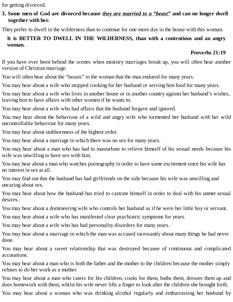for getting divorced.

## 3. Some men of God are divorced because they are married to a "beast" and can no longer dwell **together with her.**

They prefer to dwell in the wilderness than to continue for one more day in the house with this woman.

## **It is BETTER TO DWELL IN THE WILDERNESS, than with a contentious and an angry woman.**

## **Proverbs 21:19**

If you have ever been behind the scenes when ministry marriages break up, you will often hear another version of Christian marriage.

You will often hear about the "beasts" in the woman that the man endured for many years.

You may hear about a wife who stopped cooking for her husband or serving him food for many years.

You may hear about a wife who lives in another house or in another country against her husband's wishes, leaving him to have affairs with other women if he wants to.

You may hear about a wife who had affairs that the husband forgave and ignored.

You may hear about the behaviour of a wild and angry wife who tormented her husband with her wild uncontrollable behaviour for many years.

You may hear about stubbornness of the highest order.

You may hear about a marriage in which there was no sex for many years.

You may hear about a man who has had to masturbate to relieve himself of his sexual needs because his wife was unwilling to have sex with him.

You may hear about a man who watches pornography in order to have some excitement since his wife has no interest in sex at all.

You may find out that the husband has had girlfriends on the side because his wife was unwilling and uncaring about sex.

You may hear about how the husband has tried to castrate himself in order to deal with his unmet sexual desires.

You may hear about a domineering wife who controls her husband as if he were her little boy or servant.

You may hear about a wife who has manifested clear psychiatric symptoms for years.

You may hear about a wife who has had personality disorders for many years.

You may hear about a marriage in which the man was accused incessantly about many things he had never done.

You may hear about a sweet relationship that was destroyed because of continuous and complicated accusations.

You may hear about a man who is both the father and the mother to the children because the mother simply refuses to do her work as a mother.

You may hear about a man who caters for his children, cooks for them, baths them, dresses them up and does homework with them, whilst his wife never lifts a finger to look after the children she brought forth.

You may hear about a woman who was drinking alcohol regularly and embarrassing her husband by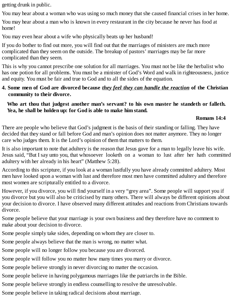getting drunk in public.

You may hear about a woman who was using so much money that she caused financial crises in her home.

You may hear about a man who is known in every restaurant in the city because he never has food at home!

You may even hear about a wife who physically beats up her husband!

If you do bother to find out more, you will find out that the marriages of ministers are much more complicated than they seem on the outside. The breakup of pastors' marriages may be far more complicated than they seem.

This is why you cannot prescribe one solution for all marriages. You must not be like the herbalist who has one potion for all problems. You must be a minister of God's Word and walk in righteousness, justice and equity. You must be fair and true to God and to all the sides of the equation.

## **4. Some men of God are divorced because** *they feel they can handle the reaction* **of the Christian community to their divorce.**

## **Who art thou that judgest another man's servant? to his own master he standeth or falleth. Yea, he shall be holden up: for God is able to make him stand.**

### **Romans 14:4**

There are people who believe that God's judgment is the basis of their standing or falling. They have decided that they stand or fall before God and man's opinion does not matter anymore. They no longer care who judges them. It is the Lord's opinion of them that matters to them.

It is also important to note that adultery is the reason that Jesus gave for a man to legally leave his wife. Jesus said, "But I say unto you, that whosoever looketh on a woman to lust after her hath committed adultery with her already in his heart" (Matthew 5:28).

According to this scripture, if you look at a woman lustfully you have already committed adultery. Most men have looked upon a woman with lust and therefore most men have committed adultery and therefore most women are scripturally entitled to a divorce.

However, if you divorce, you will find yourself in a very "grey area". Some people will support you if you divorce but you will also be criticised by many others. There will always be different opinions about your decision to divorce. I have observed many different attitudes and reactions from Christians towards divorce.

Some people believe that your marriage is your own business and they therefore have no comment to make about your decision to divorce.

Some people simply take sides, depending on whom they are closer to.

Some people always believe that the man is wrong, no matter what.

Some people will no longer follow you because you are divorced.

Some people will follow you no matter how many times you marry or divorce.

Some people believe strongly in never divorcing no matter the occasion.

Some people believe in having polygamous marriages like the patriarchs in the Bible.

Some people believe strongly in endless counselling to resolve the unresolvable.

Some people believe in taking radical decisions about marriage.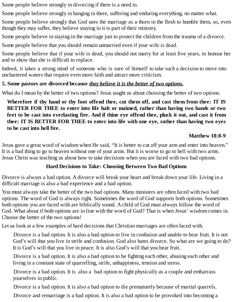Some people believe strongly in divorcing if there is a need to.

Some people believe strongly in hanging in there, suffering and enduring everything, no matter what.

Some people believe strongly that God uses the marriage as a thorn in the flesh to humble them, so, even though they may suffer, they believe staying in it is part of their ministry.

Some people believe in staying in the marriage just to protect the children from the trauma of a divorce.

Some people believe that you should remain unmarried even if your wife is dead.

Some people believe that if your wife is dead, you should not marry for at least five years, to honour her and to show that she is difficult to replace.

Indeed, it takes a strong mind of someone who is sure of himself to take such a decision to move into unchartered waters that require even more faith and attract more criticism.

## **5. Some pastors are divorced because** *they believe it is the better of two options.*

What do I mean by the better of two options? Jesus taught us about choosing the better of two options.

**Wherefore if thy hand or thy foot offend thee, cut them off, and cast them from thee: IT IS BETTER FOR THEE to enter into life halt or maimed, rather than having two hands or two** feet to be cast into everlasting fire. And if thine eye offend thee, pluck it out, and cast it from **thee: IT IS BETTER FOR THEE to enter into life with one eye, rather than having two eyes to be cast into hell fire.**

## **Matthew 18:8-9**

Jesus gave a great word of wisdom when He said, "It is better to cut off your arm and enter into heaven." It is a bad thing to go to heaven without one of your arms. But it is worse to go to hell with two arms. Jesus Christ was teaching us about how to take decisions when you are faced with two bad options.

## **Hard Decisions to Take: Choosing Between Two Bad Options**

Divorce is always a bad option. A divorce will break your heart and break down your life. Living in a difficult marriage is also a bad experience and a bad option.

You must always take the better of the two bad options. Many ministers are often faced with two bad options. The word of God is always right. Sometimes the word of God supports both options. Sometimes both options you are faced with are biblically sound. A child of God must always follow the word of God. What about if both options are in line with the word of God? That is when Jesus' wisdom comes in. Choose the better of the two options!

Let us look at a few examples of hard decisions that Christian marriages are often faced with.

Divorce is a bad option. It is also a bad option to live in confusion and unable to bear fruit. It is not God's will that you live in strife and confusion. God also hates divorce. So what are we going to do? It is God's will that you live in peace. It is also God's will that you bear fruit.

Divorce is a bad option. It is also a bad option to be fighting each other, abusing each other and living in a constant state of quarrelling, strife, unhappiness, tension and stress.

Divorce is a bad option. It is also a bad option to fight physically as a couple and embarrass yourselves in public.

Divorce is a bad option. It is also a bad option to die prematurely because of marital quarrels.

Divorce and remarriage is a bad option. It is also a bad option to be provoked into becoming a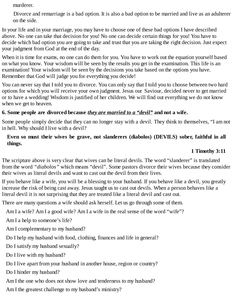murderer.

Divorce and remarriage is a bad option. It is also a bad option to be married and live as an adulterer on the side.

In your life and in your marriage, you may have to choose one of these bad options I have described above. No one can take that decision for you! No one can decide certain things for you! You have to decide which bad option you are going to take and trust that you are taking the right decision. Just expect your judgment from God at the end of the day.

When it is time for exams, no one can do them for you. You have to work out the equation yourself based on what you know. Your wisdom will be seen by the results you get in the examination. This life is an examination! Your wisdom will be seen by the decisions you take based on the options you have. Remember that God will judge you for everything you decide!

You can never say that I told you to divorce. You can only say that I told you to choose between two hard options for which you will receive your own judgment. Jesus our Saviour, decided never to get married or to have a wedding! Wisdom is justified of her children. We will find out everything we do not know when we get to heaven.

## **6. Some people are divorced because** *they are married to a "devil"* **and not a wife.**

Some people simply decide that they can no longer stay with a devil. They think to themselves, "I am not in hell. Why should I live with a devil?

#### **Even so must their wives be grave, not slanderers (diabolos) (DEVILS) sober, faithful in all things.**

#### **1 Timothy 3:11**

The scripture above is very clear that wives can be literal devils. The word "slanderer" is translated from the word *"diabolos"* which means "devil". Some pastors divorce their wives because they consider their wives as literal devils and want to cast out the devil from their lives.

If you behave like a wife, you will be a blessing to your husband. If you behave like a devil, you greatly increase the risk of being cast away. Jesus taught us to cast out devils. When a person behaves like a literal devil it is not surprising that they are treated like a literal devil and cast out.

There are many questions a wife should ask herself. Let us go through some of them.

Am I a wife? Am I a good wife? Am I a wife in the real sense of the word "wife"?

Am I a help to someone's life?

Am I complementary to my husband?

Do I help my husband with food, clothing, finances and life in general?

Do I satisfy my husband sexually?

Do I live with my husband?

Do I live apart from your husband in another house, region or country?

Do I hinder my husband?

Am I the one who does not show love and tenderness to my husband?

Am I the greatest challenge to my husband's ministry?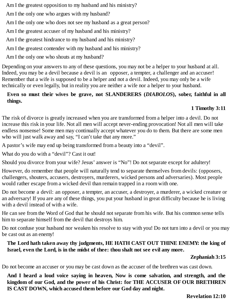Am I the greatest opposition to my husband and his ministry?

Am I the only one who argues with my husband?

Am I the only one who does not see my husband as a great person?

Am I the greatest accuser of my husband and his ministry?

Am I the greatest hindrance to my husband and his ministry?

Am I the greatest contender with my husband and his ministry?

Am I the only one who shouts at my husband?

Depending on your answers to any of these questions, you may not be a helper to your husband at all. Indeed, you may be a devil because a devil is an opposer, a tempter, a challenger and an accuser! Remember that a wife is supposed to be a helper and not a devil. Indeed, you may only be a wife technically or even legally, but in reality you are neither a wife nor a helper to your husband.

## **Even so must their wives be grave, not SLANDERERS (***DIABOLOS***), sober, faithful in all things.**

# **1 Timothy 3:11**

The risk of divorce is greatly increased when you are transformed from a helper into a devil. Do not increase this risk in your life. Not all men will accept never-ending provocation! Not all men will take endless nonsense! Some men may continually accept whatever you do to them. But there are some men who will just walk away and say, "I can't take that any more."

A pastor's wife may end up being transformed from a beauty into a "devil".

What do you do with a "devil"? Cast it out!

Should you divorce from your wife? Jesus' answer is "No"! Do not separate except for adultery!

However, do remember that people will naturally tend to separate themselves from devils: (opposers, challengers, shouters, accusers, destroyers, murderers, wicked persons and adversaries). Most people would rather escape from a wicked devil than remain trapped in a room with one.

Do not become a devil: an opposer, a tempter, an accuser, a destroyer, a murderer, a wicked creature or an adversary! If you are any of these things, you put your husband in great difficulty because he is living with a devil instead of with a wife.

He can see from the Word of God that he should not separate from his wife. But his common sense tells him to separate himself from the devil that destroys him.

Do not confuse your husband nor weaken his resolve to stay with you! Do not turn into a devil or you may be cast out as an enemy!

## **The Lord hath taken away thy judgments, HE HATH CAST OUT THINE ENEMY: the king of Israel, even the Lord, is in the midst of thee: thou shalt not see evil any more.**

## **Zephaniah 3:15**

Do not become an accuser or you may be cast down as the accuser of the brethren was cast down.

**And I heard a loud voice saying in heaven, Now is come salvation, and strength, and the kingdom of our God, and the power of his Christ: for THE ACCUSER OF OUR BRETHREN IS CAST DOWN, which accused them before our God day and night.**

**Revelation 12:10**